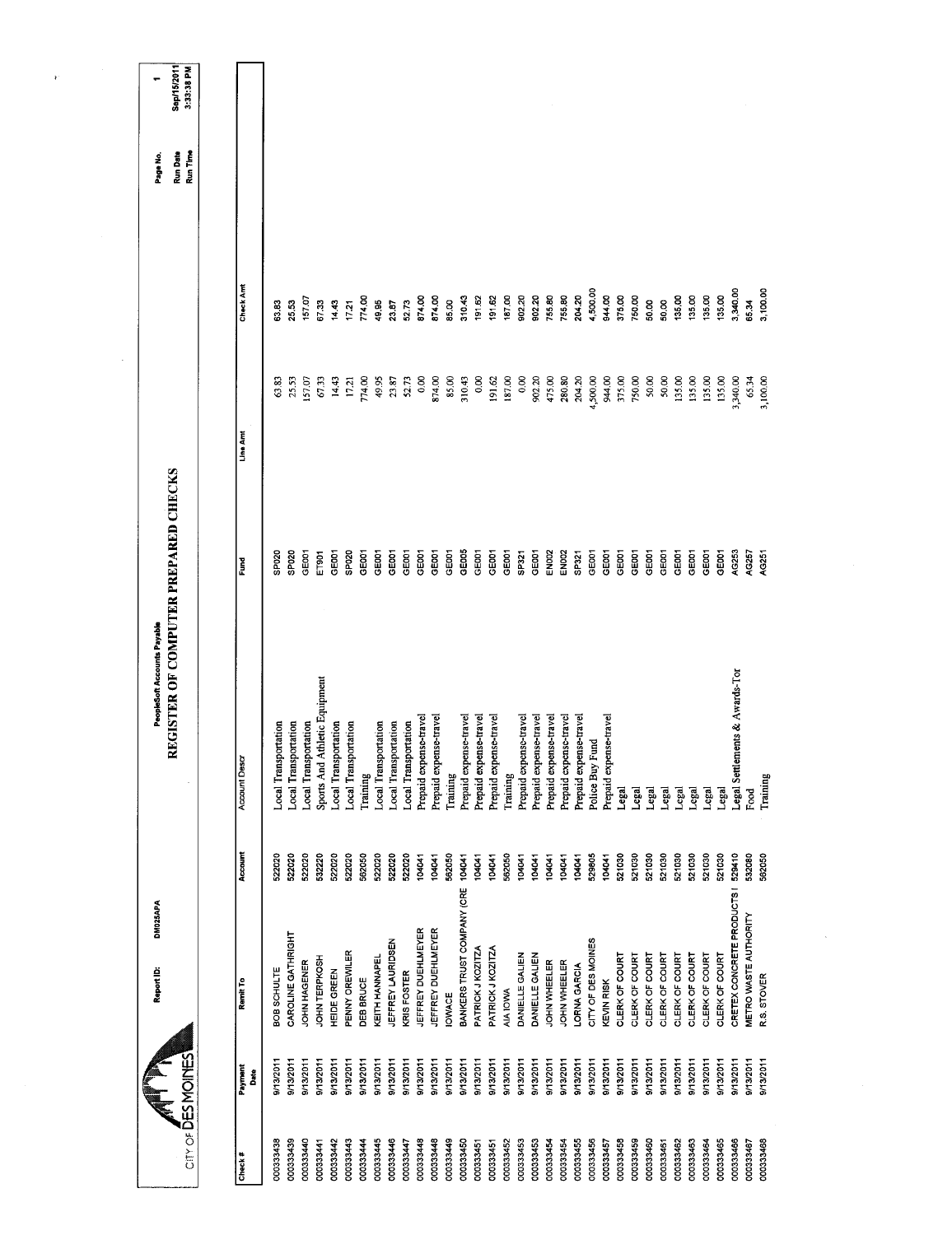| Sep/15/2011<br>3:33:38 PM<br>۳<br>Run Time<br>Run Date<br>Page No.  |                     |                      |                             |                      |                               |                                                     |                  |                             |                      |                                   |                                                  |               |                            |                        |                        |           |                        |                        |                                                  |                        |                    |                        |                |                |                                  |                |                |                |                |                                |                       |             |
|---------------------------------------------------------------------|---------------------|----------------------|-----------------------------|----------------------|-------------------------------|-----------------------------------------------------|------------------|-----------------------------|----------------------|-----------------------------------|--------------------------------------------------|---------------|----------------------------|------------------------|------------------------|-----------|------------------------|------------------------|--------------------------------------------------|------------------------|--------------------|------------------------|----------------|----------------|----------------------------------|----------------|----------------|----------------|----------------|--------------------------------|-----------------------|-------------|
|                                                                     | Check Amt           | 63.83                | 25.53                       | 157.07               | 67.33                         | 14.43<br>17.21                                      | 774.00           | 49.95                       | 23.87                | 874.00<br>52.73                   | 874.00                                           | 85.00         | 310.43                     | 191.62                 | 191.62                 | 187.00    | 902.20                 | 902.20                 | 755.80<br>755.80                                 | 204.20                 | 4,500.00           | 944.00                 | 375.00         | 750.00         | 50.00<br>50,00                   | 135,00         | 135.00         | 135.00         | 135.00         | 3,340.00                       | 65.34                 | 3,100.00    |
|                                                                     | Line Amt            | 63.83                | 25,53                       | 157.07               | 67.33                         | 14.43<br>17.21                                      | 774.00           | 49.95                       | 23.87                | 52.73                             | 0.00<br>874.00                                   | 85.00         | 310.43                     | 0.00                   | 191.62                 | 187.00    | 0.00                   | 902.20                 | 475.00<br>280.80                                 | 204.20                 | 4,500.00           | 944.00                 | 375,00         | 750.00         | 50.00<br>50.00                   | 135.00         | 135.00         | 135.00         | 135.00         | 3,340.00                       | 65.34<br>3,100.00     |             |
|                                                                     | Fund                | SP <sub>020</sub>    | SP <sub>020</sub>           | GEOOT                | ET901<br>GEOD1                | SP020                                               | GEOOT            | GEOD1                       | GEOOT                | GE001<br>GEOOT                    | GEOOT                                            | GE001         | GE005                      | GE001                  | GEODT                  | GEOOT     | SP321                  | GE001                  | EN002<br><b>EN002</b>                            | SP321                  | GE001              | GEODT                  | GE001          | GEOOT          | GE001<br>GEOO1                   | GE001          | GE001          | GE001          | GE001          | AG253                          | AG257                 | AG251       |
| REGISTER OF COMPUTER PREPARED CHECKS<br>PeopleSoft Accounts Payable | <b>Account Desa</b> | Local Transportation | <b>Local Transportation</b> | Local Transportation | Sports And Athletic Equipment | Local Transportation<br><b>Local Transportation</b> | Training         | <b>Local Transportation</b> | Local Transportation | Local Transportation              | Prepaid expense-travel<br>Prepaid expense-travel | Training      | Prepaid expense-travel     | Prepaid expense-travel | Prepaid expense-travel | Training  | Prepaid expense-travel | Prepaid expense-travel | Prepaid expense-travel<br>Prepaid expense-travel | Prepaid expense-travel | Police Buy Fund    | Prepaid expense-travel | Legal          | Legal          | Legal                            | Legal<br>Legal | Legal          | Legal          | Legal          | Legal Settlements & Awards-Tor | Food                  | Training    |
|                                                                     | Account             | 522020               | 522020                      | 522020               | 532220<br>522020              | 522020                                              | 562050           | 522020                      | 522020               | 522020<br>104041                  | 104041                                           | 562050        | 104041                     | 104041                 | 104041                 | 562050    | 104041                 | 104041                 | 104041<br>104041                                 | 104041                 | 529805             | 104041                 | 521030         | 521030         | 521030<br>521030                 | 521030         | 521030         | 521030         | 521030         | 529410                         | 532080                | 562050      |
| DM025APA<br>Report ID:                                              | Remit To            | BOB SCHULTE          | CAROLINE GATHRIGHT          | JOHN HAGENER         | JOHN TERPKOSH<br>HEIDE GREEN  | PENNY OREWILER                                      | <b>DEB BRUCE</b> | KEITH HANNAPEL              | JEFFREY LAURIDSEN    | JEFFREY DUEHLMEYER<br>KRIS FOSTER | <b>JEFFREY DUEHLMEYER</b>                        | <b>IOWACE</b> | BANKERS TRUST COMPANY (CRE | PATRICK J KOZITZA      | PATRICK J KOZITZA      | AIA IOWA  | DANELLE GALIEN         | DANIELLE GALIEN        | JOHN WHEELER<br>JOHN WHEELER                     | LORNA GARCIA           | CITY OF DES MOINES | <b>KEVIN RISK</b>      | CLERK OF COURT | CLERK OF COURT | CLERK OF COURT<br>CLERK OF COURT | CLERK OF COURT | CLERK OF COURT | CLERK OF COURT | CLERK OF COURT | CRETEX CONCRETE PRODUCTS I     | METRO WASTE AUTHORITY | R.S. STOVER |
| City of DESMOINES                                                   | Payment<br>Date     | 9/13/2011            | 9/13/2011                   | 9/13/2011            | 9/13/2011<br>9/13/2011        | 9/13/2011                                           | 9/13/2011        | 9/13/2011                   | 9/13/2011            | 9/13/2011<br>9/13/2011            | 9/13/2011                                        | 9/13/2011     | 9/13/2011                  | 9/13/2011              | 9/13/2011              | 9/13/2011 | 9/13/2011              | 9/13/2011              | 9/13/2011<br>9/13/2011                           | 9/13/2011              | 9/13/2011          | 9/13/2011              | 9/13/2011      | 9/13/2011      | 9/13/2011<br>9/13/2011           | 9/13/2011      | 9/13/2011      | 9/13/2011      | 9/13/2011      | 9/13/2011                      | 9/13/2011             | 9/13/2011   |
|                                                                     | Check#              | 000333438            | 000333439                   | 000333440            | 000333441<br>000333442        | 000333443                                           | 000333444        | 000333445                   | 000333446            | 000333448<br>000333447            | 000333448                                        | 000333449     | 000333450                  | 000333451              | 000333451              | 000333452 | 000333453              | 000333453              | 000333454<br>000333454                           | 000333455              | 000333456          | 000333457              | 000333458      | 000333459      | 000333460<br>000333461           | 000333462      | 000333463      | 000333464      | 000333465      | 000333466                      | 000333467             | 000333468   |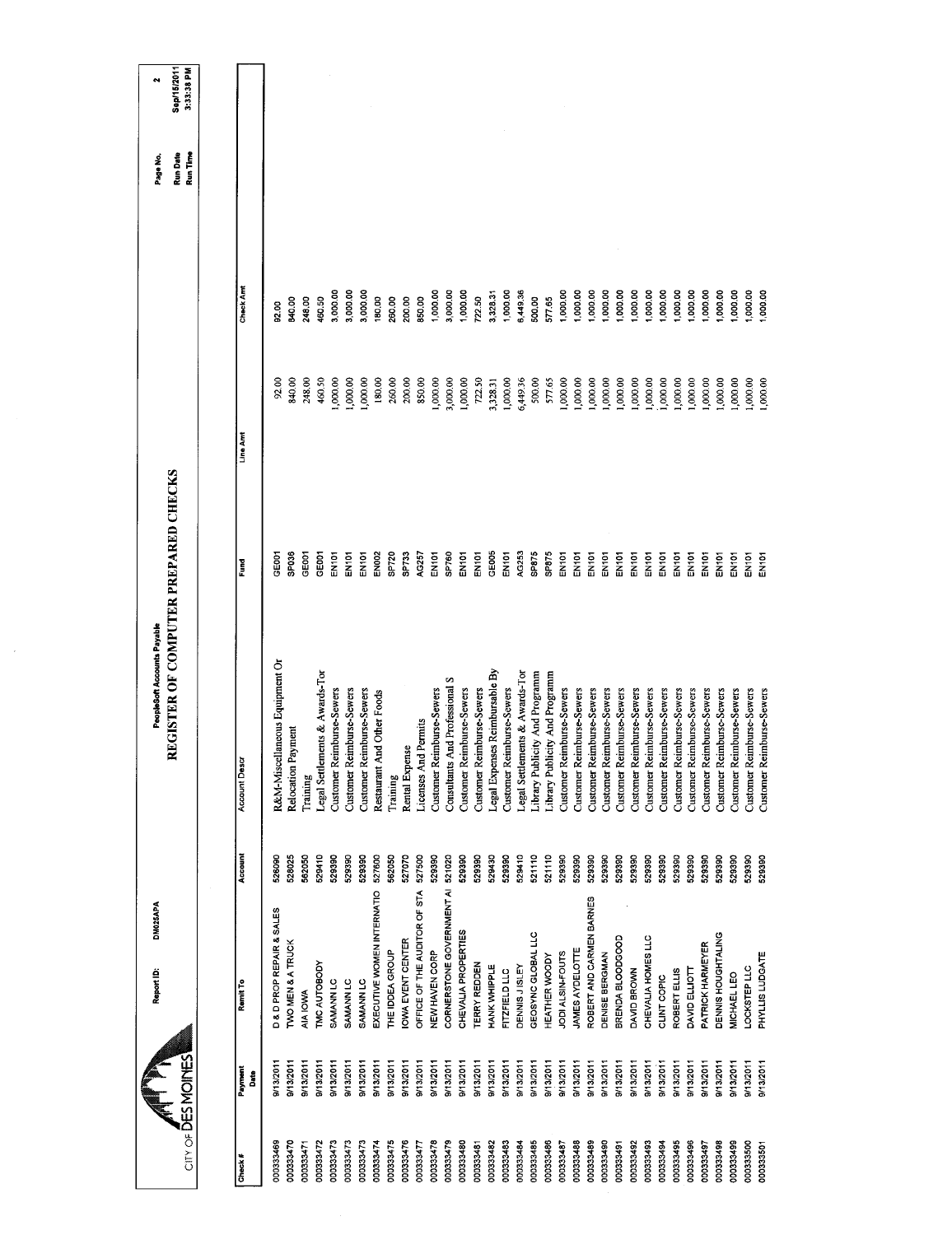| City of DESMOINES |                 | Report ID:                   | DM025APA | REGISTER OF COMPUTER PREPARED CHECKS<br>PeopleSoft Accounts Payable |                   |          |           | Run Date<br>Run Time<br>Page No. | Sep/15/2011<br>3:33:38 PM |
|-------------------|-----------------|------------------------------|----------|---------------------------------------------------------------------|-------------------|----------|-----------|----------------------------------|---------------------------|
|                   |                 |                              |          |                                                                     |                   |          |           |                                  |                           |
| Check #           | Payment<br>Date | Remit To                     | Account  | <b>Account Descr</b>                                                | Fund              | Line Amt | Check Amt |                                  |                           |
| 000333469         | 9/13/2011       | D & D PROP REPAIR & SALES    | 526090   | R&M-Miscellaneous Equipment Or                                      | oe≣o              | 92.00    | 92.00     |                                  |                           |
| 000333470         | 9/13/2011       | <b>TWO MEN &amp; A TRUCK</b> | 528025   | Payment<br>Relocation                                               | SP036             | 840.00   | 840.00    |                                  |                           |
| 000333471         | 9/13/2011       | AIA IOWA                     | 562050   | Training                                                            | GE001             | 248.00   | 248.00    |                                  |                           |
| 000333472         | 9/13/2011       | <b>IMC AUTOBODY</b>          | 529410   | Legal Settlements & Awards-Tor                                      | GE001             | 460.50   | 460.50    |                                  |                           |
| 000333473         | 9/13/2011       | SAMANN <sub>LC</sub>         | 529390   | Customer Reimburse-Sewers                                           | EN101             | ,000.00  | 3,000.00  |                                  |                           |
| 000333473         | 8/13/2011       | <b>SAMANN LC</b>             | 529390   | Reimburse-Sewers<br>Customer <sup>]</sup>                           | EN <sub>101</sub> | 1,000.00 | 3,000.00  |                                  |                           |
| 000333473         | 9/13/2011       | SAMANN <sub>LC</sub>         | 529390   | Reimburse-Sewers<br>Customer 1                                      | EN101             | 1,000.00 | 3,000.00  |                                  |                           |
| 000333474         | 9/13/2011       | EXECUTIVE WOMEN INTERNATIO   | 527600   | Restaurant And Other Foods                                          | EN002             | 180.00   | 180.00    |                                  |                           |
| 000333475         | 9/13/2011       | THE IDDEA GROUP              | 562050   | Training                                                            | SP720             | 260.00   | 260.00    |                                  |                           |
| 000333476         | 9/13/2011       | <b>OWA EVENT CENTER</b>      | 527070   | Rental Expense                                                      | <b>SP733</b>      | 200.00   | 200.00    |                                  |                           |
| 000333477         | 9/13/2011       | OFFICE OF THE AUDITOR OF STA | 527500   | Licenses And Permits                                                | AG257             | 850.00   | 85000     |                                  |                           |
| 000333478         | 9/13/2011       | NEW HAVEN CORP               | 529390   | Customer Reimburse-Sewers                                           | EN101             | 1,000.00 | 1,000.00  |                                  |                           |
| 000333479         | 9/13/2011       | CORNERSTONE GOVERNMENT A     | 521020   | <b>Consultants And Professional S</b>                               | SP760             | 3,000.00 | 3,000.00  |                                  |                           |
| 000333480         | 9/13/2011       | CHEVALIA PROPERTIES          | 529390   | Reimburse-Sewers<br>Customer 1                                      | EN101             | 1,000.00 | 1,000.00  |                                  |                           |
| 000333481         | 9/13/2011       | TERRY REDDEN                 | 529390   | Customer Reimburse-Sewers                                           | EN101             | 722.50   | /22.50    |                                  |                           |
| 000333482         | 9/13/2011       | <b>HANK WHIPPLE</b>          | 529430   | Legal Expenses Reimbursable By                                      | GEOOS             | 3,328.31 | 3,328.31  |                                  |                           |
| 000333483         | 9/13/2011       | FITZFIELD LLC                | 529390   | Customer Reimburse-Sewers                                           | EN <sub>101</sub> | 1,000.00 | 1,000.00  |                                  |                           |
| 000333484         | 9/13/2011       | DENNIS JISLEY                | 529410   | Legal Settlements & Awards-Tor                                      | AG253             | 6,449.36 | 6,449.36  |                                  |                           |
| 000333485         | 9/13/2011       | GEOSYNC GLOBAL LLC           | 521110   | Library Publicity And Programm                                      | SP875             | 500.00   | 500.00    |                                  |                           |
| 000333486         | 9/13/2011       | HEATHER WOODY                | 521110   | Library Publicity And Programm                                      | SP875             | 577.65   | 577.65    |                                  |                           |
| 000333487         | 9/13/2011       | JODI ALSIN-FOUTS             | 529390   | Reimburse-Sewers<br>Customer                                        | EN101             | ,000.00  | 1,000.00  |                                  |                           |
| 000333488         | 9/13/2011       | JAMES AYDELOTTE              | 529390   | Reimburse-Sewers<br>Customer                                        | <b>EN101</b>      | 00.000,1 | 1,000.00  |                                  |                           |
| 000333489         | 9/13/2011       | ROBERT AND CARMEN BARNES     | 529390   | <b>Reimburse-Sewers</b><br>Customer                                 | EN101             | 00.000,1 | 1,000.00  |                                  |                           |
| 000333490         | 9/13/2011       | DENISE BERGMAN               | 529390   | Reimburse-Sewers<br>Customer                                        | <b>EN101</b>      | 1,000.00 | 1,000.00  |                                  |                           |
| 000333491         | 9/13/2011       | BRENDA BLOODGOOD             | 529390   | Reimburse-Sewers<br>Customer                                        | <b>EN101</b>      | 1,000.00 | 1,000.00  |                                  |                           |
| 000333492         | 9/13/2011       | DAVID BROWN                  | 529390   | Reimburse-Sewers<br>Customer                                        | EN101             | 000,000  | 1,000.00  |                                  |                           |
| 000333493         | 9/13/2011       | CHEVALIA HOMES LLC           | 529390   | Reimburse-Sewers<br>Customer                                        | EN101             | 1,000.00 | 1,000.00  |                                  |                           |
| 000333494         | 9/13/2011       | CLINT COPIC                  | 529390   | Reimburse-Sewers<br>Customer                                        | <b>EN101</b>      | 00000    | 1,000.00  |                                  |                           |
| 000333495         | 9/13/2011       | ROBERT ELLIS                 | 529390   | Reimburse-Sewers<br>Customer                                        | EN101             | 00000    | ,000.00   |                                  |                           |
| 000333496         | 9/13/2011       | DAVID ELLIOTT                | 529390   | Reimburse-Sewers<br>Customer                                        | EN101             | 000,000  | 1,000.00  |                                  |                           |
| 000333497         | 9/13/2011       | PATRICK HARMEYER             | 529390   | Reimburse-Sewers<br>Customer 1                                      | EN101             | 1,000.00 | 1,000.00  |                                  |                           |
| 000333498         | 9/13/2011       | DENNIS HOUGHTALING           | 529390   | Reimburse-Sewers<br>Customer                                        | EN101             | 00.000,1 | ,000.00   |                                  |                           |
| 000333499         | 9/13/2011       | MICHAEL LEO                  | 529390   | Reimburse-Sewers<br>Customer 1                                      | EN <sub>101</sub> | 1,000.00 | 1,000,00  |                                  |                           |
| 000333500         | 9/13/2011       | LOCKSTEP LLC                 | 529390   | Customer Reimburse-Sewers                                           | EN <sub>101</sub> | 1,000.00 | 1,000.00  |                                  |                           |
| 000333501         | 9/13/2011       | PHYLLIS LUDGATE              | 529390   | Reimburse-Sewers<br>Customer                                        | a<br>지도           | 1,000.00 | 1,000.00  |                                  |                           |
|                   |                 |                              |          |                                                                     |                   |          |           |                                  |                           |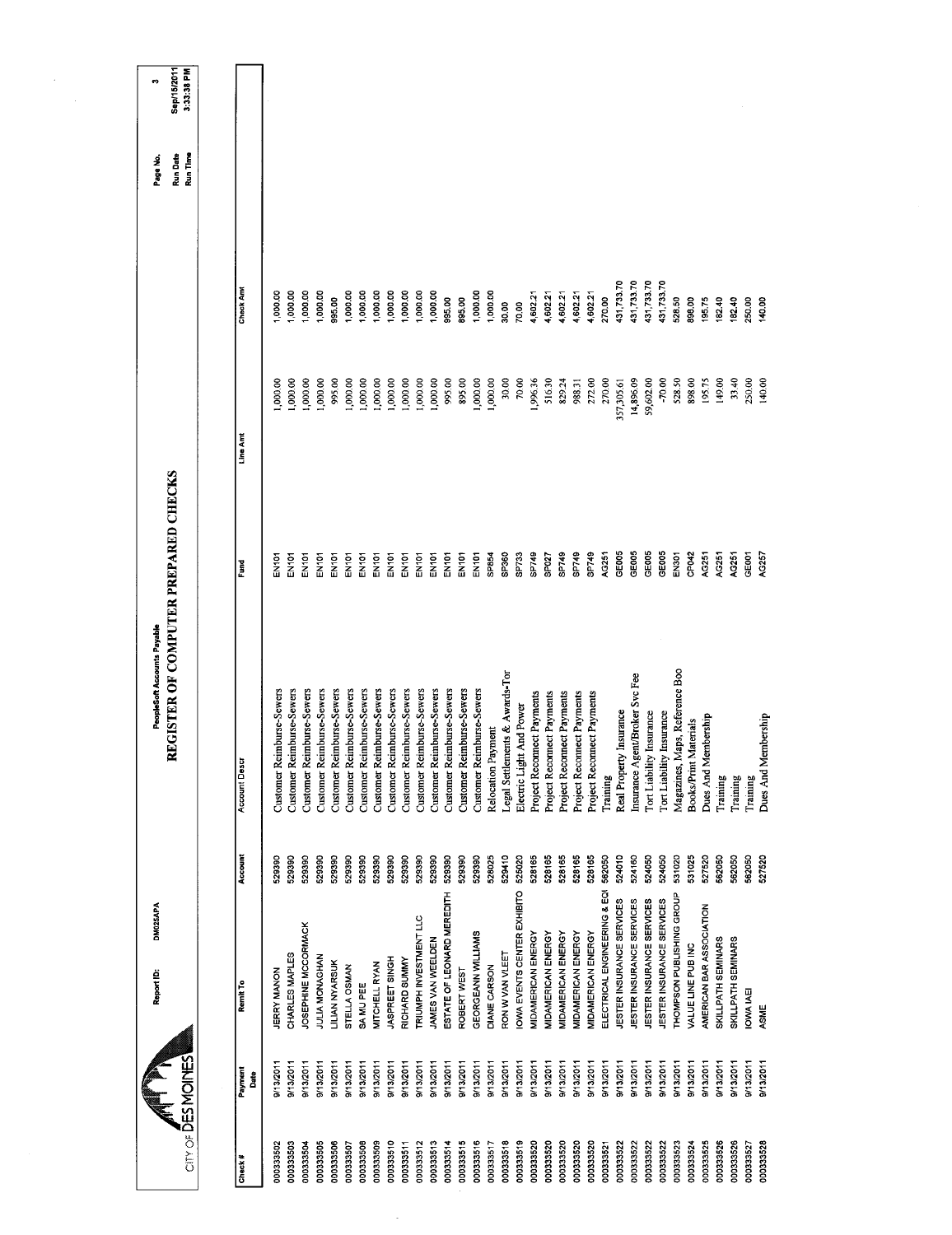| CITY OF DES MOMES |                  | DM025APA<br>Report ID:       |         | REGISTER OF COMPUTER PREPARED CHECKS<br>PeopleSoft Accounts Payable |                   |            |                  | Run Date<br>Run Time<br>Page No. | Sep/15/2011<br>3:33:38 PM<br>ę, |
|-------------------|------------------|------------------------------|---------|---------------------------------------------------------------------|-------------------|------------|------------------|----------------------------------|---------------------------------|
|                   |                  |                              |         |                                                                     |                   |            |                  |                                  |                                 |
| Check#            | Payment<br>Date  | Remit To                     | Account | Account Desci                                                       | Fund              | Line Ant   | <b>Check Amt</b> |                                  |                                 |
| 000333502         | 9/13/2011        | <b>JERRY MANON</b>           | 529390  | Customer Reimburse-Sewers                                           | na<br>Ma          | 000,000    | 1,000.00         |                                  |                                 |
| 000333503         | 9/13/2011        | CHARLES MAPLES               | 529390  | Customer Reimburse-Sewers                                           | EN <sub>101</sub> | 000001     | 00.00            |                                  |                                 |
| 000333504         | 9/13/2011        | JOSEPHINE MCCORMACK          | 529390  | Customer Reimburse-Sewers                                           | EN101             | 1,000.00   | ,000.00          |                                  |                                 |
| 000333505         | 9/13/2011        | JULIA MONAGHAN               | 529390  | Customer Reimburse-Sewers                                           | <b>EN101</b>      | 00,000,1   | 1,000.00         |                                  |                                 |
| 000333506         | 9/13/2011        | LILIAN NYARSUK               | 529390  | Customer Reimburse-Sewers                                           | EN <sub>101</sub> | 995.00     | 995.00           |                                  |                                 |
| 000333507         | 9/13/2011        | STELLA OSMAN                 | 529390  | Customer Reimburse-Sewers                                           | EN101             | 1,000.00   | 1,000.00         |                                  |                                 |
| 000333508         | 9/13/2011        | SA MU PEE                    | 529390  | Customer Reimburse-Sewers                                           | EN101             | 1,000.00   | 1,000.00         |                                  |                                 |
| 000333509         | 9/13/2011        | MITCHELL RYAN                | 529390  | Customer Reimburse-Sewers                                           | EN101             | 1,000.00   | 1,000.00         |                                  |                                 |
| 000333510         | 9/13/2011        | JASPREET SINGH               | 529390  | Customer Reimburse-Sewers                                           | EN101             | 1,000.00   | 1,000.00         |                                  |                                 |
| 000333511         | 9/13/2011        | RICHARD SUMMY                | 529390  | Customer Reimburse-Sewers                                           | <b>EN101</b>      | 1,000.00   | 1,000.00         |                                  |                                 |
| 000333512         | 9/13/2011        | TRIUMPH INVESTMENT LLC       | 529390  | Customer Reimburse-Sewers                                           | EN101             | 1,000.00   | 1,000.00         |                                  |                                 |
| 000333513         | 9/13/2011        | JAMES VAN WEELDEN            | 529390  | Customer Reimburse-Sewers                                           | EN101             | 1,000.00   | 1,000.00         |                                  |                                 |
| 000333514         | 9/13/2011        | ESTATE OF LEONARD MEREDITH   | 529390  | Customer Reimburse-Sewers                                           | EN101             | 995.00     | 995.00           |                                  |                                 |
| 000333515         | 9/13/2011        | ROBERT WEST                  | 529390  | Customer Reimburse-Sewers                                           | EN <sub>101</sub> | 895.00     | 895.00           |                                  |                                 |
| 000333516         | 9/13/2011        | GEORGEANN WILLIAMS           | 529390  | Customer Reimburse-Sewers                                           | EN <sub>101</sub> | 1,000.00   | 1,000.00         |                                  |                                 |
| 000333517         | 9/13/2011        | DIANE CARSON                 | 528025  | Relocation Payment                                                  | SP854             | 1,000.00   | 1,000.00         |                                  |                                 |
| 000333518         | 9/13/2011        | RON W VAN VLEET              | 529410  | Legal Settlements & Awards-Tor                                      | SP360             | 30.00      | 3000             |                                  |                                 |
| 000333519         | 9/13/2011        | OWA EVENTS CENTER EXHIBITO   | 525020  | Electric Light And Power                                            | SP733             | 70.00      | 70.00            |                                  |                                 |
| 000333520         | 9/13/2011        | MIDAMERICAN ENERGY           | 528165  | Project Reconnect Payments                                          | SP749             | .996.36    | 4,602.21         |                                  |                                 |
| 000333520         | 9/13/2011        | MIDAMERICAN ENERGY           | 528165  | Project Reconnect Payments                                          | SP027             | 516.30     | 4,602.21         |                                  |                                 |
| 000333520         | 9/13/2011        | MIDAMERICAN ENERGY           | 528165  | Project Reconnect Payments                                          | SP749             | 829.24     | 4,602.21         |                                  |                                 |
| 000333520         | 9/13/2011        | MIDAMERICAN ENERGY           | 528165  | Project Reconnect Payments                                          | SP749             | 988.31     | 4,602.21         |                                  |                                 |
| 000333520         | 9/13/2011        | MIDAMERICAN ENERGY           | 528165  | Project Reconnect Payments                                          | SP749             | 272.00     | 4,602.21         |                                  |                                 |
| 000333521         | 9/13/2011        | ELECTRICAL ENGINEERING & EQI | 562050  | Training                                                            | AG251             | 270.00     | 270.00           |                                  |                                 |
| 000333522         | 9/13/2011        | JESTER INSURANCE SERVICES    | 524010  | Real Property Insurance                                             | GE005             | 357,305.61 | 431,733.70       |                                  |                                 |
| 000333522         | 9/13/2011        | JESTER INSURANCE SERVICES    | 524160  | Insurance Agent/Broker Svc Fee                                      | GE005             | 14,896.09  | 131,733.70       |                                  |                                 |
| 000333522         | 9/13/2011        | JESTER INSURANCE SERVICES    | 524050  | Tort Liability Insurance                                            | GE005             | 59,602.00  | 431,733.70       |                                  |                                 |
| 000333522         | 0/13/2011        | JESTER INSURANCE SERVICES    | 524050  | Tort Liability Insurance                                            | GE005             | $-70.00$   | 431,733.70       |                                  |                                 |
| 000333523         | 9/13/2011        | THOMPSON PUBLISHING GROUP    | 531020  | Magazines, Maps, Reference Boo                                      | EN <sub>301</sub> | 528.50     | 528.50           |                                  |                                 |
| 000333524         | 9/13/2011        | VALUE LINE PUB INC           | 531025  | Materials<br><b>Books/Print</b>                                     | CP042             | 898.00     | 898.00           |                                  |                                 |
| 000333525         | 9/13/2011        | AMERICAN BAR ASSOCIATION     | 527520  | lembership<br>Dues And M                                            | AG251             | 195.75     | 195.75           |                                  |                                 |
| 000333526         | 9/13/2011        | SKILLPATH SEMINARS           | 562050  | Training                                                            | AG251             | 149.00     | 182.40           |                                  |                                 |
| 000333526         | 9/13/2011        | SKILLPATH SEMINARS           | 562050  | Training                                                            | AG251             | 33.40      | 182.40           |                                  |                                 |
| 000333527         | 9/13/2011        | IOWA IAEI                    | 562050  | Training                                                            | GE001             | 250.00     | 250.00           |                                  |                                 |
| 000333528         | <b>Prasterve</b> | ASME                         | 527520  | Dues And Membership                                                 | AG257             | 140.00     | 140.00           |                                  |                                 |
|                   |                  |                              |         |                                                                     |                   |            |                  |                                  |                                 |

 $\frac{1}{\pi}$ 

 $\label{eq:2} \begin{split} \frac{1}{\sqrt{2}}\mathbf{1}_{\mathcal{M}}\left(\mathbf{1}_{\mathcal{M}}\right) & =\frac{1}{2}\mathbf{1}_{\mathcal{M}}\left(\mathbf{1}_{\mathcal{M}}\right) \\ & =\frac{1}{2}\mathbf{1}_{\mathcal{M}}\left(\mathbf{1}_{\mathcal{M}}\right) & =\frac{1}{2}\mathbf{1}_{\mathcal{M}}\left(\mathbf{1}_{\mathcal{M}}\right) & =\frac{1}{2}\mathbf{1}_{\mathcal{M}}\left(\mathbf{1}_{\mathcal{M}}\right) & =\frac{1}{2}\mathbf{1}_{\mathcal{M}}$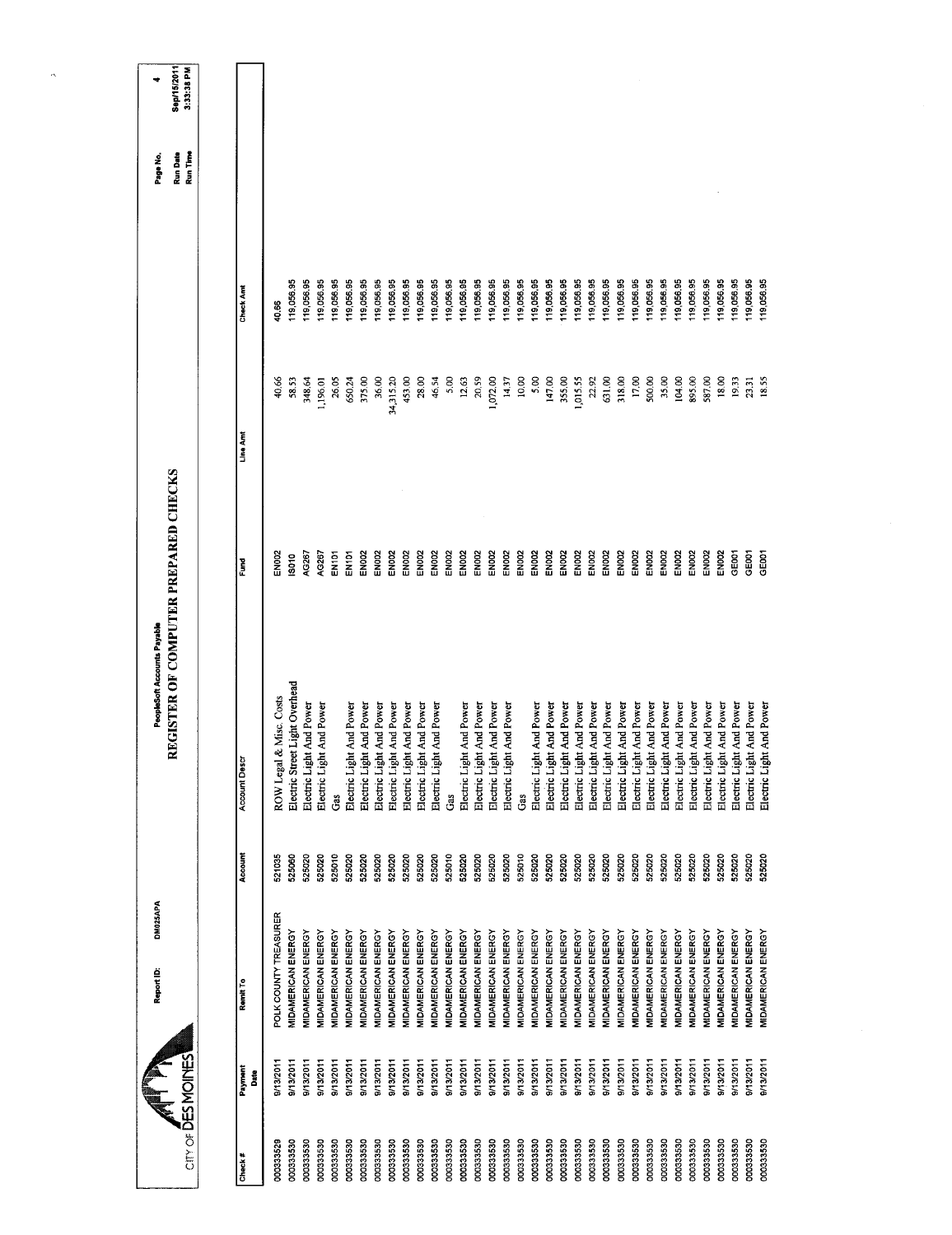| Sep/15/2011<br>3:33:38 PM<br>Run Date<br>Run Time<br>119,056.95<br>119,056.95<br>19,056.95<br>19,056.95<br>119,056.95<br>19,056.95<br>119,056.95<br>19,056.95<br>119,056.95<br>19,056.95<br>19,056,95<br>119,056,95<br>19,056.95<br>19,056.95<br>19 056 95<br>19,056.95<br>19,056.95<br>19,056.95<br>19,056.95<br>19,056.95<br>119,056.95<br>119,056.95<br>19,056.95<br>119,056.95<br>19,056.95<br>19,056.95<br>119,056.95<br>119,056.95<br>19,056.95<br>19,056.95<br>19,056.95<br>19,056.95<br>19,056.95<br>19,056.95<br>Check Am<br>40.66<br>34,315.20<br>28.00<br>20.59<br>10.00<br>147.00<br>22.92<br>631.00<br>17,00<br>500.00<br>104.00<br>18.00<br>19.33<br>18.55<br>348,64<br>26.05<br>453.00<br>46.54<br>5.00<br>12.63<br>14.37<br>5.00<br>355.00<br>1,015.55<br>318.00<br>35.00<br>895.00<br>587.00<br>40.66<br>58.53<br>1,196.01<br>650,24<br>375.00<br>36.00<br>1,072.00<br>23.31<br>Line Am<br>REGISTER OF COMPUTER PREPARED CHECKS<br><b>EN002</b><br>EN002<br>EN002<br><b>EN002</b><br><b>EN002</b><br>EN002<br>EN002<br>AG267<br><b>EN002</b><br>EN002<br>EN002<br><b>EN002</b><br>EN002<br><b>EN002</b><br>EN002<br><b>EN002</b><br>EN002<br>EN002<br>EN002<br>EN002<br>EN002<br>EN002<br>GE <sub>001</sub><br>GE001<br>AG267<br>EN002<br><b>EN002</b><br>EN <sub>002</sub><br>EN002<br>GE001<br>EN <sub>002</sub><br>EN <sub>101</sub><br>EN <sub>002</sub><br>EN <sub>101</sub><br><b>SO10</b><br>Į<br>Electric Street Light Overhead<br>ROW Legal & Misc. Costs<br>Electric Light And Power<br>Electric Light And Power<br>Electric Light And Power<br>Electric Light And Power<br>Electric Light And Power<br>Electric Light And Power<br>Electric Light And Power<br>Electric Light And Power<br>Electric Light And Power<br>Electric Light And Power<br>Electric Light And Power<br>Electric Light And Power<br>Electric Light And Power<br>Electric Light And Power<br>Electric Light And Power<br>Electric Light And Power<br>Electric Light And Power<br>Electric Light And Power<br>Electric Light And Power<br>Electric Light And Power<br>Electric Light And Power<br>Electric Light And Power<br>Electric Light And Power<br>Electric Light And Power<br>Electric Light And Power<br>Electric Light And Power<br>Electric Light And Power<br>Electric Light And Power<br>Electric Light And Power<br>Electric Light And Power<br><b>Account Descr</b><br>Gas<br>Gas<br>Gas<br>Account<br>525020<br>521035<br>525020<br>525020<br>525010<br>525010<br>525020<br>525020<br>525010<br>525020<br>525020<br>525020<br>525020<br>525020<br>525020<br>525020<br>525020<br>525020<br>525020<br>525020<br>525020<br>525020<br>525020<br>525060<br>525020<br>525020<br>525020<br>525020<br>525020<br>525020<br>525020<br>525020<br>525020<br>525020<br>525020<br>POLK COUNTY TREASURER<br><b><i>INDAMERICAN ENERGY</i></b><br>MIDAMERICAN ENERGY<br><b>MIDAMERICAN ENERGY</b><br>MIDAMERICAN ENERGY<br><b>MIDAMERICAN ENERGY</b><br><b>MIDAMERICAN ENERGY</b><br><b>MIDAMERICAN ENERGY</b><br><b>MIDAMERICAN ENERGY</b><br><b>MIDAMERICAN ENERGY</b><br><b>MIDAMERICAN ENERGY</b><br><b>MIDAMERICAN ENERGY</b><br><b>MIDAMERICAN ENERGY</b><br>MIDAMERICAN ENERGY<br><b>MIDAMERICAN ENERGY</b><br><b>MIDAMERICAN ENERGY</b><br>MIDAMERICAN ENERGY<br><b><i>AIDAMERICAN ENERGY</i></b><br><b>MIDAMERICAN ENERGY</b><br><b>MIDAMERICAN ENERGY</b><br><b><i>MIDAMERICAN ENERGY</i></b><br>MIDAMERICAN ENERGY<br><b>MIDAMERICAN ENERGY</b><br><b>MIDAMERICAN ENERGY</b><br><b>MIDAMERICAN ENERGY</b><br><b>VIDAMERICAN ENERGY</b><br>MIDAMERICAN ENERGY<br><b>VIDAMERICAN ENERGY</b><br><b>MIDAMERICAN ENERGY</b><br><b>MIDAMERICAN ENERGY</b><br>MIDAMERICAN ENERGY<br><b><i>MIDAMERICAN ENERGY</i></b><br>MIDAMERICAN ENERGY<br><b>MIDAMERICAN ENERGY</b><br><b><i>AIDAMERICAN ENERGY</i></b><br>Remit To<br>City of DES MOINES<br>9/13/2011<br>0/13/2011<br>9/13/2011<br>9/13/2011<br>9/13/2011<br>9/13/2011<br>9/13/2011<br><b>PIGZ/S1/6</b><br>9/13/2011<br>9/13/2011<br>9/13/2011<br><b>0/13/2011</b><br>9/13/2011<br>9/13/2011<br><b>PIGZ/S1/6</b><br>9/13/2011<br>9/13/2011<br><b>P/13/2011</b><br>9/13/2011<br>9/13/2011<br>9/13/2011<br>B/13/2011<br>9/13/2011<br>9/13/2011<br><b>PI3/2011</b><br>9/13/2011<br>9/13/2011<br>9/13/2011<br>9/13/2011<br>9/13/2011<br>9/13/2011<br>9/13/2011<br>9/13/2011<br>9/13/2011<br>9/13/2011<br>Payment<br>Date |           | <b>DM025APA</b><br>Report ID: | PeopleSoft Accounts Payable |  | Page No. |  |
|-------------------------------------------------------------------------------------------------------------------------------------------------------------------------------------------------------------------------------------------------------------------------------------------------------------------------------------------------------------------------------------------------------------------------------------------------------------------------------------------------------------------------------------------------------------------------------------------------------------------------------------------------------------------------------------------------------------------------------------------------------------------------------------------------------------------------------------------------------------------------------------------------------------------------------------------------------------------------------------------------------------------------------------------------------------------------------------------------------------------------------------------------------------------------------------------------------------------------------------------------------------------------------------------------------------------------------------------------------------------------------------------------------------------------------------------------------------------------------------------------------------------------------------------------------------------------------------------------------------------------------------------------------------------------------------------------------------------------------------------------------------------------------------------------------------------------------------------------------------------------------------------------------------------------------------------------------------------------------------------------------------------------------------------------------------------------------------------------------------------------------------------------------------------------------------------------------------------------------------------------------------------------------------------------------------------------------------------------------------------------------------------------------------------------------------------------------------------------------------------------------------------------------------------------------------------------------------------------------------------------------------------------------------------------------------------------------------------------------------------------------------------------------------------------------------------------------------------------------------------------------------------------------------------------------------------------------------------------------------------------------------------------------------------------------------------------------------------------------------------------------------------------------------------------------------------------------------------------------------------------------------------------------------------------------------------------------------------------------------------------------------------------------------------------------------------------------------------------------------------------------------------------------------------------------------------------------------------------------------------------------------------------------------------------------------------------------------------------------------------------------------------------------------------------------------------------------------------------------------------------------------------------------------------------------------------------------------------------------------------------------------------------------------------------------------------------------------------------------------------------------------------------------------------------------------------------------------------------------------------------------------------------------------------------------------------------------------------------------------------------------|-----------|-------------------------------|-----------------------------|--|----------|--|
|                                                                                                                                                                                                                                                                                                                                                                                                                                                                                                                                                                                                                                                                                                                                                                                                                                                                                                                                                                                                                                                                                                                                                                                                                                                                                                                                                                                                                                                                                                                                                                                                                                                                                                                                                                                                                                                                                                                                                                                                                                                                                                                                                                                                                                                                                                                                                                                                                                                                                                                                                                                                                                                                                                                                                                                                                                                                                                                                                                                                                                                                                                                                                                                                                                                                                                                                                                                                                                                                                                                                                                                                                                                                                                                                                                                                                                                                                                                                                                                                                                                                                                                                                                                                                                                                                                                                                                               |           |                               |                             |  |          |  |
|                                                                                                                                                                                                                                                                                                                                                                                                                                                                                                                                                                                                                                                                                                                                                                                                                                                                                                                                                                                                                                                                                                                                                                                                                                                                                                                                                                                                                                                                                                                                                                                                                                                                                                                                                                                                                                                                                                                                                                                                                                                                                                                                                                                                                                                                                                                                                                                                                                                                                                                                                                                                                                                                                                                                                                                                                                                                                                                                                                                                                                                                                                                                                                                                                                                                                                                                                                                                                                                                                                                                                                                                                                                                                                                                                                                                                                                                                                                                                                                                                                                                                                                                                                                                                                                                                                                                                                               |           |                               |                             |  |          |  |
|                                                                                                                                                                                                                                                                                                                                                                                                                                                                                                                                                                                                                                                                                                                                                                                                                                                                                                                                                                                                                                                                                                                                                                                                                                                                                                                                                                                                                                                                                                                                                                                                                                                                                                                                                                                                                                                                                                                                                                                                                                                                                                                                                                                                                                                                                                                                                                                                                                                                                                                                                                                                                                                                                                                                                                                                                                                                                                                                                                                                                                                                                                                                                                                                                                                                                                                                                                                                                                                                                                                                                                                                                                                                                                                                                                                                                                                                                                                                                                                                                                                                                                                                                                                                                                                                                                                                                                               | Check #   |                               |                             |  |          |  |
|                                                                                                                                                                                                                                                                                                                                                                                                                                                                                                                                                                                                                                                                                                                                                                                                                                                                                                                                                                                                                                                                                                                                                                                                                                                                                                                                                                                                                                                                                                                                                                                                                                                                                                                                                                                                                                                                                                                                                                                                                                                                                                                                                                                                                                                                                                                                                                                                                                                                                                                                                                                                                                                                                                                                                                                                                                                                                                                                                                                                                                                                                                                                                                                                                                                                                                                                                                                                                                                                                                                                                                                                                                                                                                                                                                                                                                                                                                                                                                                                                                                                                                                                                                                                                                                                                                                                                                               | 000333529 |                               |                             |  |          |  |
| 000333530                                                                                                                                                                                                                                                                                                                                                                                                                                                                                                                                                                                                                                                                                                                                                                                                                                                                                                                                                                                                                                                                                                                                                                                                                                                                                                                                                                                                                                                                                                                                                                                                                                                                                                                                                                                                                                                                                                                                                                                                                                                                                                                                                                                                                                                                                                                                                                                                                                                                                                                                                                                                                                                                                                                                                                                                                                                                                                                                                                                                                                                                                                                                                                                                                                                                                                                                                                                                                                                                                                                                                                                                                                                                                                                                                                                                                                                                                                                                                                                                                                                                                                                                                                                                                                                                                                                                                                     | 000333530 |                               |                             |  |          |  |
|                                                                                                                                                                                                                                                                                                                                                                                                                                                                                                                                                                                                                                                                                                                                                                                                                                                                                                                                                                                                                                                                                                                                                                                                                                                                                                                                                                                                                                                                                                                                                                                                                                                                                                                                                                                                                                                                                                                                                                                                                                                                                                                                                                                                                                                                                                                                                                                                                                                                                                                                                                                                                                                                                                                                                                                                                                                                                                                                                                                                                                                                                                                                                                                                                                                                                                                                                                                                                                                                                                                                                                                                                                                                                                                                                                                                                                                                                                                                                                                                                                                                                                                                                                                                                                                                                                                                                                               |           |                               |                             |  |          |  |
|                                                                                                                                                                                                                                                                                                                                                                                                                                                                                                                                                                                                                                                                                                                                                                                                                                                                                                                                                                                                                                                                                                                                                                                                                                                                                                                                                                                                                                                                                                                                                                                                                                                                                                                                                                                                                                                                                                                                                                                                                                                                                                                                                                                                                                                                                                                                                                                                                                                                                                                                                                                                                                                                                                                                                                                                                                                                                                                                                                                                                                                                                                                                                                                                                                                                                                                                                                                                                                                                                                                                                                                                                                                                                                                                                                                                                                                                                                                                                                                                                                                                                                                                                                                                                                                                                                                                                                               | 000333530 |                               |                             |  |          |  |
|                                                                                                                                                                                                                                                                                                                                                                                                                                                                                                                                                                                                                                                                                                                                                                                                                                                                                                                                                                                                                                                                                                                                                                                                                                                                                                                                                                                                                                                                                                                                                                                                                                                                                                                                                                                                                                                                                                                                                                                                                                                                                                                                                                                                                                                                                                                                                                                                                                                                                                                                                                                                                                                                                                                                                                                                                                                                                                                                                                                                                                                                                                                                                                                                                                                                                                                                                                                                                                                                                                                                                                                                                                                                                                                                                                                                                                                                                                                                                                                                                                                                                                                                                                                                                                                                                                                                                                               | 000333530 |                               |                             |  |          |  |
| 000333530<br>000333530<br>000333530<br>000333530<br>000333530<br>000333530<br>000333530<br>000333530<br>000333530<br>000333530                                                                                                                                                                                                                                                                                                                                                                                                                                                                                                                                                                                                                                                                                                                                                                                                                                                                                                                                                                                                                                                                                                                                                                                                                                                                                                                                                                                                                                                                                                                                                                                                                                                                                                                                                                                                                                                                                                                                                                                                                                                                                                                                                                                                                                                                                                                                                                                                                                                                                                                                                                                                                                                                                                                                                                                                                                                                                                                                                                                                                                                                                                                                                                                                                                                                                                                                                                                                                                                                                                                                                                                                                                                                                                                                                                                                                                                                                                                                                                                                                                                                                                                                                                                                                                                | 000333530 |                               |                             |  |          |  |
| 000333530<br>000333530<br>000333530<br>00033530<br>000333530<br>000333530<br>000333530<br>000333530<br>000333530<br>000333530<br>000333530<br>000333530<br>000333530<br>000333530<br>000333530<br>000333530<br>000333530<br>000333530<br>000333530                                                                                                                                                                                                                                                                                                                                                                                                                                                                                                                                                                                                                                                                                                                                                                                                                                                                                                                                                                                                                                                                                                                                                                                                                                                                                                                                                                                                                                                                                                                                                                                                                                                                                                                                                                                                                                                                                                                                                                                                                                                                                                                                                                                                                                                                                                                                                                                                                                                                                                                                                                                                                                                                                                                                                                                                                                                                                                                                                                                                                                                                                                                                                                                                                                                                                                                                                                                                                                                                                                                                                                                                                                                                                                                                                                                                                                                                                                                                                                                                                                                                                                                            |           |                               |                             |  |          |  |
|                                                                                                                                                                                                                                                                                                                                                                                                                                                                                                                                                                                                                                                                                                                                                                                                                                                                                                                                                                                                                                                                                                                                                                                                                                                                                                                                                                                                                                                                                                                                                                                                                                                                                                                                                                                                                                                                                                                                                                                                                                                                                                                                                                                                                                                                                                                                                                                                                                                                                                                                                                                                                                                                                                                                                                                                                                                                                                                                                                                                                                                                                                                                                                                                                                                                                                                                                                                                                                                                                                                                                                                                                                                                                                                                                                                                                                                                                                                                                                                                                                                                                                                                                                                                                                                                                                                                                                               |           |                               |                             |  |          |  |
|                                                                                                                                                                                                                                                                                                                                                                                                                                                                                                                                                                                                                                                                                                                                                                                                                                                                                                                                                                                                                                                                                                                                                                                                                                                                                                                                                                                                                                                                                                                                                                                                                                                                                                                                                                                                                                                                                                                                                                                                                                                                                                                                                                                                                                                                                                                                                                                                                                                                                                                                                                                                                                                                                                                                                                                                                                                                                                                                                                                                                                                                                                                                                                                                                                                                                                                                                                                                                                                                                                                                                                                                                                                                                                                                                                                                                                                                                                                                                                                                                                                                                                                                                                                                                                                                                                                                                                               |           |                               |                             |  |          |  |
|                                                                                                                                                                                                                                                                                                                                                                                                                                                                                                                                                                                                                                                                                                                                                                                                                                                                                                                                                                                                                                                                                                                                                                                                                                                                                                                                                                                                                                                                                                                                                                                                                                                                                                                                                                                                                                                                                                                                                                                                                                                                                                                                                                                                                                                                                                                                                                                                                                                                                                                                                                                                                                                                                                                                                                                                                                                                                                                                                                                                                                                                                                                                                                                                                                                                                                                                                                                                                                                                                                                                                                                                                                                                                                                                                                                                                                                                                                                                                                                                                                                                                                                                                                                                                                                                                                                                                                               |           |                               |                             |  |          |  |
|                                                                                                                                                                                                                                                                                                                                                                                                                                                                                                                                                                                                                                                                                                                                                                                                                                                                                                                                                                                                                                                                                                                                                                                                                                                                                                                                                                                                                                                                                                                                                                                                                                                                                                                                                                                                                                                                                                                                                                                                                                                                                                                                                                                                                                                                                                                                                                                                                                                                                                                                                                                                                                                                                                                                                                                                                                                                                                                                                                                                                                                                                                                                                                                                                                                                                                                                                                                                                                                                                                                                                                                                                                                                                                                                                                                                                                                                                                                                                                                                                                                                                                                                                                                                                                                                                                                                                                               |           |                               |                             |  |          |  |
|                                                                                                                                                                                                                                                                                                                                                                                                                                                                                                                                                                                                                                                                                                                                                                                                                                                                                                                                                                                                                                                                                                                                                                                                                                                                                                                                                                                                                                                                                                                                                                                                                                                                                                                                                                                                                                                                                                                                                                                                                                                                                                                                                                                                                                                                                                                                                                                                                                                                                                                                                                                                                                                                                                                                                                                                                                                                                                                                                                                                                                                                                                                                                                                                                                                                                                                                                                                                                                                                                                                                                                                                                                                                                                                                                                                                                                                                                                                                                                                                                                                                                                                                                                                                                                                                                                                                                                               |           |                               |                             |  |          |  |
|                                                                                                                                                                                                                                                                                                                                                                                                                                                                                                                                                                                                                                                                                                                                                                                                                                                                                                                                                                                                                                                                                                                                                                                                                                                                                                                                                                                                                                                                                                                                                                                                                                                                                                                                                                                                                                                                                                                                                                                                                                                                                                                                                                                                                                                                                                                                                                                                                                                                                                                                                                                                                                                                                                                                                                                                                                                                                                                                                                                                                                                                                                                                                                                                                                                                                                                                                                                                                                                                                                                                                                                                                                                                                                                                                                                                                                                                                                                                                                                                                                                                                                                                                                                                                                                                                                                                                                               |           |                               |                             |  |          |  |
|                                                                                                                                                                                                                                                                                                                                                                                                                                                                                                                                                                                                                                                                                                                                                                                                                                                                                                                                                                                                                                                                                                                                                                                                                                                                                                                                                                                                                                                                                                                                                                                                                                                                                                                                                                                                                                                                                                                                                                                                                                                                                                                                                                                                                                                                                                                                                                                                                                                                                                                                                                                                                                                                                                                                                                                                                                                                                                                                                                                                                                                                                                                                                                                                                                                                                                                                                                                                                                                                                                                                                                                                                                                                                                                                                                                                                                                                                                                                                                                                                                                                                                                                                                                                                                                                                                                                                                               |           |                               |                             |  |          |  |
|                                                                                                                                                                                                                                                                                                                                                                                                                                                                                                                                                                                                                                                                                                                                                                                                                                                                                                                                                                                                                                                                                                                                                                                                                                                                                                                                                                                                                                                                                                                                                                                                                                                                                                                                                                                                                                                                                                                                                                                                                                                                                                                                                                                                                                                                                                                                                                                                                                                                                                                                                                                                                                                                                                                                                                                                                                                                                                                                                                                                                                                                                                                                                                                                                                                                                                                                                                                                                                                                                                                                                                                                                                                                                                                                                                                                                                                                                                                                                                                                                                                                                                                                                                                                                                                                                                                                                                               |           |                               |                             |  |          |  |
|                                                                                                                                                                                                                                                                                                                                                                                                                                                                                                                                                                                                                                                                                                                                                                                                                                                                                                                                                                                                                                                                                                                                                                                                                                                                                                                                                                                                                                                                                                                                                                                                                                                                                                                                                                                                                                                                                                                                                                                                                                                                                                                                                                                                                                                                                                                                                                                                                                                                                                                                                                                                                                                                                                                                                                                                                                                                                                                                                                                                                                                                                                                                                                                                                                                                                                                                                                                                                                                                                                                                                                                                                                                                                                                                                                                                                                                                                                                                                                                                                                                                                                                                                                                                                                                                                                                                                                               |           |                               |                             |  |          |  |
|                                                                                                                                                                                                                                                                                                                                                                                                                                                                                                                                                                                                                                                                                                                                                                                                                                                                                                                                                                                                                                                                                                                                                                                                                                                                                                                                                                                                                                                                                                                                                                                                                                                                                                                                                                                                                                                                                                                                                                                                                                                                                                                                                                                                                                                                                                                                                                                                                                                                                                                                                                                                                                                                                                                                                                                                                                                                                                                                                                                                                                                                                                                                                                                                                                                                                                                                                                                                                                                                                                                                                                                                                                                                                                                                                                                                                                                                                                                                                                                                                                                                                                                                                                                                                                                                                                                                                                               |           |                               |                             |  |          |  |
|                                                                                                                                                                                                                                                                                                                                                                                                                                                                                                                                                                                                                                                                                                                                                                                                                                                                                                                                                                                                                                                                                                                                                                                                                                                                                                                                                                                                                                                                                                                                                                                                                                                                                                                                                                                                                                                                                                                                                                                                                                                                                                                                                                                                                                                                                                                                                                                                                                                                                                                                                                                                                                                                                                                                                                                                                                                                                                                                                                                                                                                                                                                                                                                                                                                                                                                                                                                                                                                                                                                                                                                                                                                                                                                                                                                                                                                                                                                                                                                                                                                                                                                                                                                                                                                                                                                                                                               |           |                               |                             |  |          |  |
|                                                                                                                                                                                                                                                                                                                                                                                                                                                                                                                                                                                                                                                                                                                                                                                                                                                                                                                                                                                                                                                                                                                                                                                                                                                                                                                                                                                                                                                                                                                                                                                                                                                                                                                                                                                                                                                                                                                                                                                                                                                                                                                                                                                                                                                                                                                                                                                                                                                                                                                                                                                                                                                                                                                                                                                                                                                                                                                                                                                                                                                                                                                                                                                                                                                                                                                                                                                                                                                                                                                                                                                                                                                                                                                                                                                                                                                                                                                                                                                                                                                                                                                                                                                                                                                                                                                                                                               |           |                               |                             |  |          |  |
|                                                                                                                                                                                                                                                                                                                                                                                                                                                                                                                                                                                                                                                                                                                                                                                                                                                                                                                                                                                                                                                                                                                                                                                                                                                                                                                                                                                                                                                                                                                                                                                                                                                                                                                                                                                                                                                                                                                                                                                                                                                                                                                                                                                                                                                                                                                                                                                                                                                                                                                                                                                                                                                                                                                                                                                                                                                                                                                                                                                                                                                                                                                                                                                                                                                                                                                                                                                                                                                                                                                                                                                                                                                                                                                                                                                                                                                                                                                                                                                                                                                                                                                                                                                                                                                                                                                                                                               |           |                               |                             |  |          |  |
|                                                                                                                                                                                                                                                                                                                                                                                                                                                                                                                                                                                                                                                                                                                                                                                                                                                                                                                                                                                                                                                                                                                                                                                                                                                                                                                                                                                                                                                                                                                                                                                                                                                                                                                                                                                                                                                                                                                                                                                                                                                                                                                                                                                                                                                                                                                                                                                                                                                                                                                                                                                                                                                                                                                                                                                                                                                                                                                                                                                                                                                                                                                                                                                                                                                                                                                                                                                                                                                                                                                                                                                                                                                                                                                                                                                                                                                                                                                                                                                                                                                                                                                                                                                                                                                                                                                                                                               |           |                               |                             |  |          |  |
|                                                                                                                                                                                                                                                                                                                                                                                                                                                                                                                                                                                                                                                                                                                                                                                                                                                                                                                                                                                                                                                                                                                                                                                                                                                                                                                                                                                                                                                                                                                                                                                                                                                                                                                                                                                                                                                                                                                                                                                                                                                                                                                                                                                                                                                                                                                                                                                                                                                                                                                                                                                                                                                                                                                                                                                                                                                                                                                                                                                                                                                                                                                                                                                                                                                                                                                                                                                                                                                                                                                                                                                                                                                                                                                                                                                                                                                                                                                                                                                                                                                                                                                                                                                                                                                                                                                                                                               |           |                               |                             |  |          |  |
|                                                                                                                                                                                                                                                                                                                                                                                                                                                                                                                                                                                                                                                                                                                                                                                                                                                                                                                                                                                                                                                                                                                                                                                                                                                                                                                                                                                                                                                                                                                                                                                                                                                                                                                                                                                                                                                                                                                                                                                                                                                                                                                                                                                                                                                                                                                                                                                                                                                                                                                                                                                                                                                                                                                                                                                                                                                                                                                                                                                                                                                                                                                                                                                                                                                                                                                                                                                                                                                                                                                                                                                                                                                                                                                                                                                                                                                                                                                                                                                                                                                                                                                                                                                                                                                                                                                                                                               |           |                               |                             |  |          |  |
|                                                                                                                                                                                                                                                                                                                                                                                                                                                                                                                                                                                                                                                                                                                                                                                                                                                                                                                                                                                                                                                                                                                                                                                                                                                                                                                                                                                                                                                                                                                                                                                                                                                                                                                                                                                                                                                                                                                                                                                                                                                                                                                                                                                                                                                                                                                                                                                                                                                                                                                                                                                                                                                                                                                                                                                                                                                                                                                                                                                                                                                                                                                                                                                                                                                                                                                                                                                                                                                                                                                                                                                                                                                                                                                                                                                                                                                                                                                                                                                                                                                                                                                                                                                                                                                                                                                                                                               |           |                               |                             |  |          |  |
|                                                                                                                                                                                                                                                                                                                                                                                                                                                                                                                                                                                                                                                                                                                                                                                                                                                                                                                                                                                                                                                                                                                                                                                                                                                                                                                                                                                                                                                                                                                                                                                                                                                                                                                                                                                                                                                                                                                                                                                                                                                                                                                                                                                                                                                                                                                                                                                                                                                                                                                                                                                                                                                                                                                                                                                                                                                                                                                                                                                                                                                                                                                                                                                                                                                                                                                                                                                                                                                                                                                                                                                                                                                                                                                                                                                                                                                                                                                                                                                                                                                                                                                                                                                                                                                                                                                                                                               |           |                               |                             |  |          |  |
|                                                                                                                                                                                                                                                                                                                                                                                                                                                                                                                                                                                                                                                                                                                                                                                                                                                                                                                                                                                                                                                                                                                                                                                                                                                                                                                                                                                                                                                                                                                                                                                                                                                                                                                                                                                                                                                                                                                                                                                                                                                                                                                                                                                                                                                                                                                                                                                                                                                                                                                                                                                                                                                                                                                                                                                                                                                                                                                                                                                                                                                                                                                                                                                                                                                                                                                                                                                                                                                                                                                                                                                                                                                                                                                                                                                                                                                                                                                                                                                                                                                                                                                                                                                                                                                                                                                                                                               |           |                               |                             |  |          |  |
|                                                                                                                                                                                                                                                                                                                                                                                                                                                                                                                                                                                                                                                                                                                                                                                                                                                                                                                                                                                                                                                                                                                                                                                                                                                                                                                                                                                                                                                                                                                                                                                                                                                                                                                                                                                                                                                                                                                                                                                                                                                                                                                                                                                                                                                                                                                                                                                                                                                                                                                                                                                                                                                                                                                                                                                                                                                                                                                                                                                                                                                                                                                                                                                                                                                                                                                                                                                                                                                                                                                                                                                                                                                                                                                                                                                                                                                                                                                                                                                                                                                                                                                                                                                                                                                                                                                                                                               |           |                               |                             |  |          |  |
|                                                                                                                                                                                                                                                                                                                                                                                                                                                                                                                                                                                                                                                                                                                                                                                                                                                                                                                                                                                                                                                                                                                                                                                                                                                                                                                                                                                                                                                                                                                                                                                                                                                                                                                                                                                                                                                                                                                                                                                                                                                                                                                                                                                                                                                                                                                                                                                                                                                                                                                                                                                                                                                                                                                                                                                                                                                                                                                                                                                                                                                                                                                                                                                                                                                                                                                                                                                                                                                                                                                                                                                                                                                                                                                                                                                                                                                                                                                                                                                                                                                                                                                                                                                                                                                                                                                                                                               |           |                               |                             |  |          |  |
|                                                                                                                                                                                                                                                                                                                                                                                                                                                                                                                                                                                                                                                                                                                                                                                                                                                                                                                                                                                                                                                                                                                                                                                                                                                                                                                                                                                                                                                                                                                                                                                                                                                                                                                                                                                                                                                                                                                                                                                                                                                                                                                                                                                                                                                                                                                                                                                                                                                                                                                                                                                                                                                                                                                                                                                                                                                                                                                                                                                                                                                                                                                                                                                                                                                                                                                                                                                                                                                                                                                                                                                                                                                                                                                                                                                                                                                                                                                                                                                                                                                                                                                                                                                                                                                                                                                                                                               |           |                               |                             |  |          |  |
|                                                                                                                                                                                                                                                                                                                                                                                                                                                                                                                                                                                                                                                                                                                                                                                                                                                                                                                                                                                                                                                                                                                                                                                                                                                                                                                                                                                                                                                                                                                                                                                                                                                                                                                                                                                                                                                                                                                                                                                                                                                                                                                                                                                                                                                                                                                                                                                                                                                                                                                                                                                                                                                                                                                                                                                                                                                                                                                                                                                                                                                                                                                                                                                                                                                                                                                                                                                                                                                                                                                                                                                                                                                                                                                                                                                                                                                                                                                                                                                                                                                                                                                                                                                                                                                                                                                                                                               |           |                               |                             |  |          |  |
|                                                                                                                                                                                                                                                                                                                                                                                                                                                                                                                                                                                                                                                                                                                                                                                                                                                                                                                                                                                                                                                                                                                                                                                                                                                                                                                                                                                                                                                                                                                                                                                                                                                                                                                                                                                                                                                                                                                                                                                                                                                                                                                                                                                                                                                                                                                                                                                                                                                                                                                                                                                                                                                                                                                                                                                                                                                                                                                                                                                                                                                                                                                                                                                                                                                                                                                                                                                                                                                                                                                                                                                                                                                                                                                                                                                                                                                                                                                                                                                                                                                                                                                                                                                                                                                                                                                                                                               |           |                               |                             |  |          |  |
|                                                                                                                                                                                                                                                                                                                                                                                                                                                                                                                                                                                                                                                                                                                                                                                                                                                                                                                                                                                                                                                                                                                                                                                                                                                                                                                                                                                                                                                                                                                                                                                                                                                                                                                                                                                                                                                                                                                                                                                                                                                                                                                                                                                                                                                                                                                                                                                                                                                                                                                                                                                                                                                                                                                                                                                                                                                                                                                                                                                                                                                                                                                                                                                                                                                                                                                                                                                                                                                                                                                                                                                                                                                                                                                                                                                                                                                                                                                                                                                                                                                                                                                                                                                                                                                                                                                                                                               |           |                               |                             |  |          |  |
|                                                                                                                                                                                                                                                                                                                                                                                                                                                                                                                                                                                                                                                                                                                                                                                                                                                                                                                                                                                                                                                                                                                                                                                                                                                                                                                                                                                                                                                                                                                                                                                                                                                                                                                                                                                                                                                                                                                                                                                                                                                                                                                                                                                                                                                                                                                                                                                                                                                                                                                                                                                                                                                                                                                                                                                                                                                                                                                                                                                                                                                                                                                                                                                                                                                                                                                                                                                                                                                                                                                                                                                                                                                                                                                                                                                                                                                                                                                                                                                                                                                                                                                                                                                                                                                                                                                                                                               |           |                               |                             |  |          |  |
|                                                                                                                                                                                                                                                                                                                                                                                                                                                                                                                                                                                                                                                                                                                                                                                                                                                                                                                                                                                                                                                                                                                                                                                                                                                                                                                                                                                                                                                                                                                                                                                                                                                                                                                                                                                                                                                                                                                                                                                                                                                                                                                                                                                                                                                                                                                                                                                                                                                                                                                                                                                                                                                                                                                                                                                                                                                                                                                                                                                                                                                                                                                                                                                                                                                                                                                                                                                                                                                                                                                                                                                                                                                                                                                                                                                                                                                                                                                                                                                                                                                                                                                                                                                                                                                                                                                                                                               |           |                               |                             |  |          |  |
|                                                                                                                                                                                                                                                                                                                                                                                                                                                                                                                                                                                                                                                                                                                                                                                                                                                                                                                                                                                                                                                                                                                                                                                                                                                                                                                                                                                                                                                                                                                                                                                                                                                                                                                                                                                                                                                                                                                                                                                                                                                                                                                                                                                                                                                                                                                                                                                                                                                                                                                                                                                                                                                                                                                                                                                                                                                                                                                                                                                                                                                                                                                                                                                                                                                                                                                                                                                                                                                                                                                                                                                                                                                                                                                                                                                                                                                                                                                                                                                                                                                                                                                                                                                                                                                                                                                                                                               |           |                               |                             |  |          |  |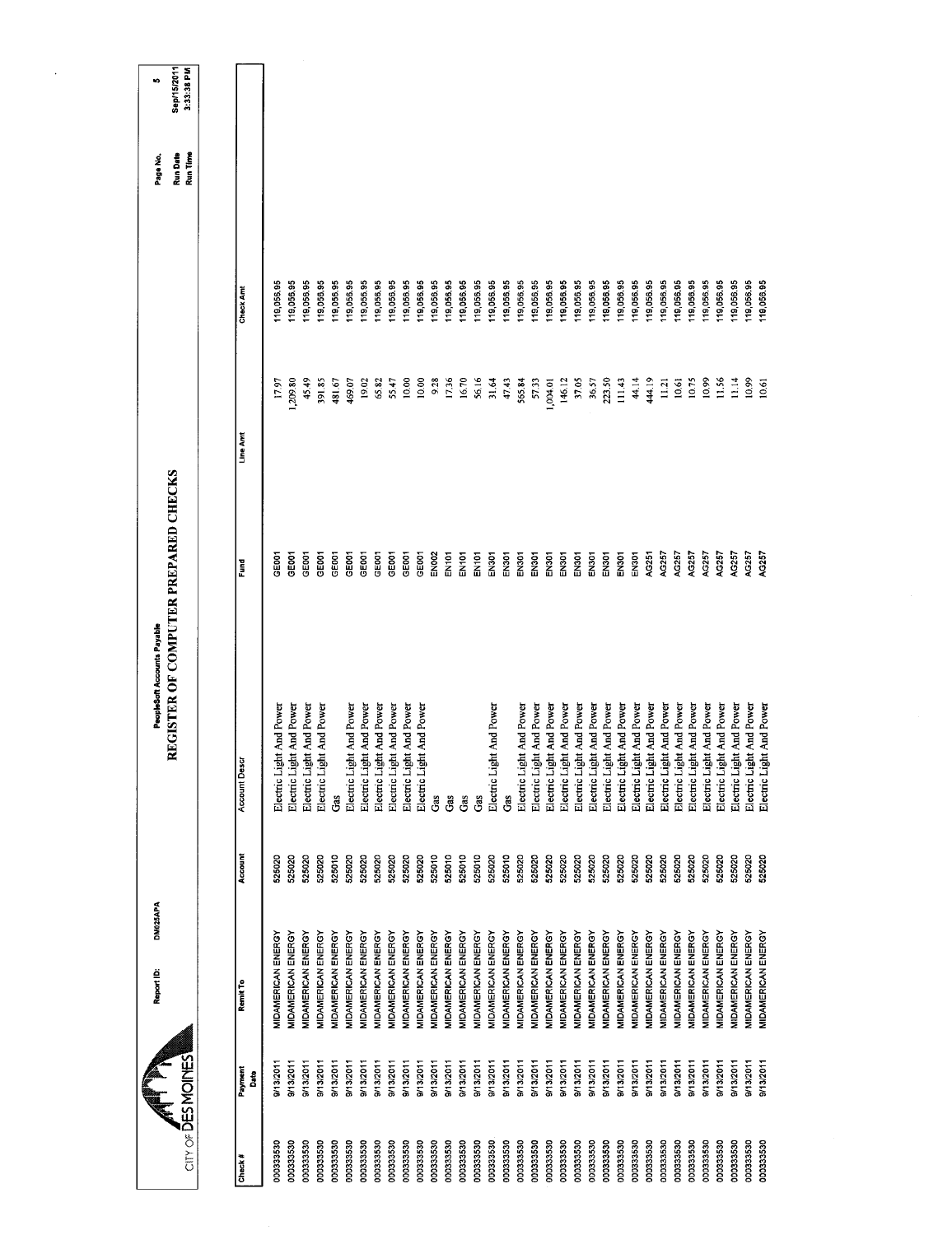| $CITY OF \overline{D}ES MOMES$ |              | DM025APA<br>Report ID:    |         | REGISTER OF COMPUTER PREPARED CHECKS<br>PeopleSoft Accounts Payable |                   |                 |            | Run Date<br>Run Time<br>Page No. | Sep/15/2011<br>3:33:38 PM<br>ю |
|--------------------------------|--------------|---------------------------|---------|---------------------------------------------------------------------|-------------------|-----------------|------------|----------------------------------|--------------------------------|
|                                |              |                           |         |                                                                     |                   |                 |            |                                  |                                |
| Check#                         | Payment<br>å | Remit To                  | Account | <b>Account Desc</b>                                                 | Eund              | Line Amt        | Check Amt  |                                  |                                |
| 000333530                      | 9/13/2011    | <b>MIDAMERICAN ENERGY</b> | 525020  | Electric Light And Power                                            | <b>GEOOT</b>      | 17.97           | 119,056.95 |                                  |                                |
| 000333530                      | 9/13/2011    | MIDAMERICAN ENERGY        | 525020  | Electric Light And Power                                            | <b>GEOOT</b>      | 1,209.80        | 119,056.95 |                                  |                                |
| 000333530                      | 9/13/2011    | MIDAMERICAN ENERGY        | 525020  | Electric Light And Power                                            | GEOOT             | 45.49           | 119,056.95 |                                  |                                |
| 000333530                      | 9/13/2011    | <b>MIDAMERICAN ENERGY</b> | 525020  | Electric Light And Power                                            | GE001             | 391.85          | 119,056.95 |                                  |                                |
| 000333530                      | 9/13/2011    | MIDAMERICAN ENERGY        | 525010  | Gas                                                                 | GEOOT             | 481.67          | 119,056.95 |                                  |                                |
| 000333530                      | 9/13/2011    | MIDAMERICAN ENERGY        | 525020  | Electric Light And Power                                            | GEOOT             | 469.07          | 119,056.95 |                                  |                                |
| 000333530                      | 9/13/2011    | MIDAMERICAN ENERGY        | 525020  | Electric Light And Power                                            | GEOOT             | 19.02           | 119,056.95 |                                  |                                |
| 000333530                      | 9/13/2011    | MIDAMERICAN ENERGY        | 525020  | Electric Light And Power                                            | GEOOT             | 65.82           | 119,056.95 |                                  |                                |
| 000333530                      | 9/13/2011    | MIDAMERICAN ENERGY        | 525020  | Electric Light And Power                                            | GE001             | 55.47           | 119,056.95 |                                  |                                |
| 000333530                      | 9/13/2011    | <b>MIDAMERICAN ENERGY</b> | 525020  | Electric Light And Power                                            | GE001             | 10.00           | 119,056.95 |                                  |                                |
| 000333530                      | 9/13/2011    | <b>MIDAMERICAN ENERGY</b> | 525020  | Electric Light And Power                                            | GEOOT             | 10.00           | 19,056.95  |                                  |                                |
| 000333530                      | 9/13/2011    | MIDAMERICAN ENERGY        | 525010  | Gas                                                                 | EN <sub>002</sub> | 9.28            | 119,056.95 |                                  |                                |
| 000333530                      | 9/13/2011    | MIDAMERICAN ENERGY        | 525010  | Gas                                                                 | EN101             | 17.36           | 119,056.95 |                                  |                                |
| 000333530                      | 9/13/2011    | MIDAMERICAN ENERGY        | 525010  | Gas                                                                 | EN101             | 16.70           | 119,056.95 |                                  |                                |
| 000333530                      | 9/13/2011    | MIDAMERICAN ENERGY        | 525010  | Gas                                                                 | EN <sub>101</sub> | 56.16           | 119,056.95 |                                  |                                |
| 000333530                      | 9/13/2011    | MIDAMERICAN ENERGY        | 525020  | Electric Light And Power                                            | EN301             | 31.64           | 119,056.95 |                                  |                                |
| 000333530                      | 9/13/2011    | MIDAMERICAN ENERGY        | 525010  | Gas                                                                 | EN301             | 47.43           | 119,056.95 |                                  |                                |
| 000333530                      | 9/13/2011    | MIDAMERICAN ENERGY        | 525020  | Electric Light And Power                                            | EN301             | 565.84          | 119,056.95 |                                  |                                |
| 000333530                      | 9/13/2011    | MIDAMERICAN ENERGY        | 525020  | Electric Light And Power                                            | EN301             | 57.33           | 119,056.95 |                                  |                                |
| 000333530                      | 9/13/2011    | MIDAMERICAN ENERGY        | 525020  | Electric Light And Power                                            | EN301             | 1,004.01        | 119,056.95 |                                  |                                |
| 000333530                      | 9/13/2011    | MIDAMERICAN ENERGY        | 525020  | Electric Light And Power                                            | EN301             | 146.12          | 119,056.95 |                                  |                                |
| 000333530                      | 9/13/2011    | MIDAMERICAN ENERGY        | 525020  | Electric Light And Power                                            | <b>EN30</b>       | 37.05           | 119,056.95 |                                  |                                |
| 000333530                      | 9/13/2011    | MIDAMERICAN ENERGY        | 525020  | Electric Light And Power                                            | EN301             | 36.57           | 119,056.95 |                                  |                                |
| 000333530                      | 9/13/2011    | MIDAMERICAN ENERGY        | 525020  | Electric Light And Power                                            | EN301             | 223.50          | 19,056.95  |                                  |                                |
| 000333530                      | B/13/2011    | MIDAMERICAN ENERGY        | 525020  | Electric Light And Power                                            | EN <sub>301</sub> | 111.43          | 19,056.95  |                                  |                                |
| 000333530                      | 9/13/2011    | MIDAMERICAN ENERGY        | 525020  | Electric Light And Power                                            | EN301             | 44.14           | 119,056.95 |                                  |                                |
| 000333530                      | 9/13/2011    | MIDAMERICAN ENERGY        | 525020  | Electric Light And Power                                            | AG251             | 444.19          | 119,056.95 |                                  |                                |
| 000333530                      | 9/13/2011    | MIDAMERICAN ENERGY        | 525020  | Electric Light And Power                                            | AG257             | 11.21           | 19,056,95  |                                  |                                |
| 000333530                      | 9/13/2011    | <b>MIDAMERICAN ENERGY</b> | 525020  | Electric Light And Power                                            | AG257             | 10.61           | 119,056.95 |                                  |                                |
| 000333530                      | 9/13/2011    | <b>MIDAMERICAN ENERGY</b> | 525020  | Electric Light And Power                                            | AG257             | 10.75           | 119,056.95 |                                  |                                |
| 000333530                      | 9/13/2011    | MIDAMERICAN ENERGY        | 525020  | Electric Light And Power                                            | AG257             | 10.99           | 19,056.95  |                                  |                                |
| 000333530                      | 9/13/2011    | MIDAMERICAN ENERGY        | 525020  | Electric Light And Power                                            | AG257             | 11.56           | 119,056.95 |                                  |                                |
| 000333530                      | 9/13/2011    | MIDAMERICAN ENERGY        | 525020  | Electric Light And Power                                            | AG257             | $\frac{14}{11}$ | 119,056.95 |                                  |                                |
| 000333530                      | 9/13/2011    | <b>MIDAMERICAN ENERGY</b> | 525020  | Electric Light And Power                                            | AG257             | 10.99           | 19,056.95  |                                  |                                |
| 000333530                      | 9/13/2011    | MIDAMERICAN ENERGY        | 525020  | Electric Light And Power                                            | AG257             | 10.61           | 119,056.95 |                                  |                                |
|                                |              |                           |         |                                                                     |                   |                 |            |                                  |                                |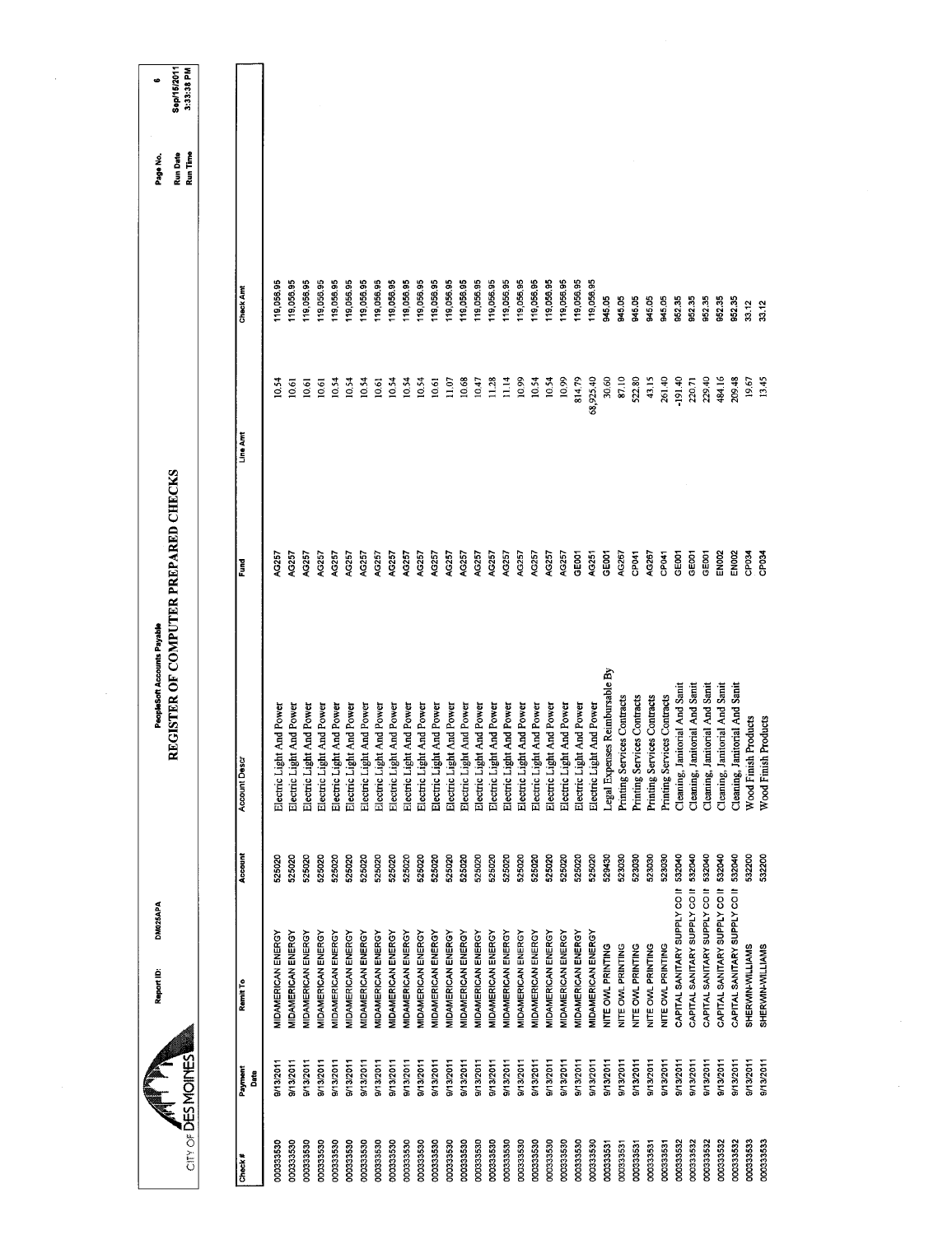| 3:33:38 PM<br>Run Time<br>19,056.95<br>119,056.95<br>119,056.95<br>119,056.95<br>119,056.95<br>19,056.95<br>119,056.95<br>119,056.95<br>19,056.95<br>119,056.95<br>119,056.95<br>19,056.95<br>119,056.95<br>119,056.95<br>19,056.95<br>119,056.95<br>119,056.95<br>19,056.95<br>119,056,95<br>119,056.95<br>19,05695<br>19,056,95<br>19,056.95<br>Check Amt<br>945.05<br>945.05<br>945.05<br>945.05<br>945.05<br>952.35<br>952.35<br>952.35<br>952.35<br>852.35<br>33.12<br>33.12<br>68,925.40<br>30.60<br>8710<br>522.80<br>43.15<br>484.16<br>13.45<br>11.14<br>10.54<br>10.99<br>814.79<br>261.40<br>$-191.40$<br>229.40<br>19.67<br>10.54<br>10.68<br>10.99<br>10.54<br>220.71<br>209.48<br>10.54<br>10.61<br>10.54<br>10.54<br>10.47<br>11.28<br>0,61<br>10.54<br>10.54<br>10.61<br>11.07<br>10.54<br>10,61<br>10,61<br>Line Am<br>AG257<br>AG257<br>AG257<br>AG257<br>AG257<br>GE001<br>AG267<br>AG267<br>GEOOT<br>AG257<br>AG257<br>AG257<br>AG257<br>AG257<br>AG257<br>AG257<br>AG257<br>AG257<br>AG257<br>AG257<br>AG257<br>AC257<br>GEOCT<br>CP041<br>CP041<br>GE001<br>GE <sub>001</sub><br>EN <sub>002</sub><br>EN <sub>002</sub><br>CP <sub>034</sub><br>AG257<br>AG257<br>AG251<br>CP <sub>034</sub><br><b>1G257</b><br>Fund<br>Legal Expenses Reimbursable By<br>Cleaning, Janitorial And Sanit<br>Cleaning, Janitorial And Sanit<br>Cleaning, Janitorial And Sanit<br>Cleaning, Janitorial And Sanit<br>Cleaning, Janitorial And Sanit<br>Printing Services Contracts<br>Printing Services Contracts<br>Printing Services Contracts<br>Printing Services Contracts<br>Electric Light And Power<br>Electric Light And Power<br>Electric Light And Power<br>Electric Light And Power<br>Electric Light And Power<br>Electric Light And Power<br>Electric Light And Power<br>Electric Light And Power<br>Electric Light And Power<br>Electric Light And Power<br>Electric Light And Power<br>Electric Light And Power<br>Electric Light And Power<br>Electric Light And Power<br>Electric Light And Power<br>Electric Light And Power<br>Electric Light And Power<br>Electric Light And Power<br>Electric Light And Power<br>Electric Light And Power<br>Electric Light And Power<br>Electric Light And Power<br>Electric Light And Power<br><b>Wood Finish Products</b><br>Wood Finish Products<br>Account Desc<br>Account<br>532040<br>525020<br>525020<br>523030<br>523030<br>523030<br>532040<br>CAPITAL SANITARY SUPPLY CO II 532040<br>532040<br>CAPITAL SANITARY SUPPLY CO II 532040<br>532200<br>525020<br>525020<br>525020<br>525020<br>525020<br>525020<br>525020<br>525020<br>525020<br>525020<br>529430<br>523030<br>532200<br>525020<br>525020<br>525020<br>525020<br>525020<br>525020<br>525020<br>525020<br>525020<br>525020<br>525020<br>CAPITAL SANITARY SUPPLY CO II<br>CAPITAL SANITARY SUPPLY CO II<br>CAPITAL SANITARY SUPPLY CO II<br>MIDAMERICAN ENERGY<br><b>MIDAMERICAN ENERGY</b><br>MIDAMERICAN ENERGY<br>MIDAMERICAN ENERGY<br>MIDAMERICAN ENERGY<br>MIDAMERICAN ENERGY<br><b>MIDAMERICAN ENERGY</b><br>MIDAMERICAN ENERGY<br><b>MIDAMERICAN ENERGY</b><br>MIDAMERICAN ENERGY<br><b>MIDAMERICAN ENERGY</b><br>MIDAMERICAN ENERGY<br><b>MIDAMERICAN ENERGY</b><br>MIDAMERICAN ENERGY<br><b>MIDAMERICAN ENERGY</b><br>MIDAMERICAN ENERGY<br><b>MIDAMERICAN ENERGY</b><br>MIDAMERICAN ENERGY<br>MIDAMERICAN ENERGY<br>MIDAMERICAN ENERGY<br><b>MIDAMERICAN ENERGY</b><br>MIDAMERICAN ENERGY<br>MIDAMERICAN ENERGY<br>NITE OWL PRINTING<br>NITE OVAL PRINTING<br>NITE OWL PRINTING<br>SHERWIN-WILLIAMS<br>NITE OWL PRINTING<br>NITE OVAL PRINTING<br>SHERWIN-WILLIAMS<br>Remit To<br>$CITY$ of $\overline{D}ES$ MOINES<br>9/13/2011<br>9/13/2011<br>9/13/2011<br>9/13/2011<br>9/13/2011<br>9/13/2011<br>9/13/2011<br>9/13/2011<br>9/13/2011<br>9/13/2011<br>9/13/2011<br>8/13/2011<br>9/13/2011<br>9/13/2011<br>9/13/2011<br>9/13/2011<br>9/13/2011<br>9/13/2011<br>9/13/2011<br>9/13/2011<br>9/13/2011<br>9/13/2011<br>9/13/2011<br>9/13/2011<br>9/13/2011<br>9/13/2011<br>9/13/2011<br>9/13/2011<br>9/13/2011<br>9/13/2011<br>B/13/2011<br>9/13/2011<br>9/13/2011<br>9/13/2011<br>9/13/2011<br>Payment<br>Date<br>000333533<br>000333533<br>000333530<br>000333530<br>000333530<br>000333532<br>000333532<br>000333530<br>000333530<br>000333530<br>000333530<br>000333530<br>000333530<br>00033532<br>000333532<br>000333530<br>000333530<br>000333530<br>000333530<br>00033530<br>000333530<br>000333530<br>000333530<br>000333530<br>000333530<br>00033530<br>000333530<br>000333531<br>000333531<br>000333532<br>000333530<br>000333530<br>000333531<br>000333531<br>000333531<br>Check# |  | DM025APA<br>Report ID: | REGISTER OF COMPUTER PREPARED CHECKS<br>PeopleSoft Accounts Payable |  | Run Date<br>Page No. | Sep/15/2011<br>c |
|-------------------------------------------------------------------------------------------------------------------------------------------------------------------------------------------------------------------------------------------------------------------------------------------------------------------------------------------------------------------------------------------------------------------------------------------------------------------------------------------------------------------------------------------------------------------------------------------------------------------------------------------------------------------------------------------------------------------------------------------------------------------------------------------------------------------------------------------------------------------------------------------------------------------------------------------------------------------------------------------------------------------------------------------------------------------------------------------------------------------------------------------------------------------------------------------------------------------------------------------------------------------------------------------------------------------------------------------------------------------------------------------------------------------------------------------------------------------------------------------------------------------------------------------------------------------------------------------------------------------------------------------------------------------------------------------------------------------------------------------------------------------------------------------------------------------------------------------------------------------------------------------------------------------------------------------------------------------------------------------------------------------------------------------------------------------------------------------------------------------------------------------------------------------------------------------------------------------------------------------------------------------------------------------------------------------------------------------------------------------------------------------------------------------------------------------------------------------------------------------------------------------------------------------------------------------------------------------------------------------------------------------------------------------------------------------------------------------------------------------------------------------------------------------------------------------------------------------------------------------------------------------------------------------------------------------------------------------------------------------------------------------------------------------------------------------------------------------------------------------------------------------------------------------------------------------------------------------------------------------------------------------------------------------------------------------------------------------------------------------------------------------------------------------------------------------------------------------------------------------------------------------------------------------------------------------------------------------------------------------------------------------------------------------------------------------------------------------------------------------------------------------------------------------------------------------------------------------------------------------------------------------------------------------------------------------------------------------------------------------------------------------------------------------------------------------------------------------------------------------------------------------------------------------------------------------------------------------------------------------------------------------------------------------------------------------------------------------------------------------------------------------------------------------------------------------------------------------------------------------------------------------------------------------------------------------------------------------------------------------------------------|--|------------------------|---------------------------------------------------------------------|--|----------------------|------------------|
|                                                                                                                                                                                                                                                                                                                                                                                                                                                                                                                                                                                                                                                                                                                                                                                                                                                                                                                                                                                                                                                                                                                                                                                                                                                                                                                                                                                                                                                                                                                                                                                                                                                                                                                                                                                                                                                                                                                                                                                                                                                                                                                                                                                                                                                                                                                                                                                                                                                                                                                                                                                                                                                                                                                                                                                                                                                                                                                                                                                                                                                                                                                                                                                                                                                                                                                                                                                                                                                                                                                                                                                                                                                                                                                                                                                                                                                                                                                                                                                                                                                                                                                                                                                                                                                                                                                                                                                                                                                                                                                                                                                                                                     |  |                        |                                                                     |  |                      |                  |
|                                                                                                                                                                                                                                                                                                                                                                                                                                                                                                                                                                                                                                                                                                                                                                                                                                                                                                                                                                                                                                                                                                                                                                                                                                                                                                                                                                                                                                                                                                                                                                                                                                                                                                                                                                                                                                                                                                                                                                                                                                                                                                                                                                                                                                                                                                                                                                                                                                                                                                                                                                                                                                                                                                                                                                                                                                                                                                                                                                                                                                                                                                                                                                                                                                                                                                                                                                                                                                                                                                                                                                                                                                                                                                                                                                                                                                                                                                                                                                                                                                                                                                                                                                                                                                                                                                                                                                                                                                                                                                                                                                                                                                     |  |                        |                                                                     |  |                      |                  |
|                                                                                                                                                                                                                                                                                                                                                                                                                                                                                                                                                                                                                                                                                                                                                                                                                                                                                                                                                                                                                                                                                                                                                                                                                                                                                                                                                                                                                                                                                                                                                                                                                                                                                                                                                                                                                                                                                                                                                                                                                                                                                                                                                                                                                                                                                                                                                                                                                                                                                                                                                                                                                                                                                                                                                                                                                                                                                                                                                                                                                                                                                                                                                                                                                                                                                                                                                                                                                                                                                                                                                                                                                                                                                                                                                                                                                                                                                                                                                                                                                                                                                                                                                                                                                                                                                                                                                                                                                                                                                                                                                                                                                                     |  |                        |                                                                     |  |                      |                  |
|                                                                                                                                                                                                                                                                                                                                                                                                                                                                                                                                                                                                                                                                                                                                                                                                                                                                                                                                                                                                                                                                                                                                                                                                                                                                                                                                                                                                                                                                                                                                                                                                                                                                                                                                                                                                                                                                                                                                                                                                                                                                                                                                                                                                                                                                                                                                                                                                                                                                                                                                                                                                                                                                                                                                                                                                                                                                                                                                                                                                                                                                                                                                                                                                                                                                                                                                                                                                                                                                                                                                                                                                                                                                                                                                                                                                                                                                                                                                                                                                                                                                                                                                                                                                                                                                                                                                                                                                                                                                                                                                                                                                                                     |  |                        |                                                                     |  |                      |                  |
|                                                                                                                                                                                                                                                                                                                                                                                                                                                                                                                                                                                                                                                                                                                                                                                                                                                                                                                                                                                                                                                                                                                                                                                                                                                                                                                                                                                                                                                                                                                                                                                                                                                                                                                                                                                                                                                                                                                                                                                                                                                                                                                                                                                                                                                                                                                                                                                                                                                                                                                                                                                                                                                                                                                                                                                                                                                                                                                                                                                                                                                                                                                                                                                                                                                                                                                                                                                                                                                                                                                                                                                                                                                                                                                                                                                                                                                                                                                                                                                                                                                                                                                                                                                                                                                                                                                                                                                                                                                                                                                                                                                                                                     |  |                        |                                                                     |  |                      |                  |
|                                                                                                                                                                                                                                                                                                                                                                                                                                                                                                                                                                                                                                                                                                                                                                                                                                                                                                                                                                                                                                                                                                                                                                                                                                                                                                                                                                                                                                                                                                                                                                                                                                                                                                                                                                                                                                                                                                                                                                                                                                                                                                                                                                                                                                                                                                                                                                                                                                                                                                                                                                                                                                                                                                                                                                                                                                                                                                                                                                                                                                                                                                                                                                                                                                                                                                                                                                                                                                                                                                                                                                                                                                                                                                                                                                                                                                                                                                                                                                                                                                                                                                                                                                                                                                                                                                                                                                                                                                                                                                                                                                                                                                     |  |                        |                                                                     |  |                      |                  |
|                                                                                                                                                                                                                                                                                                                                                                                                                                                                                                                                                                                                                                                                                                                                                                                                                                                                                                                                                                                                                                                                                                                                                                                                                                                                                                                                                                                                                                                                                                                                                                                                                                                                                                                                                                                                                                                                                                                                                                                                                                                                                                                                                                                                                                                                                                                                                                                                                                                                                                                                                                                                                                                                                                                                                                                                                                                                                                                                                                                                                                                                                                                                                                                                                                                                                                                                                                                                                                                                                                                                                                                                                                                                                                                                                                                                                                                                                                                                                                                                                                                                                                                                                                                                                                                                                                                                                                                                                                                                                                                                                                                                                                     |  |                        |                                                                     |  |                      |                  |
|                                                                                                                                                                                                                                                                                                                                                                                                                                                                                                                                                                                                                                                                                                                                                                                                                                                                                                                                                                                                                                                                                                                                                                                                                                                                                                                                                                                                                                                                                                                                                                                                                                                                                                                                                                                                                                                                                                                                                                                                                                                                                                                                                                                                                                                                                                                                                                                                                                                                                                                                                                                                                                                                                                                                                                                                                                                                                                                                                                                                                                                                                                                                                                                                                                                                                                                                                                                                                                                                                                                                                                                                                                                                                                                                                                                                                                                                                                                                                                                                                                                                                                                                                                                                                                                                                                                                                                                                                                                                                                                                                                                                                                     |  |                        |                                                                     |  |                      |                  |
|                                                                                                                                                                                                                                                                                                                                                                                                                                                                                                                                                                                                                                                                                                                                                                                                                                                                                                                                                                                                                                                                                                                                                                                                                                                                                                                                                                                                                                                                                                                                                                                                                                                                                                                                                                                                                                                                                                                                                                                                                                                                                                                                                                                                                                                                                                                                                                                                                                                                                                                                                                                                                                                                                                                                                                                                                                                                                                                                                                                                                                                                                                                                                                                                                                                                                                                                                                                                                                                                                                                                                                                                                                                                                                                                                                                                                                                                                                                                                                                                                                                                                                                                                                                                                                                                                                                                                                                                                                                                                                                                                                                                                                     |  |                        |                                                                     |  |                      |                  |
|                                                                                                                                                                                                                                                                                                                                                                                                                                                                                                                                                                                                                                                                                                                                                                                                                                                                                                                                                                                                                                                                                                                                                                                                                                                                                                                                                                                                                                                                                                                                                                                                                                                                                                                                                                                                                                                                                                                                                                                                                                                                                                                                                                                                                                                                                                                                                                                                                                                                                                                                                                                                                                                                                                                                                                                                                                                                                                                                                                                                                                                                                                                                                                                                                                                                                                                                                                                                                                                                                                                                                                                                                                                                                                                                                                                                                                                                                                                                                                                                                                                                                                                                                                                                                                                                                                                                                                                                                                                                                                                                                                                                                                     |  |                        |                                                                     |  |                      |                  |
|                                                                                                                                                                                                                                                                                                                                                                                                                                                                                                                                                                                                                                                                                                                                                                                                                                                                                                                                                                                                                                                                                                                                                                                                                                                                                                                                                                                                                                                                                                                                                                                                                                                                                                                                                                                                                                                                                                                                                                                                                                                                                                                                                                                                                                                                                                                                                                                                                                                                                                                                                                                                                                                                                                                                                                                                                                                                                                                                                                                                                                                                                                                                                                                                                                                                                                                                                                                                                                                                                                                                                                                                                                                                                                                                                                                                                                                                                                                                                                                                                                                                                                                                                                                                                                                                                                                                                                                                                                                                                                                                                                                                                                     |  |                        |                                                                     |  |                      |                  |
|                                                                                                                                                                                                                                                                                                                                                                                                                                                                                                                                                                                                                                                                                                                                                                                                                                                                                                                                                                                                                                                                                                                                                                                                                                                                                                                                                                                                                                                                                                                                                                                                                                                                                                                                                                                                                                                                                                                                                                                                                                                                                                                                                                                                                                                                                                                                                                                                                                                                                                                                                                                                                                                                                                                                                                                                                                                                                                                                                                                                                                                                                                                                                                                                                                                                                                                                                                                                                                                                                                                                                                                                                                                                                                                                                                                                                                                                                                                                                                                                                                                                                                                                                                                                                                                                                                                                                                                                                                                                                                                                                                                                                                     |  |                        |                                                                     |  |                      |                  |
|                                                                                                                                                                                                                                                                                                                                                                                                                                                                                                                                                                                                                                                                                                                                                                                                                                                                                                                                                                                                                                                                                                                                                                                                                                                                                                                                                                                                                                                                                                                                                                                                                                                                                                                                                                                                                                                                                                                                                                                                                                                                                                                                                                                                                                                                                                                                                                                                                                                                                                                                                                                                                                                                                                                                                                                                                                                                                                                                                                                                                                                                                                                                                                                                                                                                                                                                                                                                                                                                                                                                                                                                                                                                                                                                                                                                                                                                                                                                                                                                                                                                                                                                                                                                                                                                                                                                                                                                                                                                                                                                                                                                                                     |  |                        |                                                                     |  |                      |                  |
|                                                                                                                                                                                                                                                                                                                                                                                                                                                                                                                                                                                                                                                                                                                                                                                                                                                                                                                                                                                                                                                                                                                                                                                                                                                                                                                                                                                                                                                                                                                                                                                                                                                                                                                                                                                                                                                                                                                                                                                                                                                                                                                                                                                                                                                                                                                                                                                                                                                                                                                                                                                                                                                                                                                                                                                                                                                                                                                                                                                                                                                                                                                                                                                                                                                                                                                                                                                                                                                                                                                                                                                                                                                                                                                                                                                                                                                                                                                                                                                                                                                                                                                                                                                                                                                                                                                                                                                                                                                                                                                                                                                                                                     |  |                        |                                                                     |  |                      |                  |
|                                                                                                                                                                                                                                                                                                                                                                                                                                                                                                                                                                                                                                                                                                                                                                                                                                                                                                                                                                                                                                                                                                                                                                                                                                                                                                                                                                                                                                                                                                                                                                                                                                                                                                                                                                                                                                                                                                                                                                                                                                                                                                                                                                                                                                                                                                                                                                                                                                                                                                                                                                                                                                                                                                                                                                                                                                                                                                                                                                                                                                                                                                                                                                                                                                                                                                                                                                                                                                                                                                                                                                                                                                                                                                                                                                                                                                                                                                                                                                                                                                                                                                                                                                                                                                                                                                                                                                                                                                                                                                                                                                                                                                     |  |                        |                                                                     |  |                      |                  |
|                                                                                                                                                                                                                                                                                                                                                                                                                                                                                                                                                                                                                                                                                                                                                                                                                                                                                                                                                                                                                                                                                                                                                                                                                                                                                                                                                                                                                                                                                                                                                                                                                                                                                                                                                                                                                                                                                                                                                                                                                                                                                                                                                                                                                                                                                                                                                                                                                                                                                                                                                                                                                                                                                                                                                                                                                                                                                                                                                                                                                                                                                                                                                                                                                                                                                                                                                                                                                                                                                                                                                                                                                                                                                                                                                                                                                                                                                                                                                                                                                                                                                                                                                                                                                                                                                                                                                                                                                                                                                                                                                                                                                                     |  |                        |                                                                     |  |                      |                  |
|                                                                                                                                                                                                                                                                                                                                                                                                                                                                                                                                                                                                                                                                                                                                                                                                                                                                                                                                                                                                                                                                                                                                                                                                                                                                                                                                                                                                                                                                                                                                                                                                                                                                                                                                                                                                                                                                                                                                                                                                                                                                                                                                                                                                                                                                                                                                                                                                                                                                                                                                                                                                                                                                                                                                                                                                                                                                                                                                                                                                                                                                                                                                                                                                                                                                                                                                                                                                                                                                                                                                                                                                                                                                                                                                                                                                                                                                                                                                                                                                                                                                                                                                                                                                                                                                                                                                                                                                                                                                                                                                                                                                                                     |  |                        |                                                                     |  |                      |                  |
|                                                                                                                                                                                                                                                                                                                                                                                                                                                                                                                                                                                                                                                                                                                                                                                                                                                                                                                                                                                                                                                                                                                                                                                                                                                                                                                                                                                                                                                                                                                                                                                                                                                                                                                                                                                                                                                                                                                                                                                                                                                                                                                                                                                                                                                                                                                                                                                                                                                                                                                                                                                                                                                                                                                                                                                                                                                                                                                                                                                                                                                                                                                                                                                                                                                                                                                                                                                                                                                                                                                                                                                                                                                                                                                                                                                                                                                                                                                                                                                                                                                                                                                                                                                                                                                                                                                                                                                                                                                                                                                                                                                                                                     |  |                        |                                                                     |  |                      |                  |
|                                                                                                                                                                                                                                                                                                                                                                                                                                                                                                                                                                                                                                                                                                                                                                                                                                                                                                                                                                                                                                                                                                                                                                                                                                                                                                                                                                                                                                                                                                                                                                                                                                                                                                                                                                                                                                                                                                                                                                                                                                                                                                                                                                                                                                                                                                                                                                                                                                                                                                                                                                                                                                                                                                                                                                                                                                                                                                                                                                                                                                                                                                                                                                                                                                                                                                                                                                                                                                                                                                                                                                                                                                                                                                                                                                                                                                                                                                                                                                                                                                                                                                                                                                                                                                                                                                                                                                                                                                                                                                                                                                                                                                     |  |                        |                                                                     |  |                      |                  |
|                                                                                                                                                                                                                                                                                                                                                                                                                                                                                                                                                                                                                                                                                                                                                                                                                                                                                                                                                                                                                                                                                                                                                                                                                                                                                                                                                                                                                                                                                                                                                                                                                                                                                                                                                                                                                                                                                                                                                                                                                                                                                                                                                                                                                                                                                                                                                                                                                                                                                                                                                                                                                                                                                                                                                                                                                                                                                                                                                                                                                                                                                                                                                                                                                                                                                                                                                                                                                                                                                                                                                                                                                                                                                                                                                                                                                                                                                                                                                                                                                                                                                                                                                                                                                                                                                                                                                                                                                                                                                                                                                                                                                                     |  |                        |                                                                     |  |                      |                  |
|                                                                                                                                                                                                                                                                                                                                                                                                                                                                                                                                                                                                                                                                                                                                                                                                                                                                                                                                                                                                                                                                                                                                                                                                                                                                                                                                                                                                                                                                                                                                                                                                                                                                                                                                                                                                                                                                                                                                                                                                                                                                                                                                                                                                                                                                                                                                                                                                                                                                                                                                                                                                                                                                                                                                                                                                                                                                                                                                                                                                                                                                                                                                                                                                                                                                                                                                                                                                                                                                                                                                                                                                                                                                                                                                                                                                                                                                                                                                                                                                                                                                                                                                                                                                                                                                                                                                                                                                                                                                                                                                                                                                                                     |  |                        |                                                                     |  |                      |                  |
|                                                                                                                                                                                                                                                                                                                                                                                                                                                                                                                                                                                                                                                                                                                                                                                                                                                                                                                                                                                                                                                                                                                                                                                                                                                                                                                                                                                                                                                                                                                                                                                                                                                                                                                                                                                                                                                                                                                                                                                                                                                                                                                                                                                                                                                                                                                                                                                                                                                                                                                                                                                                                                                                                                                                                                                                                                                                                                                                                                                                                                                                                                                                                                                                                                                                                                                                                                                                                                                                                                                                                                                                                                                                                                                                                                                                                                                                                                                                                                                                                                                                                                                                                                                                                                                                                                                                                                                                                                                                                                                                                                                                                                     |  |                        |                                                                     |  |                      |                  |
|                                                                                                                                                                                                                                                                                                                                                                                                                                                                                                                                                                                                                                                                                                                                                                                                                                                                                                                                                                                                                                                                                                                                                                                                                                                                                                                                                                                                                                                                                                                                                                                                                                                                                                                                                                                                                                                                                                                                                                                                                                                                                                                                                                                                                                                                                                                                                                                                                                                                                                                                                                                                                                                                                                                                                                                                                                                                                                                                                                                                                                                                                                                                                                                                                                                                                                                                                                                                                                                                                                                                                                                                                                                                                                                                                                                                                                                                                                                                                                                                                                                                                                                                                                                                                                                                                                                                                                                                                                                                                                                                                                                                                                     |  |                        |                                                                     |  |                      |                  |
|                                                                                                                                                                                                                                                                                                                                                                                                                                                                                                                                                                                                                                                                                                                                                                                                                                                                                                                                                                                                                                                                                                                                                                                                                                                                                                                                                                                                                                                                                                                                                                                                                                                                                                                                                                                                                                                                                                                                                                                                                                                                                                                                                                                                                                                                                                                                                                                                                                                                                                                                                                                                                                                                                                                                                                                                                                                                                                                                                                                                                                                                                                                                                                                                                                                                                                                                                                                                                                                                                                                                                                                                                                                                                                                                                                                                                                                                                                                                                                                                                                                                                                                                                                                                                                                                                                                                                                                                                                                                                                                                                                                                                                     |  |                        |                                                                     |  |                      |                  |
|                                                                                                                                                                                                                                                                                                                                                                                                                                                                                                                                                                                                                                                                                                                                                                                                                                                                                                                                                                                                                                                                                                                                                                                                                                                                                                                                                                                                                                                                                                                                                                                                                                                                                                                                                                                                                                                                                                                                                                                                                                                                                                                                                                                                                                                                                                                                                                                                                                                                                                                                                                                                                                                                                                                                                                                                                                                                                                                                                                                                                                                                                                                                                                                                                                                                                                                                                                                                                                                                                                                                                                                                                                                                                                                                                                                                                                                                                                                                                                                                                                                                                                                                                                                                                                                                                                                                                                                                                                                                                                                                                                                                                                     |  |                        |                                                                     |  |                      |                  |
|                                                                                                                                                                                                                                                                                                                                                                                                                                                                                                                                                                                                                                                                                                                                                                                                                                                                                                                                                                                                                                                                                                                                                                                                                                                                                                                                                                                                                                                                                                                                                                                                                                                                                                                                                                                                                                                                                                                                                                                                                                                                                                                                                                                                                                                                                                                                                                                                                                                                                                                                                                                                                                                                                                                                                                                                                                                                                                                                                                                                                                                                                                                                                                                                                                                                                                                                                                                                                                                                                                                                                                                                                                                                                                                                                                                                                                                                                                                                                                                                                                                                                                                                                                                                                                                                                                                                                                                                                                                                                                                                                                                                                                     |  |                        |                                                                     |  |                      |                  |
|                                                                                                                                                                                                                                                                                                                                                                                                                                                                                                                                                                                                                                                                                                                                                                                                                                                                                                                                                                                                                                                                                                                                                                                                                                                                                                                                                                                                                                                                                                                                                                                                                                                                                                                                                                                                                                                                                                                                                                                                                                                                                                                                                                                                                                                                                                                                                                                                                                                                                                                                                                                                                                                                                                                                                                                                                                                                                                                                                                                                                                                                                                                                                                                                                                                                                                                                                                                                                                                                                                                                                                                                                                                                                                                                                                                                                                                                                                                                                                                                                                                                                                                                                                                                                                                                                                                                                                                                                                                                                                                                                                                                                                     |  |                        |                                                                     |  |                      |                  |
|                                                                                                                                                                                                                                                                                                                                                                                                                                                                                                                                                                                                                                                                                                                                                                                                                                                                                                                                                                                                                                                                                                                                                                                                                                                                                                                                                                                                                                                                                                                                                                                                                                                                                                                                                                                                                                                                                                                                                                                                                                                                                                                                                                                                                                                                                                                                                                                                                                                                                                                                                                                                                                                                                                                                                                                                                                                                                                                                                                                                                                                                                                                                                                                                                                                                                                                                                                                                                                                                                                                                                                                                                                                                                                                                                                                                                                                                                                                                                                                                                                                                                                                                                                                                                                                                                                                                                                                                                                                                                                                                                                                                                                     |  |                        |                                                                     |  |                      |                  |
|                                                                                                                                                                                                                                                                                                                                                                                                                                                                                                                                                                                                                                                                                                                                                                                                                                                                                                                                                                                                                                                                                                                                                                                                                                                                                                                                                                                                                                                                                                                                                                                                                                                                                                                                                                                                                                                                                                                                                                                                                                                                                                                                                                                                                                                                                                                                                                                                                                                                                                                                                                                                                                                                                                                                                                                                                                                                                                                                                                                                                                                                                                                                                                                                                                                                                                                                                                                                                                                                                                                                                                                                                                                                                                                                                                                                                                                                                                                                                                                                                                                                                                                                                                                                                                                                                                                                                                                                                                                                                                                                                                                                                                     |  |                        |                                                                     |  |                      |                  |
|                                                                                                                                                                                                                                                                                                                                                                                                                                                                                                                                                                                                                                                                                                                                                                                                                                                                                                                                                                                                                                                                                                                                                                                                                                                                                                                                                                                                                                                                                                                                                                                                                                                                                                                                                                                                                                                                                                                                                                                                                                                                                                                                                                                                                                                                                                                                                                                                                                                                                                                                                                                                                                                                                                                                                                                                                                                                                                                                                                                                                                                                                                                                                                                                                                                                                                                                                                                                                                                                                                                                                                                                                                                                                                                                                                                                                                                                                                                                                                                                                                                                                                                                                                                                                                                                                                                                                                                                                                                                                                                                                                                                                                     |  |                        |                                                                     |  |                      |                  |
|                                                                                                                                                                                                                                                                                                                                                                                                                                                                                                                                                                                                                                                                                                                                                                                                                                                                                                                                                                                                                                                                                                                                                                                                                                                                                                                                                                                                                                                                                                                                                                                                                                                                                                                                                                                                                                                                                                                                                                                                                                                                                                                                                                                                                                                                                                                                                                                                                                                                                                                                                                                                                                                                                                                                                                                                                                                                                                                                                                                                                                                                                                                                                                                                                                                                                                                                                                                                                                                                                                                                                                                                                                                                                                                                                                                                                                                                                                                                                                                                                                                                                                                                                                                                                                                                                                                                                                                                                                                                                                                                                                                                                                     |  |                        |                                                                     |  |                      |                  |
|                                                                                                                                                                                                                                                                                                                                                                                                                                                                                                                                                                                                                                                                                                                                                                                                                                                                                                                                                                                                                                                                                                                                                                                                                                                                                                                                                                                                                                                                                                                                                                                                                                                                                                                                                                                                                                                                                                                                                                                                                                                                                                                                                                                                                                                                                                                                                                                                                                                                                                                                                                                                                                                                                                                                                                                                                                                                                                                                                                                                                                                                                                                                                                                                                                                                                                                                                                                                                                                                                                                                                                                                                                                                                                                                                                                                                                                                                                                                                                                                                                                                                                                                                                                                                                                                                                                                                                                                                                                                                                                                                                                                                                     |  |                        |                                                                     |  |                      |                  |
|                                                                                                                                                                                                                                                                                                                                                                                                                                                                                                                                                                                                                                                                                                                                                                                                                                                                                                                                                                                                                                                                                                                                                                                                                                                                                                                                                                                                                                                                                                                                                                                                                                                                                                                                                                                                                                                                                                                                                                                                                                                                                                                                                                                                                                                                                                                                                                                                                                                                                                                                                                                                                                                                                                                                                                                                                                                                                                                                                                                                                                                                                                                                                                                                                                                                                                                                                                                                                                                                                                                                                                                                                                                                                                                                                                                                                                                                                                                                                                                                                                                                                                                                                                                                                                                                                                                                                                                                                                                                                                                                                                                                                                     |  |                        |                                                                     |  |                      |                  |
|                                                                                                                                                                                                                                                                                                                                                                                                                                                                                                                                                                                                                                                                                                                                                                                                                                                                                                                                                                                                                                                                                                                                                                                                                                                                                                                                                                                                                                                                                                                                                                                                                                                                                                                                                                                                                                                                                                                                                                                                                                                                                                                                                                                                                                                                                                                                                                                                                                                                                                                                                                                                                                                                                                                                                                                                                                                                                                                                                                                                                                                                                                                                                                                                                                                                                                                                                                                                                                                                                                                                                                                                                                                                                                                                                                                                                                                                                                                                                                                                                                                                                                                                                                                                                                                                                                                                                                                                                                                                                                                                                                                                                                     |  |                        |                                                                     |  |                      |                  |
|                                                                                                                                                                                                                                                                                                                                                                                                                                                                                                                                                                                                                                                                                                                                                                                                                                                                                                                                                                                                                                                                                                                                                                                                                                                                                                                                                                                                                                                                                                                                                                                                                                                                                                                                                                                                                                                                                                                                                                                                                                                                                                                                                                                                                                                                                                                                                                                                                                                                                                                                                                                                                                                                                                                                                                                                                                                                                                                                                                                                                                                                                                                                                                                                                                                                                                                                                                                                                                                                                                                                                                                                                                                                                                                                                                                                                                                                                                                                                                                                                                                                                                                                                                                                                                                                                                                                                                                                                                                                                                                                                                                                                                     |  |                        |                                                                     |  |                      |                  |
|                                                                                                                                                                                                                                                                                                                                                                                                                                                                                                                                                                                                                                                                                                                                                                                                                                                                                                                                                                                                                                                                                                                                                                                                                                                                                                                                                                                                                                                                                                                                                                                                                                                                                                                                                                                                                                                                                                                                                                                                                                                                                                                                                                                                                                                                                                                                                                                                                                                                                                                                                                                                                                                                                                                                                                                                                                                                                                                                                                                                                                                                                                                                                                                                                                                                                                                                                                                                                                                                                                                                                                                                                                                                                                                                                                                                                                                                                                                                                                                                                                                                                                                                                                                                                                                                                                                                                                                                                                                                                                                                                                                                                                     |  |                        |                                                                     |  |                      |                  |
|                                                                                                                                                                                                                                                                                                                                                                                                                                                                                                                                                                                                                                                                                                                                                                                                                                                                                                                                                                                                                                                                                                                                                                                                                                                                                                                                                                                                                                                                                                                                                                                                                                                                                                                                                                                                                                                                                                                                                                                                                                                                                                                                                                                                                                                                                                                                                                                                                                                                                                                                                                                                                                                                                                                                                                                                                                                                                                                                                                                                                                                                                                                                                                                                                                                                                                                                                                                                                                                                                                                                                                                                                                                                                                                                                                                                                                                                                                                                                                                                                                                                                                                                                                                                                                                                                                                                                                                                                                                                                                                                                                                                                                     |  |                        |                                                                     |  |                      |                  |
|                                                                                                                                                                                                                                                                                                                                                                                                                                                                                                                                                                                                                                                                                                                                                                                                                                                                                                                                                                                                                                                                                                                                                                                                                                                                                                                                                                                                                                                                                                                                                                                                                                                                                                                                                                                                                                                                                                                                                                                                                                                                                                                                                                                                                                                                                                                                                                                                                                                                                                                                                                                                                                                                                                                                                                                                                                                                                                                                                                                                                                                                                                                                                                                                                                                                                                                                                                                                                                                                                                                                                                                                                                                                                                                                                                                                                                                                                                                                                                                                                                                                                                                                                                                                                                                                                                                                                                                                                                                                                                                                                                                                                                     |  |                        |                                                                     |  |                      |                  |

 $\sim$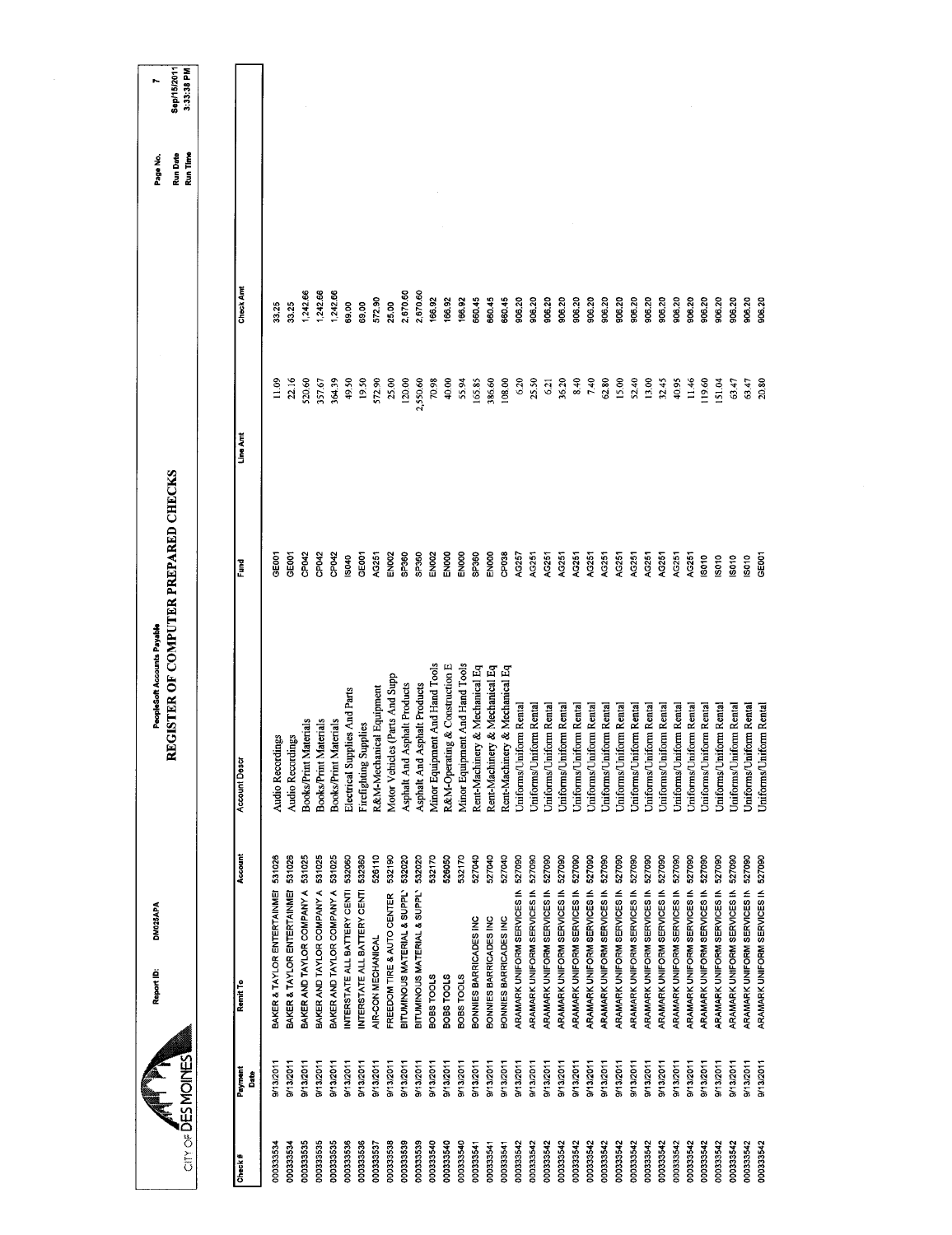| City of DESMOINES |                 | DM025APA<br>Report ID:                       | REGISTER OF COMPUTER PREPARED CHECKS<br>PeopleSoft Accounts Payable |                   |                | Run Date<br>Run Time<br>Page No. | Sep/15/2011<br>3:33:38 PM |
|-------------------|-----------------|----------------------------------------------|---------------------------------------------------------------------|-------------------|----------------|----------------------------------|---------------------------|
|                   |                 |                                              |                                                                     |                   |                |                                  |                           |
| Check#            | Payment<br>Date | Account<br>Remit To                          | ង្គ<br>Account De                                                   | Fund              | Line Amt       | Check Amt                        |                           |
| 000333534         | 9/13/2011       | 531026<br>BAKER & TAYLOR ENTERTAINMEI        | Audio Recordings                                                    | <b>SEDOT</b>      | $\frac{8}{11}$ | 33.25                            |                           |
| 000333534         | 9/13/2011       | 531026<br>BAKER & TAYLOR ENTERTAINMEI        | <b>Audio Recordings</b>                                             | GE001             | 22.16          | 33.25                            |                           |
| 000333535         | 9/13/2011       | 531025<br>BAKER AND TAYLOR COMPANY A         | <b>Books/Print Materials</b>                                        | CP042             | 520.60         | 1,242.66                         |                           |
| 000333535         | 9/13/2011       | 531025<br>BAKER AND TAYLOR COMPANY A         | Books/Print Materials                                               | CP042             | 357.67         | 242.66                           |                           |
| 000333535         | 9/13/2011       | 531025<br>BAKER AND TAYLOR COMPANY A         | Books/Print Materials                                               | CP <sub>042</sub> | 364.39         | 242.66                           |                           |
| 000333536         | 9/13/2011       | 532060<br>INTERSTATE ALL BATTERY CENTI       | Electrical Supplies And Parts                                       | IS040             | 49.50          | 59.00                            |                           |
| 000333536         | 9/13/2011       | 532360<br>INTERSTATE ALL BATTERY CENTI       | Firefighting Supplies                                               | GEOOT             | 1950           | 59.00                            |                           |
| 000333537         | 8/13/2011       | 526110<br>AIR-CON MECHANICAL                 | R&M-Mechanical Equipment                                            | AG251             | 572.90         | 572.90                           |                           |
| 000333538         | 9/13/2011       | 532190<br>FREEDOM TIRE & AUTO CENTER         | Motor Vehicles (Parts And Supp                                      | <b>EN002</b>      | 25.00          | 25.00                            |                           |
| 000333539         | 9/13/2011       | 532020<br>BITUMINOUS MATERIAL & SUPPLY       | Asphalt And Asphalt Products                                        | SP360             | 120.00         | 2,670.60                         |                           |
| 00033539          | 9/13/2011       | 532020<br>BITUMINOUS MATERIAL & SUPPLY       | Asphalt And Asphalt Products                                        | SP360             | 2,550.60       | 2,670.60                         |                           |
| 000333540         | 9/13/2011       | 532170<br><b>SJODS TOOLS</b>                 | Minor Equipment And Hand Tools                                      | EN002             | 70.98          | 166.92                           |                           |
| 000333540         | 9/13/2011       | 526050<br><b>BOBS TOOLS</b>                  | R&M-Operating & Construction E                                      | ENOOD             | 40,00          | 166.92                           |                           |
| 000333540         | 9/13/2011       | 532170<br><b>BOBS TOOLS</b>                  | Minor Equipment And Hand Tools                                      | ENOOO             | 55.94          | 166.92                           |                           |
| 000333541         | 9/13/2011       | 527040<br>BONNIES BARRICADES INC             | Rent-Machinery & Mechanical Eq                                      | SP360             | 165.85         | 560.45                           |                           |
| 000333541         | 9/13/2011       | 527040<br>BONNES BARRICADES INC              | Rent-Machinery & Mechanical Eq                                      | ENOOO             | 386.60         | 660.45                           |                           |
| 000333541         | 9/13/2011       | 527040<br>BONNES BARRICADES INC              | Rent-Machinery & Mechanical Eq                                      | CP <sub>038</sub> | 108.00         | 660.45                           |                           |
| 000333542         | 9/13/2011       | 527090<br>ARAMARK UNIFORM SERVICES IN        | Juiforms/Uniform Rental                                             | AG257             | 6.20           | 906.20                           |                           |
| 000333542         | 9/13/2011       | 527090<br>ARAMARK UNIFORM SERVICES IN        | Uniforms/Uniform Rental                                             | AG251             | 25.50          | 906.20                           |                           |
| 000333542         | 9/13/2011       | 527090<br>ARAMARK UNIFORM SERVICES IN        | Uniforms/Uniform Rental                                             | AG251             | 6.21           | 906.20                           |                           |
| 000333542         | 9/13/2011       | 527090<br>ARAMARK UNIFORM SERVICES IN        | Uniforms/Uniform Rental                                             | AG251             | 36.20          | 906.20                           |                           |
| 000333542         | 9/13/2011       | 527090<br>ARAMARK UNIFORM SERVICES IN        | Uniforms/Uniform Rental                                             | AG251             | 8.40           | 906.20                           |                           |
| 000333542         | 9/13/2011       | 527090<br>ARAMARK UNIFORM SERVICES IN        | Uniforms/Uniform Rental                                             | AG251             | 740            | 906.20                           |                           |
| 000333542         | 9/13/2011       | 527090<br>ARAMARK UNIFORM SERVICES IN        | Uniforms/Uniform Rental                                             | AG251             | 62.80          | 906.20                           |                           |
| 000333542         | 9/13/2011       | 527090<br>ARAMARK UNIFORM SERVICES IN        | Uniforms/Uniform Rental                                             | AG251             | 15.00          | 906.20                           |                           |
| 000333542         | 9/13/2011       | 527090<br><b>ARAMARK UNIFORM SERVICES IN</b> | Uniforms/Uniform Rental                                             | AG251             | 52.40          | 906.20                           |                           |
| 000333542         | 9/13/2011       | 527090<br>ARAMARK UNIFORM SERVICES IN        | Uniforms/Uniform Rental                                             | AG251             | 13.00          | 906.20                           |                           |
| 000333542         | 9/13/2011       | 527090<br>ARAMARK UNIFORM SERVICES IN        | Uniforms/Uniform Rental                                             | AG251             | 32.45          | 906.20                           |                           |
| 000333542         | 9/13/2011       | 527090<br>ARAMARK UNIFORM SERVICES IN        | Uniforms/Uniform Rental                                             | AG251             | 40.95          | 906.20                           |                           |
| 000333542         | 9/13/2011       | 527090<br>ARAMARK UNIFORM SERVICES IN        | Uniforms/Uniform Rental                                             | AG251             | 11.46          | 906.20                           |                           |
| 000333542         | 9/13/2011       | 527090<br>ARAMARK UNIFORM SERVICES IN        | Uniforms/Uniform Rental                                             | 18010             | 19.60          | 906.20                           |                           |
| 000333542         | 9/13/2011       | 527090<br>ARAMARK UNIFORM SERVICES IN        | <b>Jniforms/Uniform Rental</b>                                      | IS010             | 51.04          | 906.20                           |                           |
| 000333542         | 9/13/2011       | 527090<br>ARAMARK UNIFORM SERVICES IN        | Uniforms/Uniform Rental                                             | IS010             | 63.47          | 906.20                           |                           |
| 000333542         | 9/13/2011       | 527090<br>ARAMARK UNIFORM SERVICES IN        | Uniforms/Uniform Rental                                             | IS010             | 63.47          | 906.20                           |                           |
| 000333542         | 9/13/2011       | ARAMARK UNIFORM SERVICES IN 527090           | Uniforms/Uniform Rental                                             | GE001             | 20.80          | 906.20                           |                           |
|                   |                 |                                              |                                                                     |                   |                |                                  |                           |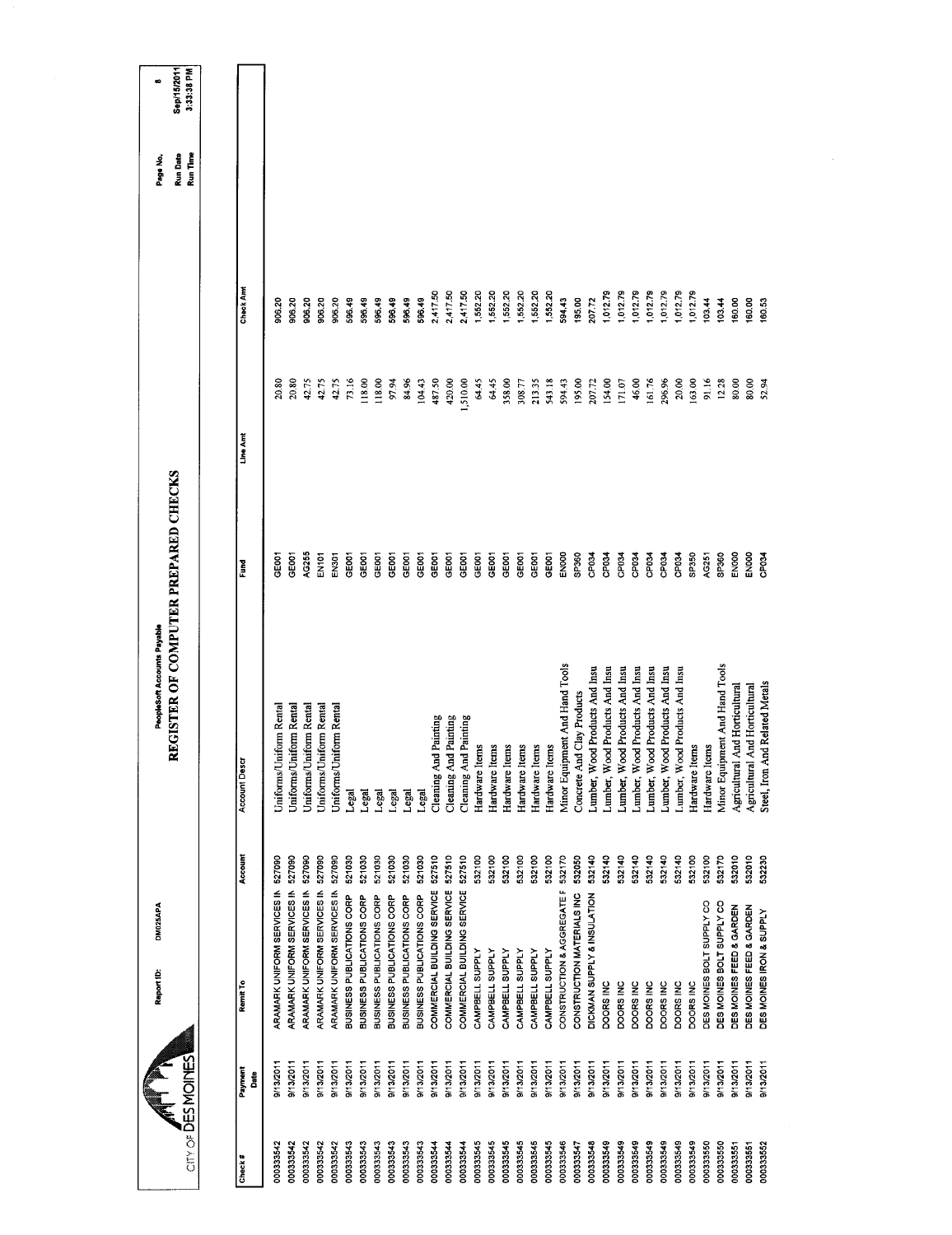| cin of DESMOINES          | DM025APA<br>Report ID:      |         | REGISTER OF COMPUTER PREPARED CHECKS<br>PeopleSoft Accounts Payable |                   |          |                  | Run Time<br><b>Run Date</b><br>Page No. | Sep/15/2011<br>3:33:38 PM<br>œ |
|---------------------------|-----------------------------|---------|---------------------------------------------------------------------|-------------------|----------|------------------|-----------------------------------------|--------------------------------|
|                           |                             |         |                                                                     |                   |          |                  |                                         |                                |
| Payment<br>Date<br>Check# | Remit To                    | Account | Account Descr                                                       | <b>Fund</b>       | Line Amt | <b>Check And</b> |                                         |                                |
| 9/13/2011<br>000333542    | ARAMARK UNIFORM SERVICES IN | 527090  | Uniforms/Uniform Rental                                             | CHOOT             | 20,80    | 906.20           |                                         |                                |
| 9/13/2011<br>000333542    | ARAMARK UNIFORM SERVICES IN | 527090  | Uniforms/Uniform Rental                                             | GE001             | 20,80    | 906.20           |                                         |                                |
| 9/13/2011<br>000333542    | ARAMARK UNIFORM SERVICES IN | 527090  | Jniforms/Uniform Rental                                             | AG255             | 42.75    | 906.20           |                                         |                                |
| 9/13/2011<br>000333542    | ARAMARK UNIFORM SERVICES IN | 527090  | Uniforms/Uniform Rental                                             | EN101             | 42.75    | 906.20           |                                         |                                |
| 9/13/2011<br>000333542    | ARAMARK UNIFORM SERVICES IN | 527090  | Uniforms/Uniform Rental                                             | EN301             | 42.75    | 906.20           |                                         |                                |
| 9/13/2011<br>000333543    | BUSINESS PUBLICATIONS CORP  | 521030  | ام<br>عا                                                            | GE001             | 73.16    | 596.49           |                                         |                                |
| 9/13/2011<br>000333543    | BUSINESS PUBLICATIONS CORP  | 521030  | Legal                                                               | GE001             | 118.00   | 596.49           |                                         |                                |
| 9/13/2011<br>000333543    | BUSINESS PUBLICATIONS CORP  | 521030  | Legal                                                               | <b>GEOOT</b>      | 118.00   | 596.49           |                                         |                                |
| 9/13/2011<br>000333543    | BUSINESS PUBLICATIONS CORP  | 521030  | Legal                                                               | GE <sub>001</sub> | 97.94    | 598.49           |                                         |                                |
| 9/13/2011<br>000333543    | BUSINESS PUBLICATIONS CORP  | 521030  | Legal                                                               | GEOOT             | 84.96    | 596.49           |                                         |                                |
| 9/13/2011<br>000333543    | BUSINESS PUBLICATIONS CORP  | 521030  | Legal                                                               | GE <sub>00</sub>  | 104.43   | 596.49           |                                         |                                |
| 9/13/2011<br>000333544    | COMMERCIAL BUILDING SERVICE | 527510  | Cleaning And Painting                                               | GEOOT             | 487.50   | 2,417.50         |                                         |                                |
| 9/13/2011<br>000333544    | COMMERCIAL BUILDING SERVICE | 527510  | Cleaning And Painting                                               | GE001             | 420.00   | 2,417.50         |                                         |                                |
| 9/13/2011<br>000333544    | COMMERCIAL BUILDING SERVICE | 527510  | Cleaning And Painting                                               | GEOOT             | 1,510.00 | 2,417.50         |                                         |                                |
| 9/13/2011<br>000333545    | CAMPBELL SUPPLY             | 532100  | Hardware Items                                                      | GE001             | 64.45    | 1,552.20         |                                         |                                |
| 9/13/2011<br>000333545    | CAMPBELL SUPPLY             | 532100  | Hardware Items                                                      | GE001             | 64.45    | 1,552.20         |                                         |                                |
| 9/13/2011<br>000333545    | CAMPBELL SUPPLY             | 532100  | Hardware Items                                                      | GEDOT             | 358,00   | 552.20           |                                         |                                |
| 9/13/2011<br>000333545    | CAMPBELL SUPPLY             | 532100  | Hardware Items                                                      | GE001             | 308.77   | 1,552.20         |                                         |                                |
| 9/13/2011<br>000333545    | CAMPBELL SUPPLY             | 532100  | Hardware Items                                                      | GEOOT             | 213.35   | 1,552.20         |                                         |                                |
| 9/13/2011<br>000333545    | CAMPBELL SUPPLY             | 532100  | Hardware Items                                                      | GE001             | 543.18   | 1,552.20         |                                         |                                |
| 9/13/2011<br>000333546    | CONSTRUCTION & AGGREGATE F  | 532170  | Minor Equipment And Hand Tools                                      | ENOOD             | 594.43   | 594.43           |                                         |                                |
| 9/13/2011<br>000333547    | CONSTRUCTION MATERIALS INC  | 532050  | Concrete And Clay Products                                          | SP360             | 195.00   | 195.00           |                                         |                                |
| 9/13/2011<br>000333548    | DICKMAN SUPPLY & INSULATION | 532140  | Lumber, Wood Products And Insu                                      | CP034             | 207.72   | 207.72           |                                         |                                |
| 9/13/2011<br>000333549    | DOORS INC                   | 532140  | Lumber, Wood Products And Insu                                      | CP034             | 154,00   | 1,012.79         |                                         |                                |
| 9/13/2011<br>000333549    | DOORS INC                   | 532140  | Lumber, Wood Products And Insu                                      | CP034             | 171.07   | 1,012.79         |                                         |                                |
| 8/13/2011<br>000333549    | DOORS INC                   | 532140  | Lumber, Wood Products And Insu                                      | CP034             | 46.00    | 1,012.79         |                                         |                                |
| 9/13/2011<br>000333549    | DOORS INC                   | 532140  | Lumber, Wood Products And Insu                                      | CP <sub>034</sub> | 161.76   | 1,012.79         |                                         |                                |
| 0/13/2011<br>000333549    | DOORS INC                   | 532140  | Lumber, Wood Products And Insu                                      | CP034             | 296.96   | 012.79           |                                         |                                |
| 9/13/2011<br>000333549    | DOORS INC                   | 532140  | Lumber, Wood Products And Insu                                      | CP034             | 20.00    | 1,012.79         |                                         |                                |
| 9/13/2011<br>000333549    | DOORS INC                   | 532100  | Hardware Items                                                      | SP350             | 163.00   | 1,012.79         |                                         |                                |
| 9/13/2011<br>000333550    | DES MOINES BOLT SUPPLY CO   | 532100  | Hardware Items                                                      | AC251             | 91.16    | 103.44           |                                         |                                |
| 9/13/2011<br>000333550    | DES MOINES BOLT SUPPLY CO   | 532170  | Minor Equipment And Hand Tools                                      | SP360             | 12.28    | 10344            |                                         |                                |
| 9/13/2011<br>000333551    | DES MOINES FEED & GARDEN    | 532010  | And Horticultural<br>Agricultural                                   | ENOOO             | 80,00    | 160.00           |                                         |                                |
| 9/13/2011<br>000333551    | DES MOINES FEED & GARDEN    | 532010  | And Horticultural<br>Agricultural                                   | <b>ENOO</b>       | 80,00    | 160.00           |                                         |                                |
| 9/13/2011<br>000333552    | DES MOINES IRON & SUPPLY    | 532230  | Steel, Iron And Related Metals                                      | CP <sub>034</sub> | 52.94    | 160.53           |                                         |                                |
|                           |                             |         |                                                                     |                   |          |                  |                                         |                                |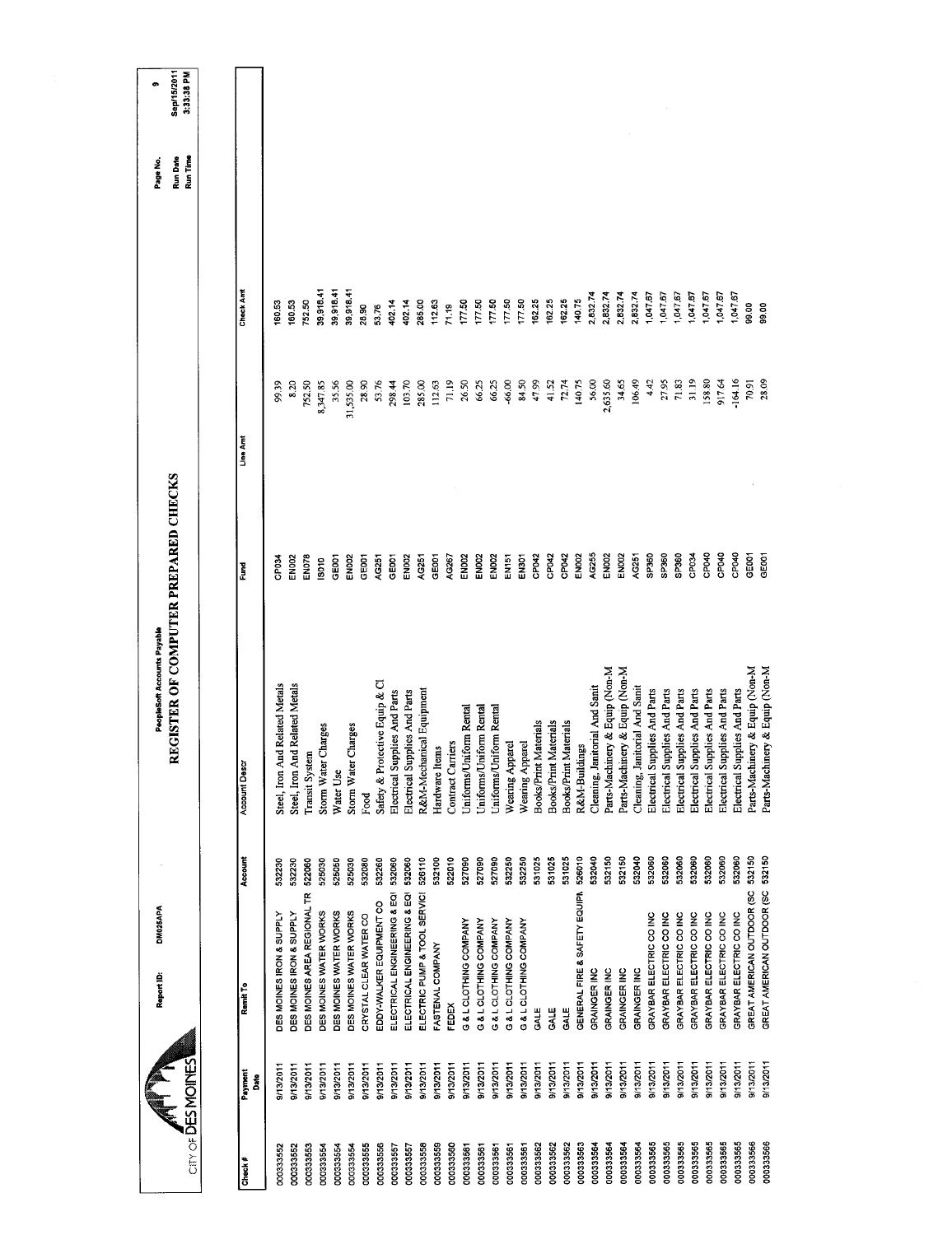|                          |                 | DM025APA<br>Report ID:            |         | PeopleSoft Accounts Payable          |                   |           |           | Page No.             | œ                         |
|--------------------------|-----------------|-----------------------------------|---------|--------------------------------------|-------------------|-----------|-----------|----------------------|---------------------------|
| <b>ANDING DES MOINES</b> |                 |                                   |         | REGISTER OF COMPUTER PREPARED CHECKS |                   |           |           | Run Time<br>Run Date | Sep/15/2011<br>3:33:38 PM |
|                          |                 |                                   |         |                                      |                   |           |           |                      |                           |
| Check#                   | Payment<br>Date | Remit To                          | Account | Account Des                          | <b>Turnd</b>      | Line Am   | Check And |                      |                           |
| 000333552                | 9/13/2011       | DES MOINES IRON & SUPPLY          | 532230  | Steel, Iron And Related Metals       | CP034             | 99.39     | 160.53    |                      |                           |
| 000333552                | 9/13/2011       | DES MOINES IRON & SUPPLY          | 532230  | Steel, Iron And Related Metals       | <b>EN002</b>      | 8.20      | 160.53    |                      |                           |
| 000333553                | 9/13/2011       | DES MOINES AREA REGIONAL TR       | 522060  | Transit System                       | <b>EN078</b>      | 752.50    | 752.50    |                      |                           |
| 000333554                | 9/13/2011       | DES MOINES WATER WORKS            | 525030  | Storm Water Charges                  | S010              | 8,347.85  | 39,918.41 |                      |                           |
| 000333554                | 9/13/2011       | DES MOINES WATER WORKS            | 525050  | Water Use                            | GE001             | 35.56     | 39,918.41 |                      |                           |
| 000333554                | 9/13/2011       | DES MOINES WATER WORKS            | 525030  | Storm Water Charges                  | <b>EN002</b>      | 31,535.00 | 39,918.41 |                      |                           |
| 000333555                | 9/13/2011       | CRYSTAL CLEAR WATER CO            | 532080  | Food                                 | GE001             | 28.90     | 28.90     |                      |                           |
| 000333556                | 9/13/2011       | EDDY-WALKER EQUIPMENT CO          | 532260  | Safety & Protective Equip & CI       | AG251             | 53.76     | 53.76     |                      |                           |
| 000333557                | 9/13/2011       | ELECTRICAL ENGINEERING & EQI      | 532060  | Electrical Supplies And Parts        | GE001             | 298.44    | 402.14    |                      |                           |
| 000333557                | 9/13/2011       | ELECTRICAL ENGINEERING & EQI      | 532060  | Electrical Supplies And Parts        | <b>EN002</b>      | 103.70    | 402.14    |                      |                           |
| 000333558                | 9/13/2011       | ELECTRIC PUMP & TOOL SERVICI      | 526110  | R&M-Mechanical Equipment             | AG251             | 285.00    | 285.00    |                      |                           |
| 000333559                | 9/13/2011       | FASTENAL COMPANY                  | 532100  | Hardware Items                       | GE001             | 112.63    | 112.63    |                      |                           |
| 000333560                | 9/13/2011       | FEDEX                             | 522010  | Contract Carriers                    | AG267             | 71.19     | 71.19     |                      |                           |
| 000333561                | 9/13/2011       | G & L CLOTHING COMPANY            | 527090  | Uniforms/Uniform Rental              | EN002             | 26.50     | 177.50    |                      |                           |
| 000333561                | B/13/2011       | G & L CLOTHING COMPANY            | 527090  | Uniforms/Uniform Rental              | EN002             | 66.25     | 177.50    |                      |                           |
| 000333561                | 9/13/2011       | G&L CLOTHING COMPANY              | 527090  | Uniforms/Uniform Rental              | EN002             | 66.25     | 177.50    |                      |                           |
| 000333561                | 9/13/2011       | G & L CLOTHING COMPANY            | 532250  | Wearing Apparel                      | EN151             | $-66.00$  | 177.50    |                      |                           |
| 000333561                | 9/13/2011       | G & L CLOTHING COMPANY            | 532250  | Wearing Apparel                      | <b>EN301</b>      | 84.50     | 177.50    |                      |                           |
| 000333562                | 9/13/2011       | GALE                              | 531025  | : Materials<br><b>Books/Print</b>    | CP042             | 47.99     | 162.25    |                      |                           |
| 000333562                | 9/13/2011       | GALE                              | 531025  | Materials<br>Books/Print             | CP042             | 41.52     | 162.25    |                      |                           |
| 000333562                | 9/13/2011       | GALE                              | 531025  | Books/Print Materials                | CP042             | 72.74     | 162.25    |                      |                           |
| 000333563                | 9/13/2011       | GENERAL FIRE & SAFETY EQUIPM      | 526010  | <b>R&amp;M-Buildings</b>             | EN002             | 140.75    | 140.75    |                      |                           |
| 000333564                | 9/13/2011       | GRAINGER INC                      | 532040  | Cleaning, Janitorial And Sanit       | AG255             | 56,00     | 2,832.74  |                      |                           |
| 000333564                | 9/13/2011       | GRAINGER INC                      | 532150  | Parts-Machinery & Equip (Non-M       | <b>EN002</b>      | 2,635.60  | 2,832.74  |                      |                           |
| 000333564                | <b>113/2011</b> | <b>GRAINGER INC</b>               | 532150  | Parts-Machinery & Equip (Non-M       | <b>EN002</b>      | 34.65     | 2,832.74  |                      |                           |
| 000333564                | 9/13/2011       | <b>GRAINGER INC</b>               | 532040  | Cleaning, Janitorial And Sanit       | AG251             | 106.49    | 2,832.74  |                      |                           |
| 000333565                | 9/13/2011       | GRAYBAR ELECTRIC CO INC           | 532060  | Electrical Supplies And Parts        | <b>GP560</b>      | 4.42      | 1,047.67  |                      |                           |
| 000333565                | 9/13/2011       | GRAYBAR ELECTRIC CO INC           | 532060  | Electrical Supplies And Parts        | SP360             | 27.95     | 1,047.67  |                      |                           |
| 000333565                | 9/13/2011       | GRAYBAR ELECTRIC CO INC           | 532060  | Electrical Supplies And Parts        | SP360             | 71.83     | 1,047.67  |                      |                           |
| 000333565                | 9/13/2011       | GRAYBAR ELECTRIC CO INC           | 532060  | Electrical Supplies And Parts        | CP <sub>034</sub> | 31.19     | 1,047.67  |                      |                           |
| 000333565                | 9/13/2011       | GRAYBAR ELECTRIC CO INC           | 532060  | Electrical Supplies And Parts        | CPO40             | 158.80    | 1,047.67  |                      |                           |
| 000333565                | 9/13/2011       | GRAYBAR ELECTRIC CO INC           | 532060  | Electrical Supplies And Parts        | CP <sub>040</sub> | 917.64    | 1,047.67  |                      |                           |
| 000333565                | 9/13/2011       | GRAYBAR ELECTRIC CO INC           | 532060  | Electrical Supplies And Parts        | CP <sub>D40</sub> | $-164.16$ | 1,047.67  |                      |                           |
| 000333566                | 9/13/2011       | GREAT AMERICAN OUTDOOR (SC        | 532150  | Parts-Machinery & Equip (Non-M       | GE001             | 70.91     | 39.00     |                      |                           |
| 000333566                | 8/13/2011       | GREAT AMERICAN OUTDOOR (SC 532150 |         | Parts-Machinery & Equip (Non-M       | GE001             | 28.09     | 99.00     |                      |                           |
|                          |                 |                                   |         |                                      |                   |           |           |                      |                           |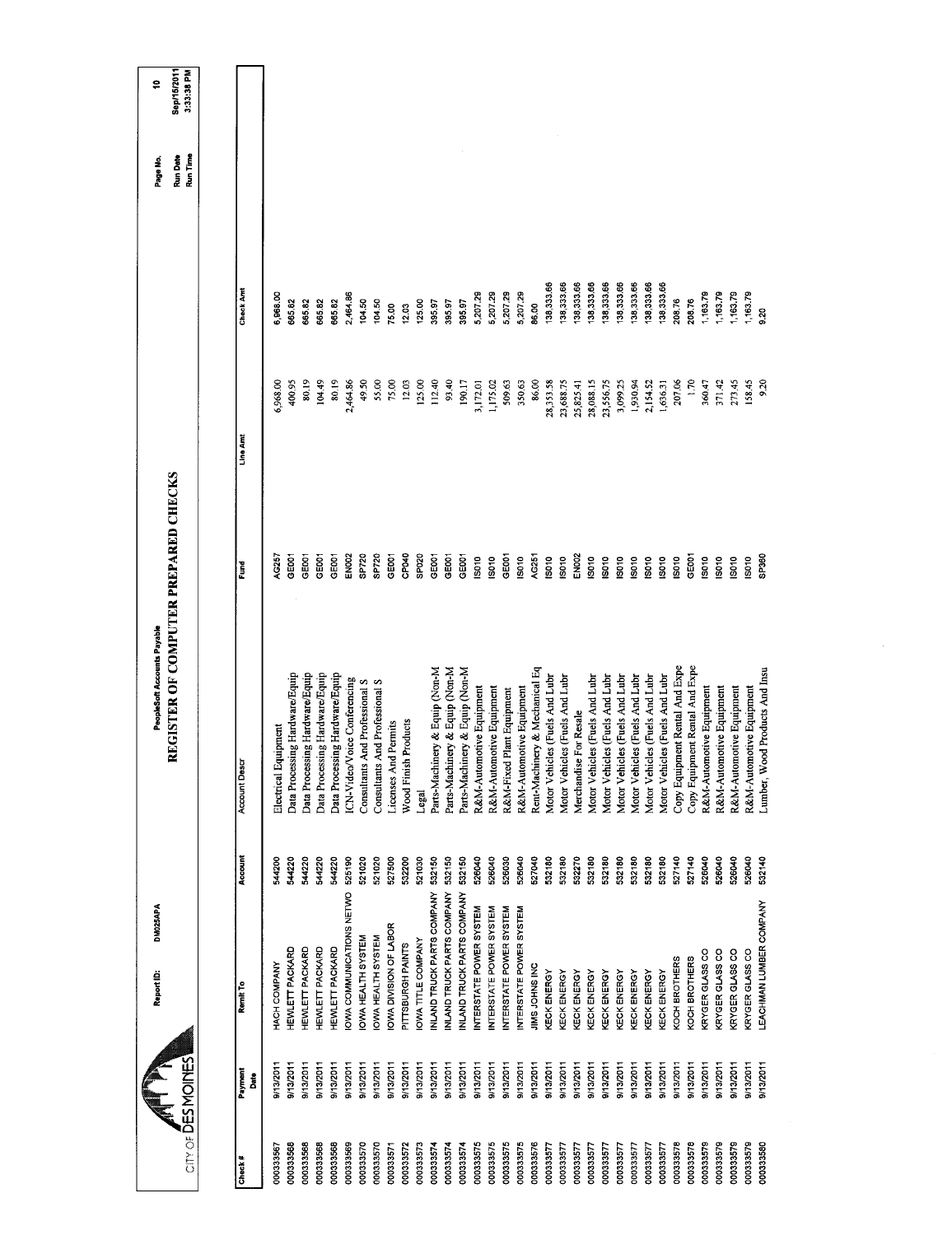| CITY OF DES MOINES<br>9/13/2011<br>9/13/2011<br>9/13/2011<br>Payment<br>នឹ<br>Check# |                            |         | REGISTER OF COMPUTER PREPARED CHECKS |                   |           |            | Run Time<br>Run Date | Sep/15/2011<br>3:33:38 PM |
|--------------------------------------------------------------------------------------|----------------------------|---------|--------------------------------------|-------------------|-----------|------------|----------------------|---------------------------|
|                                                                                      |                            |         |                                      |                   |           |            |                      |                           |
|                                                                                      |                            |         |                                      |                   |           |            |                      |                           |
| 000333568<br>000333568<br>000333567                                                  | Remit To                   | Account | <b>Account Descr</b>                 | Fund              | Line Amt  | Check Amt  |                      |                           |
|                                                                                      | HACH COMPANY               | 544200  | Electrical Equipment                 | AG257             | 6,968.00  | 6,968.00   |                      |                           |
|                                                                                      | HEWLETT PACKARD            | 544220  | Data Processing Hardware/Equip       | GE001             | 400.95    | 665.82     |                      |                           |
|                                                                                      | HEWLETT PACKARD            | 544220  | Data Processing Hardware/Equip       | GE001             | 80.19     | 665.82     |                      |                           |
| 9/13/2011<br>000333568                                                               | <b>HEWLETT PACKARD</b>     | 544220  | Data Processing Hardware/Equip       | GE001             | 104.49    | 665.82     |                      |                           |
| 9/13/2011<br>000333568                                                               | <b>HEWLETT PACKARD</b>     | 544220  | Data Processing Hardware/Equip       | GE001             | 80.19     | 665.82     |                      |                           |
| 9/13/2011<br>000333569                                                               | OWA COMMUNICATIONS NETWO   | 525190  | ICN-Video/Voice Conferencing         | EN002             | 2,464.86  | 2,464.86   |                      |                           |
| 8/13/2011<br>000333570                                                               | IOWA HEALTH SYSTEM         | 521020  | Consultants And Professional S       | SP720             | 49.50     | 104.50     |                      |                           |
| 9/13/2011<br>000333570                                                               | <b>OWA HEALTH SYSTEM</b>   | 521020  | Consultants And Professional S       | SP720             | 55.00     | 104.50     |                      |                           |
| 9/13/2011<br>000333571                                                               | OWA DIVISION OF LABOR      | 527500  | icenses And Permits                  | GEOOT             | 75.00     | 75.00      |                      |                           |
| 9/13/2011<br>000333572                                                               | PITTSBURGH PAINTS          | 532200  | Wood Finish Products                 | CP040             | 12.03     | 12.03      |                      |                           |
| 9/13/2011<br>000333573                                                               | <b>IOWA TITLE COMPANY</b>  | 521030  | Legal                                | SPO <sub>20</sub> | 125.00    | 125.00     |                      |                           |
| 9/13/2011<br>000333574                                                               | INLAND TRUCK PARTS COMPANY | 532150  | Parts-Machinery & Equip (Non-M       | GE001             | 112.40    | 395.97     |                      |                           |
| 9/13/2011<br>000333574                                                               | INLAND TRUCK PARTS COMPANY | 532150  | Parts-Machinery & Equip (Non-M       | GE001             | 93.40     | 395.97     |                      |                           |
| 9/13/2011<br>000333574                                                               | INLAND TRUCK PARTS COMPANY | 532150  | Parts-Machinery & Equip (Non-M       | GE001             | 190.17    | 395.97     |                      |                           |
| 9/13/2011<br>000333575                                                               | NTERSTATE POWER SYSTEM     | 526040  | R&M-Automotive Equipment             | <b>SD10</b>       | 3,172.01  | 5,207.29   |                      |                           |
| 9/13/2011<br>000333575                                                               | INTERSTATE POWER SYSTEM    | 526040  | R&M-Automotive Equipment             | IS010             | 1,175.02  | 5,207.29   |                      |                           |
| 9/13/2011<br>000333575                                                               | INTERSTATE POWER SYSTEM    | 526030  | R&M-Fixed Plant Equipment            | GE001             | 509.63    | 5,207.29   |                      |                           |
| 9/13/2011<br>000333575                                                               | NTERSTATE POWER SYSTEM     | 526040  | R&M-Automotive Equipment             | IS010             | 350.63    | 5,207.29   |                      |                           |
| 9/13/2011<br>000333576                                                               | JIMS JOHNS INC             | 527040  | Rent-Machinery & Mechanical Eq       | AG251             | 86.00     | 86.00      |                      |                           |
| 9/13/2011<br>000333577                                                               | KECK ENERGY                | 532180  | Motor Vehicles (Fuels And Lubr       | <b>ISO10</b>      | 28,353.58 | 138,333.66 |                      |                           |
| 9/13/2011<br>000333577                                                               | KECK ENERGY                | 532180  | Motor Vehicles (Fuels And Lubr       | 15010             | 23,688.75 | 38,333.66  |                      |                           |
| 9/13/2011<br>000333577                                                               | KECK ENERGY                | 532270  | Merchandise For Resale               | EN002             | 25,825.41 | 38,333.66  |                      |                           |
| 9/13/2011<br>000333577                                                               | KECK ENERGY                | 532180  | Motor Vehicles (Fuels And Lubr       | 15010             | 28,088.15 | 138,333.66 |                      |                           |
| 9/13/2011<br>000333577                                                               | KECK ENERGY                | 532180  | Motor Vehicles (Fuels And Lubr       | SO <sub>10</sub>  | 23,556.75 | 38,333.66  |                      |                           |
| 9/13/2011<br>000333577                                                               | KECK ENERGY                | 532180  | Motor Vehicles (Fuels And Lubr       | S010              | 3,099.25  | 38,333.66  |                      |                           |
| 9/13/2011<br>00033577                                                                | KECK ENERGY                | 532180  | Motor Vehicles (Fuels And Lubr       | 1081              | 1,930.94  | 38,333.66  |                      |                           |
| 9/13/2011<br>000333577                                                               | KECK ENERGY                | 532180  | Motor Vehicles (Fuels And Lubr       | 19010             | 2,154.52  | 138,333.66 |                      |                           |
| 9/13/2011<br>000333577                                                               | <b><i>CECK ENERGY</i></b>  | 532180  | Motor Vehicles (Fuels And Lubr       | S010              | 1,636.31  | 138,333,66 |                      |                           |
| 9/13/2011<br>000333578                                                               | <b>KOCH BROTHERS</b>       | 527140  | Copy Equipment Rental And Expe       | ISO10             | 207.06    | 208.76     |                      |                           |
| 9/13/2011<br>000333578                                                               | KOCH BROTHERS              | 527140  | Copy Equipment Rental And Expe       | GE001             | 1.70      | 208.76     |                      |                           |
| 9/13/2011<br>000333579                                                               | KRYGER GLASS CO            | 526040  | R&M-Automotive Equipment             | 19010             | 360.47    | 1,163.79   |                      |                           |
| 9/13/2011<br>000333579                                                               | <b>KRYGER GLASS CO</b>     | 526040  | R&M-Automotive Equipment             | S010              | 371.42    | 163.79     |                      |                           |
| 9/13/2011<br>000333579                                                               | KRYGER GLASS CO            | 526040  | R&M-Automotive Equipment             | IS010             | 273.45    | 1,163.79   |                      |                           |
| 9/13/2011<br>000333579                                                               | KRYGER GLASS CO            | 526040  | R&M-Automotive Equipment             | IS010             | 158.45    | 1,163.79   |                      |                           |
| 9/13/2011<br>000333580                                                               | EACHMAN LUMBER COMPANY     | 532140  | Lumber, Wood Products And Insu       | SP360             | 9.20      | 3.20       |                      |                           |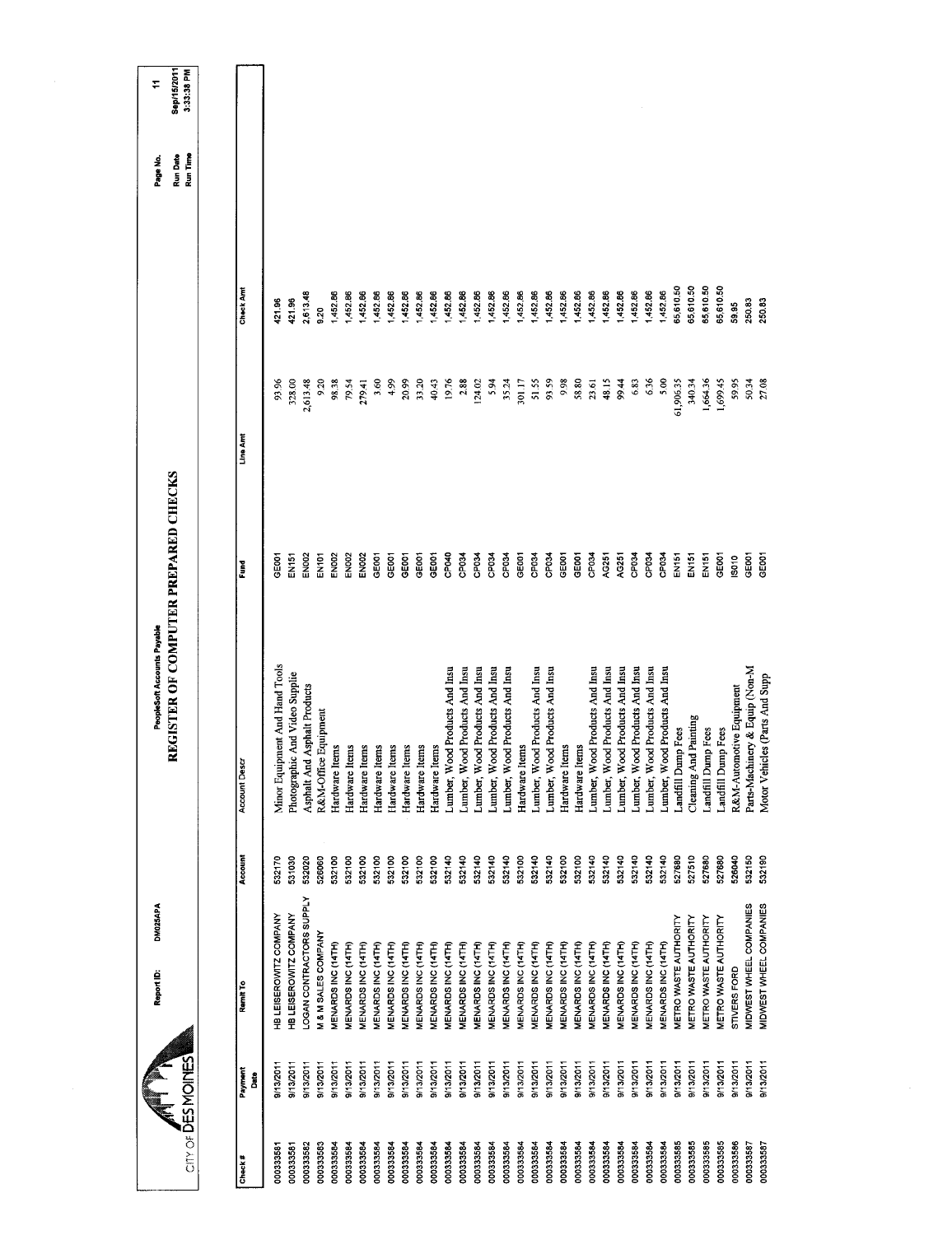| City of DES MOINES |                  | DM025APA<br>Report ID:         |         | REGISTER OF COMPUTER PREPARED CHECKS<br>PeopleSoft Accounts Payable |                   |           |           | Run Time<br>Run Date<br>Page No. | Sep/15/2011<br>3:33:38 PM<br>∓ |
|--------------------|------------------|--------------------------------|---------|---------------------------------------------------------------------|-------------------|-----------|-----------|----------------------------------|--------------------------------|
|                    |                  |                                |         |                                                                     |                   |           |           |                                  |                                |
| Check#             | Payment<br>å     | Remit To                       | Account | Account Descr                                                       | Fund              | Line Amt  | Check Amt |                                  |                                |
| 00033358           | 9/13/2011        | HB LEISEROWITZ COMPANY         | 532170  | Minor Equipment And Hand Tools                                      | GEOOT             | 93.96     | 421.96    |                                  |                                |
| 000333581          | 9/13/2011        | HB LEISEROWITZ COMPANY         | 531030  | Photographic And Video Supplie                                      | EN151             | 328.00    | 421.96    |                                  |                                |
| 000333582          | 9/13/2011        | LOGAN CONTRACTORS SUPPLY       | 532020  | Asphalt And Asphalt Products                                        | FN002             | 2,613.48  | 2,613.48  |                                  |                                |
| 000333583          | 9/13/2011        | <b>M &amp; M SALES COMPANY</b> | 526060  | R&M-Office Equipment                                                | EN <sub>101</sub> | 9.20      | 9.20      |                                  |                                |
| 000333584          | 9/13/2011        | MENARDS INC (14TH)             | 532100  | Hardware Items                                                      | <b>EN002</b>      | 98.38     | 1,452.86  |                                  |                                |
| 000333584          | B/13/2011        | MENARDS INC (14TH)             | 532100  | Hardware Items                                                      | <b>EN002</b>      | 79.54     | 452.86    |                                  |                                |
| 000333584          | 9/13/2011        | MENARDS INC (14TH)             | 532100  | Hardware Items                                                      | <b>EN002</b>      | 279.41    | 452.86    |                                  |                                |
| 000333584          | 9/13/2011        | MENARDS INC (14TH)             | 532100  | Hardware Items                                                      | GE001             | 3.60      | 1,452.86  |                                  |                                |
| 000333584          | 9/13/2011        | MENARDS INC (14TH)             | 532100  | Hardware Items                                                      | GE001             | 4.99      | 1,452.86  |                                  |                                |
| 000333584          | 9/13/2011        | MENARDS INC (14TH)             | 532100  | tems<br>Hardware I                                                  | GEOOT             | 20.99     | 452.86    |                                  |                                |
| 000333584          | 9/13/2011        | MENARDS INC (14TH)             | 532100  | Hardware Items                                                      | GEOOT             | 33,20     | 1,452.86  |                                  |                                |
| 000333584          | 9/13/2011        | MENARDS INC (14TH)             | 532100  | Hardware Items                                                      | GE001             | 40.43     | 1,452.86  |                                  |                                |
| 000333584          | 9/13/2011        | MENARDS INC (14TH)             | 532140  | Lumber, Wood Products And Insu                                      | CP040             | 19.76     | 1,452.86  |                                  |                                |
| 000333584          | 9/13/2011        | MENARDS INC (14TH)             | 532140  | Lumber, Wood Products And Insu                                      | CP034             | 2.88      | 1,452.86  |                                  |                                |
| 000333584          | 9/13/2011        | MENARDS INC (14TH)             | 532140  | Lumber, Wood Products And Insu                                      | CP <sub>034</sub> | 124.02    | 452.86    |                                  |                                |
| 000333584          | 9/13/2011        | MENARDS INC (14TH)             | 532140  | Lumber, Wood Products And Insu                                      | CP034             | 5.94      | 1,452.86  |                                  |                                |
| 000333584          | 9/13/2011        | <b>MENARDS INC (14TH)</b>      | 532140  | Lumber, Wood Products And Insu                                      | CP034             | 35.24     | 1,452.86  |                                  |                                |
| 000333584          | 9/13/2011        | MENARDS INC (14TH)             | 532100  | Hardware Items                                                      | GEOOT             | 301.17    | 1,452.86  |                                  |                                |
| 000333584          | 9/13/2011        | MENARDS INC (14TH)             | 532140  | Lumber, Wood Products And Insu                                      | CP034             | 51.55     | 1,452.86  |                                  |                                |
| 000333584          | 9/13/2011        | MENARDS INC (14TH)             | 532140  | Lumber, Wood Products And Insu                                      | CP034             | 93.59     | 452.86    |                                  |                                |
| 000333584          | 9/13/2011        | MENARDS INC (14TH)             | 532100  | Hardware Items                                                      | GE001             | 9.98      | 1,452.86  |                                  |                                |
| 000333584          | 9/13/2011        | MENARDS INC (14TH)             | 532100  | Hardware Items                                                      | GEOOT             | 58.80     | 1,452.86  |                                  |                                |
| 000333584          | 9/13/2011        | MENARDS INC (14TH)             | 532140  | Lumber, Wood Products And Insu                                      | CP034             | 23.61     | 452.86    |                                  |                                |
| 000333584          | 9/13/2011        | MENARDS INC (14TH)             | 532140  | Lumber, Wood Products And Insu                                      | AG251             | 48.15     | 452.86    |                                  |                                |
| 000333584          | 9/13/2011        | MENARDS INC (14TH)             | 532140  | Lumber, Wood Products And Insu                                      | AG251             | 99.44     | 1,452.86  |                                  |                                |
| 000333584          | 9/13/2011        | MENARDS INC (14TH)             | 532140  | Lumber, Wood Products And Insu                                      | CP034             | 6.83      | 1,452.86  |                                  |                                |
| 000333584          | 9/13/2011        | MENARDS INC (14TH)             | 532140  | Lumber, Wood Products And Insu                                      | CP034             | 636       | 1,452.86  |                                  |                                |
| 000333584          | 9/13/2011        | MENARDS INC (14TH)             | 532140  | Lumber, Wood Products And Insu                                      | CP034             | 5.00      | 452.86    |                                  |                                |
| 000333585          | B/13/2011        | <b>METRO WASTE AUTHORITY</b>   | 527680  | Landfill Dump Fees                                                  | EN151             | 61,906.35 | 55,610.50 |                                  |                                |
| 000333585          | 9/13/2011        | <b>METRO WASTE AUTHORITY</b>   | 527510  | Cleaning And Painting                                               | EN151             | 340.34    | 55,610.50 |                                  |                                |
| 000333585          | 9/13/2011        | METRO WASTE AUTHORITY          | 527680  | Landfill Dump Fees                                                  | EN <sub>151</sub> | 1,664.36  | 55,610.50 |                                  |                                |
| 000333585          | 9/13/2011        | <b>METRO WASTE AUTHORITY</b>   | 527680  | Landfill Dump Fees                                                  | GE001             | 1,699.45  | 55,610.50 |                                  |                                |
| 000333586          | 9/13/2011        | STIVERS FORD                   | 526040  | R&M-Automotive Equipment                                            | IS010             | 59.95     | 59,95     |                                  |                                |
| 000333587          | <b>D/13/2011</b> | <b>MIDWEST WHEEL COMPANIES</b> | 532150  | Parts-Machinery & Equip (Non-M                                      | GEOO1             | 50.34     | 250.83    |                                  |                                |
| 000333587          | 9/13/2011        | MIDWEST WHEEL COMPANIES        | 532190  | icles (Parts And Supp<br>Motor Vehi                                 | GE001             | 27.08     | 250.83    |                                  |                                |
|                    |                  |                                |         |                                                                     |                   |           |           |                                  |                                |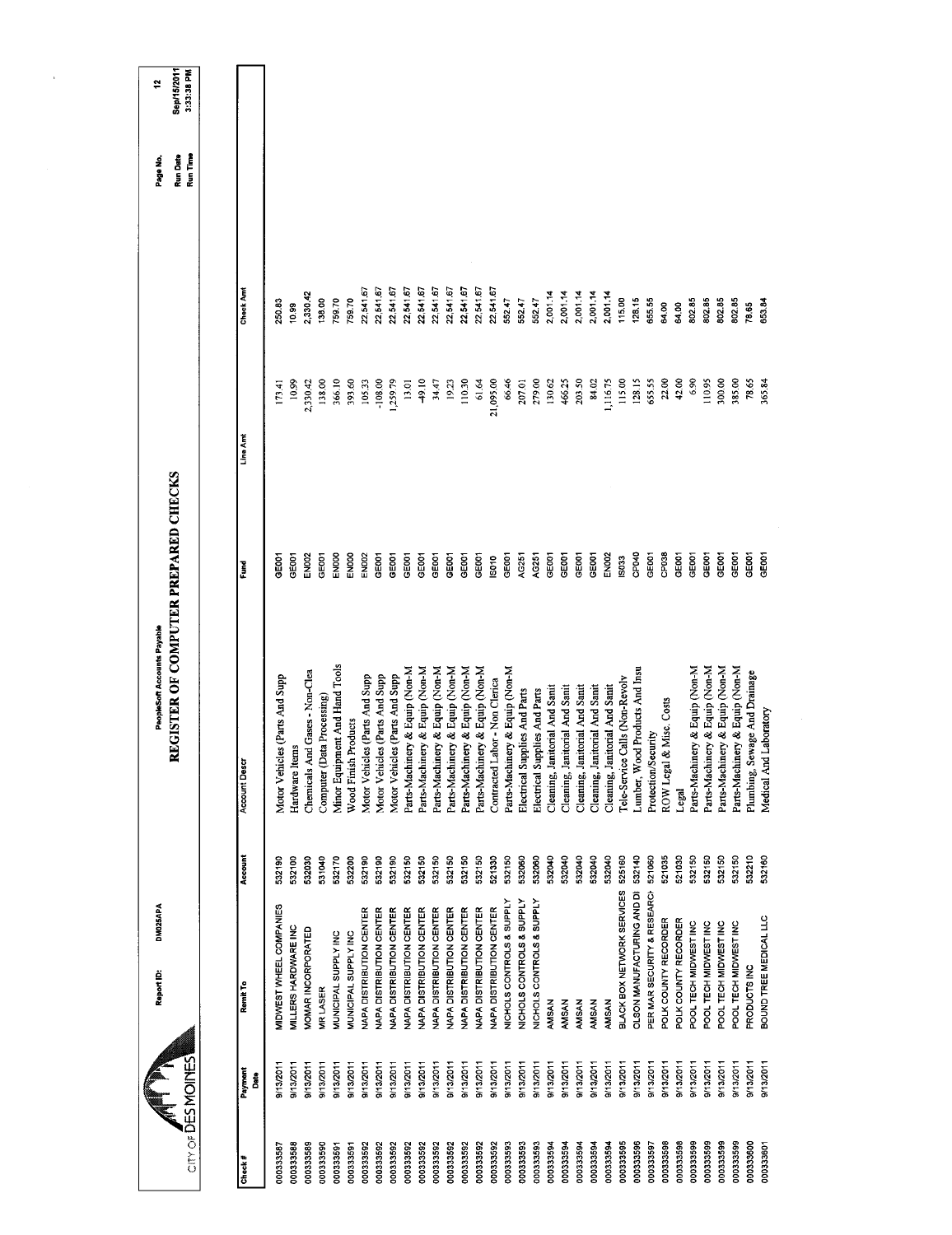| City of DES MOINES |                        | DM025APA<br>Report ID:           |         | REGISTER OF COMPUTER PREPARED CHECKS<br>PeopleSoft Accounts Payable |                   |           |                  | Run Time<br>Run Date<br>Page No. | Sep/15/2011<br>3:33:38 PM<br>٩ |
|--------------------|------------------------|----------------------------------|---------|---------------------------------------------------------------------|-------------------|-----------|------------------|----------------------------------|--------------------------------|
|                    |                        |                                  |         |                                                                     |                   |           |                  |                                  |                                |
| Check#             | Payment<br><b>Bate</b> | Remit <sub>To</sub>              | Account | <b>Account Descr</b>                                                | Fund              | Line Amt  | <b>Check Amt</b> |                                  |                                |
| 000333587          | 9/13/2011              | MIDWEST WHEEL COMPANIES          | 532190  | icles (Parts And Supp<br>Motor Veh                                  | <b>GEOOT</b>      | 173.41    | 250.83           |                                  |                                |
| 000333588          | 9/13/2011              | MILLERS HARDWARE INC             | 532100  | tems<br>Hardware!                                                   | GE001             | 10.99     | 10.99            |                                  |                                |
| 000333589          | 9/13/2011              | <b><i>MOMAR INCORPORATED</i></b> | 532030  | And Gases - Non-Clea<br><b>Chemicals</b>                            | EN002             | 2,330.42  | 2,330.42         |                                  |                                |
| 000333590          | 9/13/2011              | <b>VIR LASER</b>                 | 531040  | Computer (Data Processing)                                          | <b>GEOOT</b>      | 138.00    | 138.00           |                                  |                                |
| 000333591          | 9/13/2011              | MUNICIPAL SUPPLY INC             | 532170  | Minor Equipment And Hand Tools                                      | ENDOO             | 366.10    | 759.70           |                                  |                                |
| 000333591          | 9/13/2011              | <b>MUNICIPAL SUPPLY INC</b>      | 532200  | Wood Finish Products                                                | ENOOO             | 393,60    | 759.70           |                                  |                                |
| 000333592          | 9/13/2011              | <b>NAPA DISTRIBUTION CENTER</b>  | 532190  | Motor Vehicles (Parts And Supp                                      | EN002             | 105.33    | 22,541.67        |                                  |                                |
| 000333592          | 9/13/2011              | <b>NAPA DISTRIBUTION CENTER</b>  | 532190  | Motor Vehicles (Parts And Supp                                      | GEOOT             | $-108.00$ | 22,541.67        |                                  |                                |
| 000333592          | 9/13/2011              | <b>VAPA DISTRIBUTION CENTER</b>  | 532190  | Motor Vehicles (Parts And Supp                                      | GEOOT             | 1,259.79  | 22,541.67        |                                  |                                |
| 000333592          | 9/13/2011              | <b>VAPA DISTRIBUTION CENTER</b>  | 532150  | Parts-Machinery & Equip (Non-M                                      | GEOOT             | 13.01     | 22,541.67        |                                  |                                |
| 000333592          | 9/13/2011              | <b>VAPA DISTRIBUTION CENTER</b>  | 532150  | Parts-Machinery & Equip (Non-M                                      | GE001             | 49.10     | 22,541.67        |                                  |                                |
| 000333592          | 9/13/2011              | <b>VAPA DISTRIBUTION CENTER</b>  | 532150  | Parts-Machinery & Equip (Non-M                                      | GE001             | 34.47     | 22,541.67        |                                  |                                |
| 000333592          | 9/13/2011              | <b>VAPA DISTRIBUTION CENTER</b>  | 532150  | Parts-Machinery & Equip (Non-M                                      | GE001             | 19.23     | 22,541.67        |                                  |                                |
| 000333592          | 9/13/2011              | NAPA DISTRIBUTION CENTER         | 532150  | Parts-Machinery & Equip (Non-M                                      | GE001             | 110.30    | 22,541.67        |                                  |                                |
| 000333592          | 9/13/2011              | NAPA DISTRIBUTION CENTER         | 532150  | Parts-Machinery & Equip (Non-M                                      | GEOOT             | 61.64     | 22,541.67        |                                  |                                |
| 000333592          | 9/13/2011              | NAPA DISTRIBUTION CENTER         | 521330  | Contracted Labor - Non Clerica                                      | IS010             | 21,095.00 | 22,541.67        |                                  |                                |
| 000333593          | 9/13/2011              | NICHOLS CONTROLS & SUPPLY        | 532150  | Parts-Machinery & Equip (Non-M                                      | GE001             | 66.46     | 552.47           |                                  |                                |
| 000333593          | 9/13/2011              | NICHOLS CONTROLS & SUPPLY        | 532060  | Electrical Supplies And Parts                                       | AG251             | 207.01    | 552.47           |                                  |                                |
| 000333593          | 9/13/2011              | NICHOLS CONTROLS & SUPPLY        | 532060  | Electrical Supplies And Parts                                       | AG251             | 279.00    | 552.47           |                                  |                                |
| 000333594          | 9/13/2011              | AMSAN                            | 532040  | anitorial And Sanit<br>Cleaning,                                    | GE001             | 130.62    | 2,001.14         |                                  |                                |
| 000333594          | 9/13/2011              | <b>AMSAN</b>                     | 532040  | anitorial And Sanit<br>Cleaning.                                    | GE001             | 466.25    | 2,001.14         |                                  |                                |
| 000333594          | 9/13/2011              | <b>AMSAN</b>                     | 532040  | anitorial And Sanit<br>Cleaning, J                                  | GE001             | 203.50    | 2,001.14         |                                  |                                |
| 000333594          | 9/13/2011              | <b>AMSAN</b>                     | 532040  | anitorial And Sanit<br>Cleaning, J                                  | GE001             | 84.02     | 2,001.14         |                                  |                                |
| 000333594          | 9/13/2011              | AMSAN                            | 532040  | anitorial And Sanit<br>Cleaning,                                    | EN002             | 1,116.75  | 2,001.14         |                                  |                                |
| 000333595          | 9/13/2011              | BLACK BOX NETWORK SERVICES       | 525160  | Tele-Service Calls (Non-Revolv                                      | IS033             | 115.00    | 115.00           |                                  |                                |
| 000333596          | 9/13/2011              | OLSON MANUFACTURING AND DI       | 532140  | Lumber, Wood Products And Insu                                      | CPD4D             | 128.15    | 128.15           |                                  |                                |
| 000333597          | 9/13/2011              | PER MAR SECURITY & RESEARCH      | 521060  | Protection/Security                                                 | GE <sub>001</sub> | 655.55    | 655.55           |                                  |                                |
| 000333598          | 9/13/2011              | POLK COUNTY RECORDER             | 521035  | ROW Legal & Misc. Costs                                             | CP <sub>038</sub> | 22.00     | 64.00            |                                  |                                |
| 000333598          | 9/13/2011              | POLK COUNTY RECORDER             | 521030  | Legal                                                               | GE001             | 42.00     | 64.00            |                                  |                                |
| 000333599          | 9/13/2011              | POOL TECH MIDWEST INC            | 532150  | Parts-Machinery & Equip (Non-M                                      | GE <sub>001</sub> | 6.90      | 802.85           |                                  |                                |
| 000333599          | 9/13/2011              | POOL TECH MIDWEST INC            | 532150  | Parts-Machinery & Equip (Non-M                                      | GE001             | 110.95    | 802.85           |                                  |                                |
| 000333599          | 9/13/2011              | POOL TECH MIDWEST INC            | 532150  | Parts-Machinery & Equip (Non-M                                      | GE001             | 300.00    | 802.85           |                                  |                                |
| 000333599          | 9/13/2011              | POOL TECH MIDWEST INC            | 532150  | Parts-Machinery & Equip (Non-M                                      | GE001             | 385.00    | 802.85           |                                  |                                |
| 000333600          | 9/13/2011              | PRODUCTS INC                     | 532210  | Sewage And Drainage<br>Plumbing,                                    | GE001             | 78.65     | 78.65            |                                  |                                |
| 000333801          | 9/13/2011              | BOUND TREE MEDICAL LLC           | 532160  | Medical And Laboratory                                              | <b>CEOOT</b>      | 365.84    | <b>653.84</b>    |                                  |                                |
|                    |                        |                                  |         |                                                                     |                   |           |                  |                                  |                                |
|                    |                        |                                  |         |                                                                     |                   |           |                  |                                  |                                |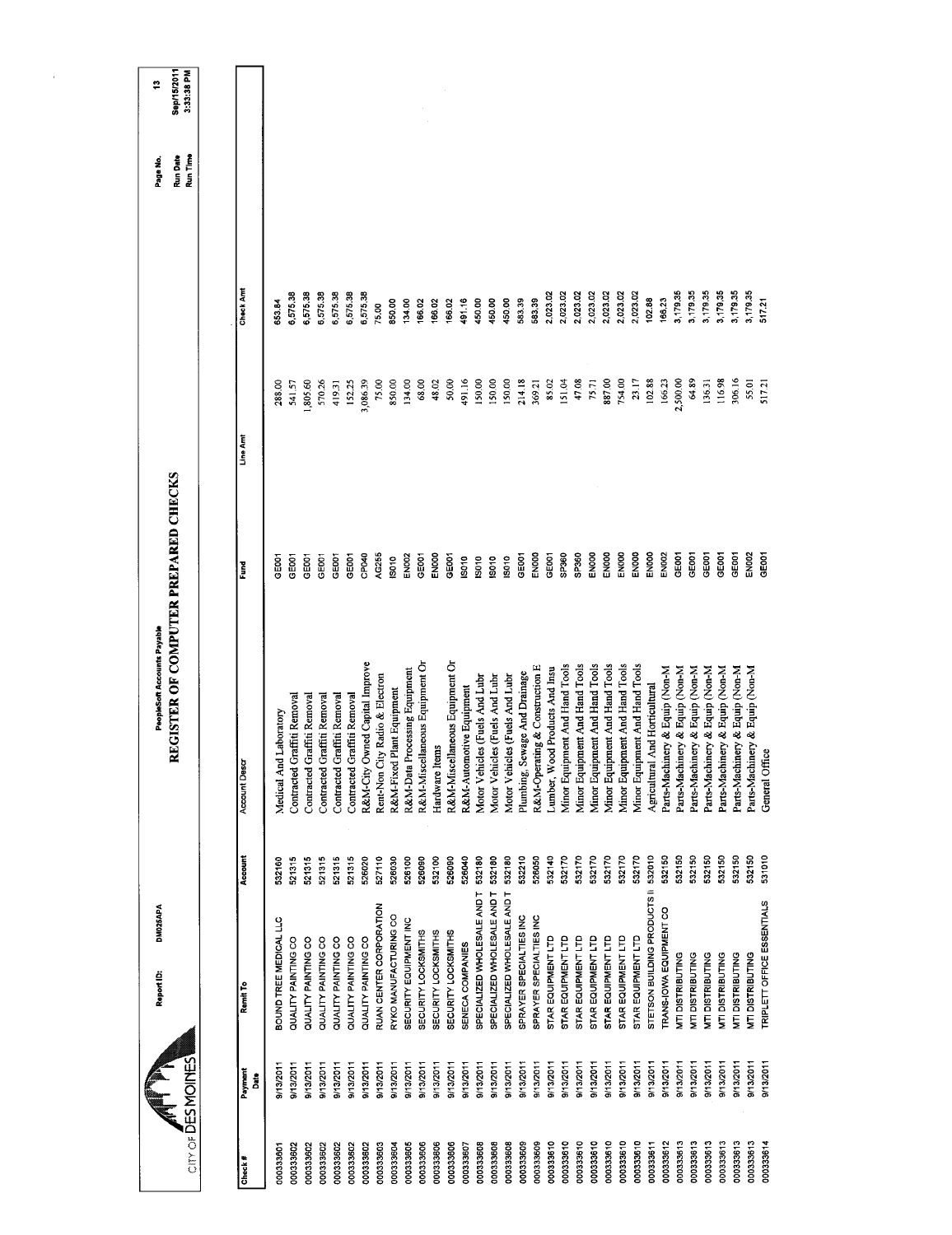| CITY OF DES MOINES |                  | DM025APA<br>Report ID:            |         | REGISTER OF COMPUTER PREPARED CHECKS<br>PeopleSoft Accounts Payable |              |          |           | Run Date<br>Run Time<br>Page No. | Sep/15/2011<br>3:33:38 PM<br>P |
|--------------------|------------------|-----------------------------------|---------|---------------------------------------------------------------------|--------------|----------|-----------|----------------------------------|--------------------------------|
|                    |                  |                                   |         |                                                                     |              |          |           |                                  |                                |
| Check#             | Payment<br>Date  | Remit To                          | Account | Account Desc                                                        | Ěurd         | Line Amt | Check Amt |                                  |                                |
| 000333601          | 9/13/2011        | BOUND TREE MEDICAL LLC            | 532160  | Medical And Laboratory                                              | <b>POOS</b>  | 288.00   | 653.84    |                                  |                                |
| 000333602          | 9/13/2011        | QUALITY PAINTING CO               | 521315  | Graffiti Removal<br>Contracted                                      | GE001        | 541.57   | 6,575.38  |                                  |                                |
| 000333602          | 9/13/2011        | QUALITY PAINTING CO               | 521315  | Graffiti Removal<br>Contracted                                      | 3E001        | 1,805.60 | 6,575.38  |                                  |                                |
| 000333502          | 9/13/2011        | QUALITY PAINTING CO               | 521315  | Graffiti Removal<br>Contracted                                      | GED01        | 570.26   | 6,575.38  |                                  |                                |
| 000333602          | 9/13/2011        | QUALITY PAINTING CO               | 521315  | Graffiti Removal<br>Contracted                                      | GE001        | 419.31   | 6,575.38  |                                  |                                |
| 000333602          | 9/13/2011        | QUALITY PAINTING CO               | 521315  | Graffiti Removal<br>Contracted                                      | GEOO1        | 152.25   | 6.575.38  |                                  |                                |
| 000333602          | 9/13/2011        | QUALITY PAINTING CO               | 526020  | Owned Capital Improve<br>R&M-City                                   | CP040        | 3,086.39 | 6,575.38  |                                  |                                |
| 000333603          | 9/13/2011        | RUAN CENTER CORPORATION           | 527110  | Rent-Non City Radio & Electron                                      | AG255        | 75.00    | 75,00     |                                  |                                |
| 000333604          | <b>9/13/2011</b> | RYKO MANUFACTURING CO             | 526030  | R&M-Fixed Plant Equipment                                           | IS010        | 850.00   | 850.00    |                                  |                                |
| 000333605          | 9/13/2011        | SECURITY EQUIPMENT INC            | 526100  | R&M-Data Processing Equipment                                       | <b>EN002</b> | 134.00   | 134.00    |                                  |                                |
| 000333606          | 9/13/2011        | <b>SECURITY LOCKSMITHS</b>        | 526090  | R&M-Miscellaneous Equipment Or                                      | GE001        | 68.00    | 166.02    |                                  |                                |
| 000333606          | 9/13/2011        | SECURITY LOCKSMITHS               | 532100  | Hardware Items                                                      | ENOOD        | 48.02    | 166.02    |                                  |                                |
| 000333606          | 9/13/2011        | SECURITY LOCKSMITHS               | 526090  | R&M-Miscellaneous Equipment Or                                      | GE001        | 50.00    | 166.02    |                                  |                                |
| 000333607          | 9/13/2011        | SENECA COMPANIES                  | 526040  | R&M-Automotive Equipment                                            | <b>S010</b>  | 491.16   | 491.16    |                                  |                                |
| 000333608          | 9/13/2011        | SPECIALIZED WHOLESALE AND T       | 532180  | Motor Vehicles (Fuels And Lubr                                      | <b>ISO10</b> | 150,00   | 450.00    |                                  |                                |
| 000333608          | 9/13/2011        | SPECIALIZED WHOLESALE AND T       | 532180  | Motor Vehicles (Fuels And Lubr                                      | IS010        | 150.00   | 450.00    |                                  |                                |
| 000333608          | 9/13/2011        | SPECIALIZED WHOLESALE AND T       | 532180  | Motor Vehicles (Fuels And Lubr                                      | isoto        | 150,00   | 450,00    |                                  |                                |
| 000333609          | 8/13/2011        | SPRAYER SPECIALTIES INC           | 532210  | Plumbing, Sewage And Drainage                                       | GEOOT        | 214.18   | 583.39    |                                  |                                |
| 000333609          | 9/13/2011        | SPRAYER SPECIALTIES INC           | 526050  | R&M-Operating & Construction E                                      | EN000        | 369.21   | 583.39    |                                  |                                |
| 000333610          | 9/13/2011        | STAR EQUIPMENT LTD                | 532140  | Lumber, Wood Products And Insu                                      | GE001        | 85.02    | 2,023.02  |                                  |                                |
| 000333610          | 9/13/2011        | STAR EQUIPMENT LTD                | 532170  | Minor Equipment And Hand Tools                                      | SP360        | 151.04   | 2,023.02  |                                  |                                |
| 000333610          | 9/13/2011        | STAR EQUIPMENT LTD                | 532170  | Minor Equipment And Hand Tools                                      | SP360        | 47.08    | 2,023.02  |                                  |                                |
| 000333610          | 9/13/2011        | STAR EQUIPMENT LTD                | 532170  | Minor Equipment And Hand Tools                                      | EN000        | 75.71    | 2,023.02  |                                  |                                |
| 000333610          | 9/13/2011        | STAR EQUIPMENT LTD                | 532170  | Minor Equipment And Hand Tools                                      | <b>EN000</b> | 887.00   | 2,023.02  |                                  |                                |
| 000333610          | 9/13/2011        | STAR EQUIPMENT LTD                | 532170  | Minor Equipment And Hand Tools                                      | ENOOO        | 754.00   | 2,023.02  |                                  |                                |
| 000333610          | 9/13/2011        | STAR EQUIPMENT LTD                | 532170  | Minor Equipment And Hand Tools                                      | ENOOD        | 23.17    | 2,023.02  |                                  |                                |
| 000333811          | 9/13/2011        | STETSON BUILDING PRODUCTS II      | 532010  | Agricultural And Horticultural                                      | ENOOO        | 102.88   | 102.88    |                                  |                                |
| 000333612          | 9/13/2011        | TRANS-IOWA EQUIPMENT CO           | 532150  | Parts-Machinery & Equip (Non-M                                      | <b>EN002</b> | 166.23   | 166.23    |                                  |                                |
| 000333613          | B/13/2011        | <b>MTI DISTRIBUTING</b>           | 532150  | Parts-Machinery & Equip (Non-M                                      | GE001        | 2,500.00 | 3,179.35  |                                  |                                |
| 000333613          | 9/13/2011        | <b>MTI DISTRIBUTING</b>           | 532150  | Parts-Machinery & Equip (Non-M                                      | GE001        | 64.89    | 3,179.35  |                                  |                                |
| 000333613          | 9/13/2011        | MTI DISTRIBUTING                  | 532150  | Parts-Machinery & Equip (Non-M                                      | GE001        | 136.31   | 3,179.35  |                                  |                                |
| 000333613          | 9/13/2011        | <b>MTI DISTRIBUTING</b>           | 532150  | Parts-Machinery & Equip (Non-M                                      | GE001        | 116.98   | 3,179.35  |                                  |                                |
| 000333613          | 8/13/2011        | <b>MTI DISTRIBUTING</b>           | 532150  | Parts-Machinery & Equip (Non-M                                      | GE001        | 306.16   | 3,179.35  |                                  |                                |
| 000333613          | 9/13/2011        | <b>MTI DISTRIBUTING</b>           | 532150  | Parts-Machinery & Equip (Non-M                                      | EN002        | 55.01    | 3,179.35  |                                  |                                |
| 000333614          | 9/13/2011        | <b>TRIPLETT OFFICE ESSENTIALS</b> | 531010  | General Office                                                      | GE001        | 517.21   | 517.21    |                                  |                                |
|                    |                  |                                   |         |                                                                     |              |          |           |                                  |                                |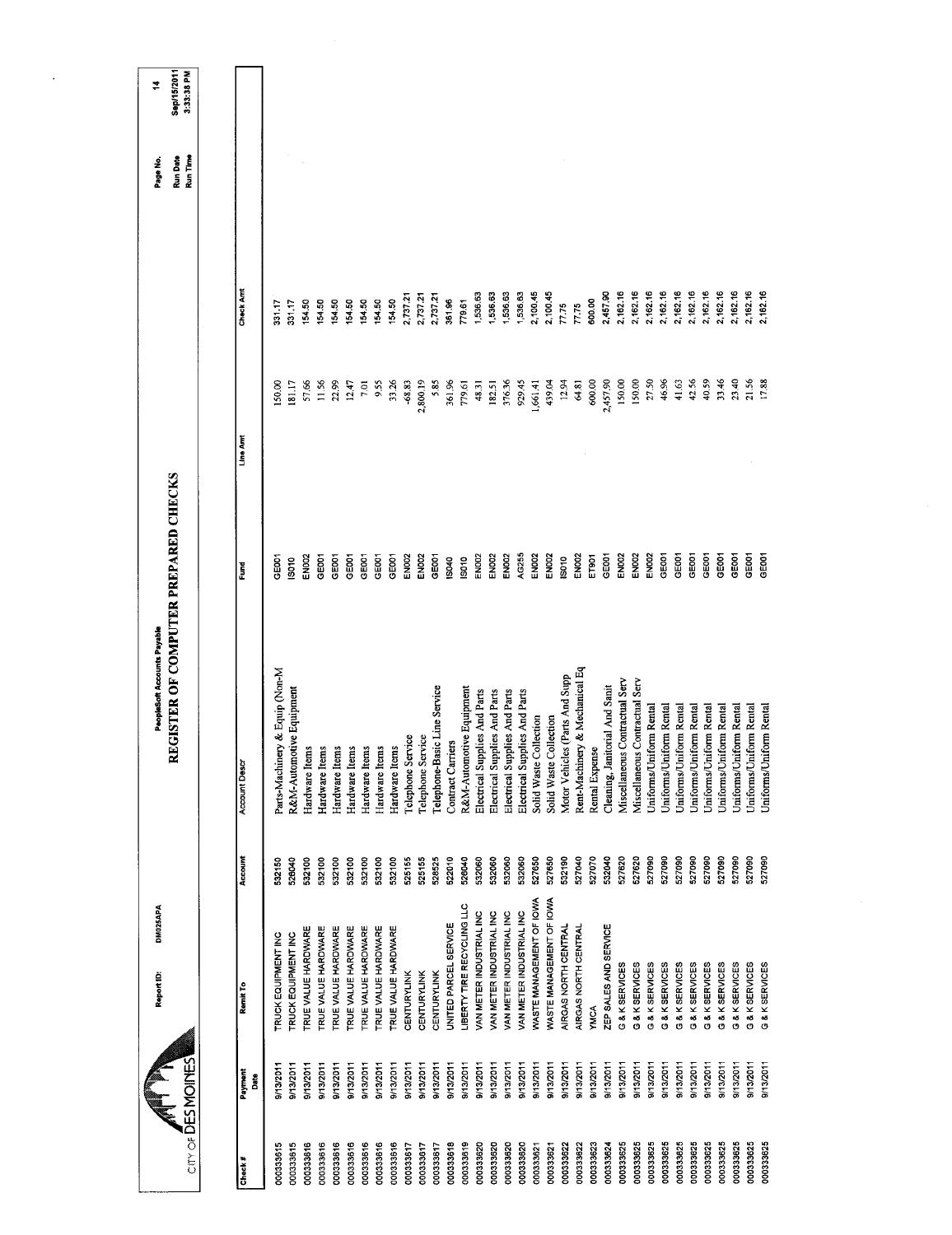| Sep/15/2011<br>3:33:38 PM<br>Run Date<br>Run Time<br>Check Amt<br>2,162.16<br>2,162.16<br>2,162.16<br>2,162.16<br>2,162.16<br>2,162.16<br>2,162.16<br>2,162.16<br>2,162.16<br>2,162.16<br>2,162.16<br>2,100.45<br>2,100.45<br>1,536.63<br>1,536.63<br>536.63<br>2,457.90<br>1,536.63<br>2,737.21<br>2,737.21<br>2,737.21<br>154.50<br>361.96<br>600.00<br>154,50<br>154.50<br>779.61<br>154.50<br>154.50<br>154.50<br>154.50<br>331.17<br>331.17<br>77.75<br>77.75<br>150,00<br>27.50<br>46.96<br>42.56<br>40.59<br>33.46<br>5.85<br>361,96<br>600.00<br>150.00<br>41.63<br>23.40<br>21.56<br>17.88<br>57.66<br>11.56<br>955<br>33.26<br>$-68.83$<br>2,800.19<br>48.31<br>182.51<br>376.36<br>929.45<br>1,661.41<br>439.04<br>12.94<br>64.81<br>2,457.90<br>22.99<br>12.47<br>7.01<br>779.61<br>150.00<br>181.17<br>Line Ami<br>REGISTER OF COMPUTER PREPARED CHECKS<br>GEOD1<br>GEOOT<br>GEOOT<br>EN002<br>EN002<br>AG255<br>EN002<br>EN002<br><b>EN002</b><br><b>EN002</b><br>GEOD1<br>GEODT<br>GE001<br>GEOOT<br><b>EN002</b><br>GE001<br>GE001<br>GE001<br>GE001<br>GE001<br>EN002<br>EN002<br><b>EN002</b><br>EN002<br>ET901<br>GE001<br>EN <sub>DO2</sub><br>GEOOT<br>GEOOT<br>GE001<br><b>COSC</b><br>IS010<br>IS010<br>S010<br>IS040<br>Eund<br>Rent-Machinery & Mechanical Eq<br>Parts-Machinery & Equip (Non-M<br>Motor Vehicles (Parts And Supp<br>Miscellaneous Contractual Serv<br>Miscellaneous Contractual Serv<br>Cleaning, Janitorial And Sanit<br>R&M-Automotive Equipment<br>Telephone-Basic Line Service<br>R&M-Automotive Equipment<br>Electrical Supplies And Parts<br>Electrical Supplies And Parts<br>Electrical Supplies And Parts<br>Electrical Supplies And Parts<br>Uniforms/Uniform Rental<br>Uniforms/Uniform Rental<br>Uniforms/Uniform Rental<br>Uniforms/Uniform Rental<br>Jniforms/Uniform Rental<br>Uniforms/Uniform Rental<br>Uniforms/Uniform Rental<br>Jniforms/Uniform Rental<br>Jniforms/Uniform Rental<br>Solid Waste Collection<br>Solid Waste Collection<br>Telephone Service<br>Telephone Service<br>Contract Carriers<br>Hardware Items<br>Hardware Items<br>Hardware Items<br>Hardware Items<br>Hardware Items<br>Hardware Items<br>Rental Expense<br>Hardware Items<br><b>Account Descr</b><br>Account<br>527620<br>527650<br>527040<br>527070<br>532040<br>527620<br>527090<br>527090<br>527090<br>525155<br>528525<br>522010<br>532060<br>532060<br>532060<br>532060<br>527650<br>532190<br>527090<br>527090<br>527090<br>527090<br>527090<br>532100<br>532100<br>532100<br>525155<br>526040<br>527090<br>532150<br>526040<br>532100<br>532100<br>532100<br>532100<br>WASTE MANAGEMENT OF IOWA<br>WASTE MANAGEMENT OF IOWA<br><b>LIBERTY TIRE RECYCLING LLC</b><br>VAN METER INDUSTRIAL INC<br>VAN METER INDUSTRIAL INC<br>VAN METER INDUSTRIAL INC<br><b>VAN METER INDUSTRIAL INC</b><br>UNITED PARCEL SERVICE<br>ZEP SALES AND SERVICE<br>AIRGAS NORTH CENTRAL<br>AIRGAS NORTH CENTRAL<br>TRUE VALUE HARDWARE<br>TRUE VALUE HARDWARE<br>TRUE VALUE HARDWARE<br>TRUE VALUE HARDWARE<br>TRUE VALUE HARDWARE<br>TRUE VALUE HARDWARE<br>TRUE VALUE HARDWARE<br><b>TRUCK EQUIPMENT INC</b><br><b>RUCK EQUIPMENT INC</b><br>G & K SERVICES<br>G & K SERVICES<br>G & K SERVICES<br>G & K SERVICES<br>G & K SERVICES<br>G & K SERVICES<br>G & K SERVICES<br>G & K SERVICES<br>G & K SERVICES<br>G & K SERVICES<br>G & K SERVICES<br><b>CENTURYLINK</b><br><b>CENTURYLINK</b><br><b>CENTURYLINK</b><br>Remit To<br>YMCA<br>City of <b>DES MOINES</b><br>9/13/2011<br>9/13/2011<br>9/13/2011<br>9/13/2011<br>9/13/2011<br>9/13/2011<br>9/13/2011<br>9/13/2011<br>9/13/2011<br>9/13/2011<br>9/13/2011<br>9/13/2011<br>9/13/2011<br>9/13/2011<br>9/13/2011<br>9/13/2011<br>9/13/2011<br>9/13/2011<br>9/13/2011<br>9/13/2011<br>9/13/2011<br>9/13/2011<br>9/13/2011<br>9/13/2011<br>9/13/2011<br>9/13/2011<br>9/13/2011<br>9/13/2011<br>9/13/2011<br>9/13/2011<br>9/13/2011<br>9/13/2011<br>9/13/2011<br>9/13/2011<br>9/13/2011<br>Payment<br>នី<br>000333625<br>000333625<br>000333625<br>000333625<br>000333625<br>000333625<br>000333625<br>000333625<br>000333616<br>000333618<br>000333619<br>000333620<br>000333625<br>000333625<br>000333625<br>000333615<br>000333615<br>000333616<br>000333616<br>000333616<br>000333616<br>000333616<br>000333616<br>000333617<br>000333620<br>000333620<br>000333620<br>000333622<br>000333623<br>000333617<br>000333617<br>000333622<br>000333624<br>000333621<br>000333621<br>Check# |  | DM025APA<br>Report ID: | PeopleSoft Accounts Payable |  | Page No. | 4 |
|-------------------------------------------------------------------------------------------------------------------------------------------------------------------------------------------------------------------------------------------------------------------------------------------------------------------------------------------------------------------------------------------------------------------------------------------------------------------------------------------------------------------------------------------------------------------------------------------------------------------------------------------------------------------------------------------------------------------------------------------------------------------------------------------------------------------------------------------------------------------------------------------------------------------------------------------------------------------------------------------------------------------------------------------------------------------------------------------------------------------------------------------------------------------------------------------------------------------------------------------------------------------------------------------------------------------------------------------------------------------------------------------------------------------------------------------------------------------------------------------------------------------------------------------------------------------------------------------------------------------------------------------------------------------------------------------------------------------------------------------------------------------------------------------------------------------------------------------------------------------------------------------------------------------------------------------------------------------------------------------------------------------------------------------------------------------------------------------------------------------------------------------------------------------------------------------------------------------------------------------------------------------------------------------------------------------------------------------------------------------------------------------------------------------------------------------------------------------------------------------------------------------------------------------------------------------------------------------------------------------------------------------------------------------------------------------------------------------------------------------------------------------------------------------------------------------------------------------------------------------------------------------------------------------------------------------------------------------------------------------------------------------------------------------------------------------------------------------------------------------------------------------------------------------------------------------------------------------------------------------------------------------------------------------------------------------------------------------------------------------------------------------------------------------------------------------------------------------------------------------------------------------------------------------------------------------------------------------------------------------------------------------------------------------------------------------------------------------------------------------------------------------------------------------------------------------------------------------------------------------------------------------------------------------------------------------------------------------------------------------------------------------------------------------------------------------------------------------------------------------------------------------------------------------------------------------------------------------------------------------------------------------------------------------------------------------------------------------------------------------------------------------------------------------------------------------------------------------------|--|------------------------|-----------------------------|--|----------|---|
|                                                                                                                                                                                                                                                                                                                                                                                                                                                                                                                                                                                                                                                                                                                                                                                                                                                                                                                                                                                                                                                                                                                                                                                                                                                                                                                                                                                                                                                                                                                                                                                                                                                                                                                                                                                                                                                                                                                                                                                                                                                                                                                                                                                                                                                                                                                                                                                                                                                                                                                                                                                                                                                                                                                                                                                                                                                                                                                                                                                                                                                                                                                                                                                                                                                                                                                                                                                                                                                                                                                                                                                                                                                                                                                                                                                                                                                                                                                                                                                                                                                                                                                                                                                                                                                                                                                                                                                                                                                                         |  |                        |                             |  |          |   |
|                                                                                                                                                                                                                                                                                                                                                                                                                                                                                                                                                                                                                                                                                                                                                                                                                                                                                                                                                                                                                                                                                                                                                                                                                                                                                                                                                                                                                                                                                                                                                                                                                                                                                                                                                                                                                                                                                                                                                                                                                                                                                                                                                                                                                                                                                                                                                                                                                                                                                                                                                                                                                                                                                                                                                                                                                                                                                                                                                                                                                                                                                                                                                                                                                                                                                                                                                                                                                                                                                                                                                                                                                                                                                                                                                                                                                                                                                                                                                                                                                                                                                                                                                                                                                                                                                                                                                                                                                                                                         |  |                        |                             |  |          |   |
|                                                                                                                                                                                                                                                                                                                                                                                                                                                                                                                                                                                                                                                                                                                                                                                                                                                                                                                                                                                                                                                                                                                                                                                                                                                                                                                                                                                                                                                                                                                                                                                                                                                                                                                                                                                                                                                                                                                                                                                                                                                                                                                                                                                                                                                                                                                                                                                                                                                                                                                                                                                                                                                                                                                                                                                                                                                                                                                                                                                                                                                                                                                                                                                                                                                                                                                                                                                                                                                                                                                                                                                                                                                                                                                                                                                                                                                                                                                                                                                                                                                                                                                                                                                                                                                                                                                                                                                                                                                                         |  |                        |                             |  |          |   |
|                                                                                                                                                                                                                                                                                                                                                                                                                                                                                                                                                                                                                                                                                                                                                                                                                                                                                                                                                                                                                                                                                                                                                                                                                                                                                                                                                                                                                                                                                                                                                                                                                                                                                                                                                                                                                                                                                                                                                                                                                                                                                                                                                                                                                                                                                                                                                                                                                                                                                                                                                                                                                                                                                                                                                                                                                                                                                                                                                                                                                                                                                                                                                                                                                                                                                                                                                                                                                                                                                                                                                                                                                                                                                                                                                                                                                                                                                                                                                                                                                                                                                                                                                                                                                                                                                                                                                                                                                                                                         |  |                        |                             |  |          |   |
|                                                                                                                                                                                                                                                                                                                                                                                                                                                                                                                                                                                                                                                                                                                                                                                                                                                                                                                                                                                                                                                                                                                                                                                                                                                                                                                                                                                                                                                                                                                                                                                                                                                                                                                                                                                                                                                                                                                                                                                                                                                                                                                                                                                                                                                                                                                                                                                                                                                                                                                                                                                                                                                                                                                                                                                                                                                                                                                                                                                                                                                                                                                                                                                                                                                                                                                                                                                                                                                                                                                                                                                                                                                                                                                                                                                                                                                                                                                                                                                                                                                                                                                                                                                                                                                                                                                                                                                                                                                                         |  |                        |                             |  |          |   |
|                                                                                                                                                                                                                                                                                                                                                                                                                                                                                                                                                                                                                                                                                                                                                                                                                                                                                                                                                                                                                                                                                                                                                                                                                                                                                                                                                                                                                                                                                                                                                                                                                                                                                                                                                                                                                                                                                                                                                                                                                                                                                                                                                                                                                                                                                                                                                                                                                                                                                                                                                                                                                                                                                                                                                                                                                                                                                                                                                                                                                                                                                                                                                                                                                                                                                                                                                                                                                                                                                                                                                                                                                                                                                                                                                                                                                                                                                                                                                                                                                                                                                                                                                                                                                                                                                                                                                                                                                                                                         |  |                        |                             |  |          |   |
|                                                                                                                                                                                                                                                                                                                                                                                                                                                                                                                                                                                                                                                                                                                                                                                                                                                                                                                                                                                                                                                                                                                                                                                                                                                                                                                                                                                                                                                                                                                                                                                                                                                                                                                                                                                                                                                                                                                                                                                                                                                                                                                                                                                                                                                                                                                                                                                                                                                                                                                                                                                                                                                                                                                                                                                                                                                                                                                                                                                                                                                                                                                                                                                                                                                                                                                                                                                                                                                                                                                                                                                                                                                                                                                                                                                                                                                                                                                                                                                                                                                                                                                                                                                                                                                                                                                                                                                                                                                                         |  |                        |                             |  |          |   |
|                                                                                                                                                                                                                                                                                                                                                                                                                                                                                                                                                                                                                                                                                                                                                                                                                                                                                                                                                                                                                                                                                                                                                                                                                                                                                                                                                                                                                                                                                                                                                                                                                                                                                                                                                                                                                                                                                                                                                                                                                                                                                                                                                                                                                                                                                                                                                                                                                                                                                                                                                                                                                                                                                                                                                                                                                                                                                                                                                                                                                                                                                                                                                                                                                                                                                                                                                                                                                                                                                                                                                                                                                                                                                                                                                                                                                                                                                                                                                                                                                                                                                                                                                                                                                                                                                                                                                                                                                                                                         |  |                        |                             |  |          |   |
|                                                                                                                                                                                                                                                                                                                                                                                                                                                                                                                                                                                                                                                                                                                                                                                                                                                                                                                                                                                                                                                                                                                                                                                                                                                                                                                                                                                                                                                                                                                                                                                                                                                                                                                                                                                                                                                                                                                                                                                                                                                                                                                                                                                                                                                                                                                                                                                                                                                                                                                                                                                                                                                                                                                                                                                                                                                                                                                                                                                                                                                                                                                                                                                                                                                                                                                                                                                                                                                                                                                                                                                                                                                                                                                                                                                                                                                                                                                                                                                                                                                                                                                                                                                                                                                                                                                                                                                                                                                                         |  |                        |                             |  |          |   |
|                                                                                                                                                                                                                                                                                                                                                                                                                                                                                                                                                                                                                                                                                                                                                                                                                                                                                                                                                                                                                                                                                                                                                                                                                                                                                                                                                                                                                                                                                                                                                                                                                                                                                                                                                                                                                                                                                                                                                                                                                                                                                                                                                                                                                                                                                                                                                                                                                                                                                                                                                                                                                                                                                                                                                                                                                                                                                                                                                                                                                                                                                                                                                                                                                                                                                                                                                                                                                                                                                                                                                                                                                                                                                                                                                                                                                                                                                                                                                                                                                                                                                                                                                                                                                                                                                                                                                                                                                                                                         |  |                        |                             |  |          |   |
|                                                                                                                                                                                                                                                                                                                                                                                                                                                                                                                                                                                                                                                                                                                                                                                                                                                                                                                                                                                                                                                                                                                                                                                                                                                                                                                                                                                                                                                                                                                                                                                                                                                                                                                                                                                                                                                                                                                                                                                                                                                                                                                                                                                                                                                                                                                                                                                                                                                                                                                                                                                                                                                                                                                                                                                                                                                                                                                                                                                                                                                                                                                                                                                                                                                                                                                                                                                                                                                                                                                                                                                                                                                                                                                                                                                                                                                                                                                                                                                                                                                                                                                                                                                                                                                                                                                                                                                                                                                                         |  |                        |                             |  |          |   |
|                                                                                                                                                                                                                                                                                                                                                                                                                                                                                                                                                                                                                                                                                                                                                                                                                                                                                                                                                                                                                                                                                                                                                                                                                                                                                                                                                                                                                                                                                                                                                                                                                                                                                                                                                                                                                                                                                                                                                                                                                                                                                                                                                                                                                                                                                                                                                                                                                                                                                                                                                                                                                                                                                                                                                                                                                                                                                                                                                                                                                                                                                                                                                                                                                                                                                                                                                                                                                                                                                                                                                                                                                                                                                                                                                                                                                                                                                                                                                                                                                                                                                                                                                                                                                                                                                                                                                                                                                                                                         |  |                        |                             |  |          |   |
|                                                                                                                                                                                                                                                                                                                                                                                                                                                                                                                                                                                                                                                                                                                                                                                                                                                                                                                                                                                                                                                                                                                                                                                                                                                                                                                                                                                                                                                                                                                                                                                                                                                                                                                                                                                                                                                                                                                                                                                                                                                                                                                                                                                                                                                                                                                                                                                                                                                                                                                                                                                                                                                                                                                                                                                                                                                                                                                                                                                                                                                                                                                                                                                                                                                                                                                                                                                                                                                                                                                                                                                                                                                                                                                                                                                                                                                                                                                                                                                                                                                                                                                                                                                                                                                                                                                                                                                                                                                                         |  |                        |                             |  |          |   |
|                                                                                                                                                                                                                                                                                                                                                                                                                                                                                                                                                                                                                                                                                                                                                                                                                                                                                                                                                                                                                                                                                                                                                                                                                                                                                                                                                                                                                                                                                                                                                                                                                                                                                                                                                                                                                                                                                                                                                                                                                                                                                                                                                                                                                                                                                                                                                                                                                                                                                                                                                                                                                                                                                                                                                                                                                                                                                                                                                                                                                                                                                                                                                                                                                                                                                                                                                                                                                                                                                                                                                                                                                                                                                                                                                                                                                                                                                                                                                                                                                                                                                                                                                                                                                                                                                                                                                                                                                                                                         |  |                        |                             |  |          |   |
|                                                                                                                                                                                                                                                                                                                                                                                                                                                                                                                                                                                                                                                                                                                                                                                                                                                                                                                                                                                                                                                                                                                                                                                                                                                                                                                                                                                                                                                                                                                                                                                                                                                                                                                                                                                                                                                                                                                                                                                                                                                                                                                                                                                                                                                                                                                                                                                                                                                                                                                                                                                                                                                                                                                                                                                                                                                                                                                                                                                                                                                                                                                                                                                                                                                                                                                                                                                                                                                                                                                                                                                                                                                                                                                                                                                                                                                                                                                                                                                                                                                                                                                                                                                                                                                                                                                                                                                                                                                                         |  |                        |                             |  |          |   |
|                                                                                                                                                                                                                                                                                                                                                                                                                                                                                                                                                                                                                                                                                                                                                                                                                                                                                                                                                                                                                                                                                                                                                                                                                                                                                                                                                                                                                                                                                                                                                                                                                                                                                                                                                                                                                                                                                                                                                                                                                                                                                                                                                                                                                                                                                                                                                                                                                                                                                                                                                                                                                                                                                                                                                                                                                                                                                                                                                                                                                                                                                                                                                                                                                                                                                                                                                                                                                                                                                                                                                                                                                                                                                                                                                                                                                                                                                                                                                                                                                                                                                                                                                                                                                                                                                                                                                                                                                                                                         |  |                        |                             |  |          |   |
|                                                                                                                                                                                                                                                                                                                                                                                                                                                                                                                                                                                                                                                                                                                                                                                                                                                                                                                                                                                                                                                                                                                                                                                                                                                                                                                                                                                                                                                                                                                                                                                                                                                                                                                                                                                                                                                                                                                                                                                                                                                                                                                                                                                                                                                                                                                                                                                                                                                                                                                                                                                                                                                                                                                                                                                                                                                                                                                                                                                                                                                                                                                                                                                                                                                                                                                                                                                                                                                                                                                                                                                                                                                                                                                                                                                                                                                                                                                                                                                                                                                                                                                                                                                                                                                                                                                                                                                                                                                                         |  |                        |                             |  |          |   |
|                                                                                                                                                                                                                                                                                                                                                                                                                                                                                                                                                                                                                                                                                                                                                                                                                                                                                                                                                                                                                                                                                                                                                                                                                                                                                                                                                                                                                                                                                                                                                                                                                                                                                                                                                                                                                                                                                                                                                                                                                                                                                                                                                                                                                                                                                                                                                                                                                                                                                                                                                                                                                                                                                                                                                                                                                                                                                                                                                                                                                                                                                                                                                                                                                                                                                                                                                                                                                                                                                                                                                                                                                                                                                                                                                                                                                                                                                                                                                                                                                                                                                                                                                                                                                                                                                                                                                                                                                                                                         |  |                        |                             |  |          |   |
|                                                                                                                                                                                                                                                                                                                                                                                                                                                                                                                                                                                                                                                                                                                                                                                                                                                                                                                                                                                                                                                                                                                                                                                                                                                                                                                                                                                                                                                                                                                                                                                                                                                                                                                                                                                                                                                                                                                                                                                                                                                                                                                                                                                                                                                                                                                                                                                                                                                                                                                                                                                                                                                                                                                                                                                                                                                                                                                                                                                                                                                                                                                                                                                                                                                                                                                                                                                                                                                                                                                                                                                                                                                                                                                                                                                                                                                                                                                                                                                                                                                                                                                                                                                                                                                                                                                                                                                                                                                                         |  |                        |                             |  |          |   |
|                                                                                                                                                                                                                                                                                                                                                                                                                                                                                                                                                                                                                                                                                                                                                                                                                                                                                                                                                                                                                                                                                                                                                                                                                                                                                                                                                                                                                                                                                                                                                                                                                                                                                                                                                                                                                                                                                                                                                                                                                                                                                                                                                                                                                                                                                                                                                                                                                                                                                                                                                                                                                                                                                                                                                                                                                                                                                                                                                                                                                                                                                                                                                                                                                                                                                                                                                                                                                                                                                                                                                                                                                                                                                                                                                                                                                                                                                                                                                                                                                                                                                                                                                                                                                                                                                                                                                                                                                                                                         |  |                        |                             |  |          |   |
|                                                                                                                                                                                                                                                                                                                                                                                                                                                                                                                                                                                                                                                                                                                                                                                                                                                                                                                                                                                                                                                                                                                                                                                                                                                                                                                                                                                                                                                                                                                                                                                                                                                                                                                                                                                                                                                                                                                                                                                                                                                                                                                                                                                                                                                                                                                                                                                                                                                                                                                                                                                                                                                                                                                                                                                                                                                                                                                                                                                                                                                                                                                                                                                                                                                                                                                                                                                                                                                                                                                                                                                                                                                                                                                                                                                                                                                                                                                                                                                                                                                                                                                                                                                                                                                                                                                                                                                                                                                                         |  |                        |                             |  |          |   |
|                                                                                                                                                                                                                                                                                                                                                                                                                                                                                                                                                                                                                                                                                                                                                                                                                                                                                                                                                                                                                                                                                                                                                                                                                                                                                                                                                                                                                                                                                                                                                                                                                                                                                                                                                                                                                                                                                                                                                                                                                                                                                                                                                                                                                                                                                                                                                                                                                                                                                                                                                                                                                                                                                                                                                                                                                                                                                                                                                                                                                                                                                                                                                                                                                                                                                                                                                                                                                                                                                                                                                                                                                                                                                                                                                                                                                                                                                                                                                                                                                                                                                                                                                                                                                                                                                                                                                                                                                                                                         |  |                        |                             |  |          |   |
|                                                                                                                                                                                                                                                                                                                                                                                                                                                                                                                                                                                                                                                                                                                                                                                                                                                                                                                                                                                                                                                                                                                                                                                                                                                                                                                                                                                                                                                                                                                                                                                                                                                                                                                                                                                                                                                                                                                                                                                                                                                                                                                                                                                                                                                                                                                                                                                                                                                                                                                                                                                                                                                                                                                                                                                                                                                                                                                                                                                                                                                                                                                                                                                                                                                                                                                                                                                                                                                                                                                                                                                                                                                                                                                                                                                                                                                                                                                                                                                                                                                                                                                                                                                                                                                                                                                                                                                                                                                                         |  |                        |                             |  |          |   |
|                                                                                                                                                                                                                                                                                                                                                                                                                                                                                                                                                                                                                                                                                                                                                                                                                                                                                                                                                                                                                                                                                                                                                                                                                                                                                                                                                                                                                                                                                                                                                                                                                                                                                                                                                                                                                                                                                                                                                                                                                                                                                                                                                                                                                                                                                                                                                                                                                                                                                                                                                                                                                                                                                                                                                                                                                                                                                                                                                                                                                                                                                                                                                                                                                                                                                                                                                                                                                                                                                                                                                                                                                                                                                                                                                                                                                                                                                                                                                                                                                                                                                                                                                                                                                                                                                                                                                                                                                                                                         |  |                        |                             |  |          |   |
|                                                                                                                                                                                                                                                                                                                                                                                                                                                                                                                                                                                                                                                                                                                                                                                                                                                                                                                                                                                                                                                                                                                                                                                                                                                                                                                                                                                                                                                                                                                                                                                                                                                                                                                                                                                                                                                                                                                                                                                                                                                                                                                                                                                                                                                                                                                                                                                                                                                                                                                                                                                                                                                                                                                                                                                                                                                                                                                                                                                                                                                                                                                                                                                                                                                                                                                                                                                                                                                                                                                                                                                                                                                                                                                                                                                                                                                                                                                                                                                                                                                                                                                                                                                                                                                                                                                                                                                                                                                                         |  |                        |                             |  |          |   |
|                                                                                                                                                                                                                                                                                                                                                                                                                                                                                                                                                                                                                                                                                                                                                                                                                                                                                                                                                                                                                                                                                                                                                                                                                                                                                                                                                                                                                                                                                                                                                                                                                                                                                                                                                                                                                                                                                                                                                                                                                                                                                                                                                                                                                                                                                                                                                                                                                                                                                                                                                                                                                                                                                                                                                                                                                                                                                                                                                                                                                                                                                                                                                                                                                                                                                                                                                                                                                                                                                                                                                                                                                                                                                                                                                                                                                                                                                                                                                                                                                                                                                                                                                                                                                                                                                                                                                                                                                                                                         |  |                        |                             |  |          |   |
|                                                                                                                                                                                                                                                                                                                                                                                                                                                                                                                                                                                                                                                                                                                                                                                                                                                                                                                                                                                                                                                                                                                                                                                                                                                                                                                                                                                                                                                                                                                                                                                                                                                                                                                                                                                                                                                                                                                                                                                                                                                                                                                                                                                                                                                                                                                                                                                                                                                                                                                                                                                                                                                                                                                                                                                                                                                                                                                                                                                                                                                                                                                                                                                                                                                                                                                                                                                                                                                                                                                                                                                                                                                                                                                                                                                                                                                                                                                                                                                                                                                                                                                                                                                                                                                                                                                                                                                                                                                                         |  |                        |                             |  |          |   |
|                                                                                                                                                                                                                                                                                                                                                                                                                                                                                                                                                                                                                                                                                                                                                                                                                                                                                                                                                                                                                                                                                                                                                                                                                                                                                                                                                                                                                                                                                                                                                                                                                                                                                                                                                                                                                                                                                                                                                                                                                                                                                                                                                                                                                                                                                                                                                                                                                                                                                                                                                                                                                                                                                                                                                                                                                                                                                                                                                                                                                                                                                                                                                                                                                                                                                                                                                                                                                                                                                                                                                                                                                                                                                                                                                                                                                                                                                                                                                                                                                                                                                                                                                                                                                                                                                                                                                                                                                                                                         |  |                        |                             |  |          |   |
|                                                                                                                                                                                                                                                                                                                                                                                                                                                                                                                                                                                                                                                                                                                                                                                                                                                                                                                                                                                                                                                                                                                                                                                                                                                                                                                                                                                                                                                                                                                                                                                                                                                                                                                                                                                                                                                                                                                                                                                                                                                                                                                                                                                                                                                                                                                                                                                                                                                                                                                                                                                                                                                                                                                                                                                                                                                                                                                                                                                                                                                                                                                                                                                                                                                                                                                                                                                                                                                                                                                                                                                                                                                                                                                                                                                                                                                                                                                                                                                                                                                                                                                                                                                                                                                                                                                                                                                                                                                                         |  |                        |                             |  |          |   |
|                                                                                                                                                                                                                                                                                                                                                                                                                                                                                                                                                                                                                                                                                                                                                                                                                                                                                                                                                                                                                                                                                                                                                                                                                                                                                                                                                                                                                                                                                                                                                                                                                                                                                                                                                                                                                                                                                                                                                                                                                                                                                                                                                                                                                                                                                                                                                                                                                                                                                                                                                                                                                                                                                                                                                                                                                                                                                                                                                                                                                                                                                                                                                                                                                                                                                                                                                                                                                                                                                                                                                                                                                                                                                                                                                                                                                                                                                                                                                                                                                                                                                                                                                                                                                                                                                                                                                                                                                                                                         |  |                        |                             |  |          |   |
|                                                                                                                                                                                                                                                                                                                                                                                                                                                                                                                                                                                                                                                                                                                                                                                                                                                                                                                                                                                                                                                                                                                                                                                                                                                                                                                                                                                                                                                                                                                                                                                                                                                                                                                                                                                                                                                                                                                                                                                                                                                                                                                                                                                                                                                                                                                                                                                                                                                                                                                                                                                                                                                                                                                                                                                                                                                                                                                                                                                                                                                                                                                                                                                                                                                                                                                                                                                                                                                                                                                                                                                                                                                                                                                                                                                                                                                                                                                                                                                                                                                                                                                                                                                                                                                                                                                                                                                                                                                                         |  |                        |                             |  |          |   |
|                                                                                                                                                                                                                                                                                                                                                                                                                                                                                                                                                                                                                                                                                                                                                                                                                                                                                                                                                                                                                                                                                                                                                                                                                                                                                                                                                                                                                                                                                                                                                                                                                                                                                                                                                                                                                                                                                                                                                                                                                                                                                                                                                                                                                                                                                                                                                                                                                                                                                                                                                                                                                                                                                                                                                                                                                                                                                                                                                                                                                                                                                                                                                                                                                                                                                                                                                                                                                                                                                                                                                                                                                                                                                                                                                                                                                                                                                                                                                                                                                                                                                                                                                                                                                                                                                                                                                                                                                                                                         |  |                        |                             |  |          |   |
|                                                                                                                                                                                                                                                                                                                                                                                                                                                                                                                                                                                                                                                                                                                                                                                                                                                                                                                                                                                                                                                                                                                                                                                                                                                                                                                                                                                                                                                                                                                                                                                                                                                                                                                                                                                                                                                                                                                                                                                                                                                                                                                                                                                                                                                                                                                                                                                                                                                                                                                                                                                                                                                                                                                                                                                                                                                                                                                                                                                                                                                                                                                                                                                                                                                                                                                                                                                                                                                                                                                                                                                                                                                                                                                                                                                                                                                                                                                                                                                                                                                                                                                                                                                                                                                                                                                                                                                                                                                                         |  |                        |                             |  |          |   |
|                                                                                                                                                                                                                                                                                                                                                                                                                                                                                                                                                                                                                                                                                                                                                                                                                                                                                                                                                                                                                                                                                                                                                                                                                                                                                                                                                                                                                                                                                                                                                                                                                                                                                                                                                                                                                                                                                                                                                                                                                                                                                                                                                                                                                                                                                                                                                                                                                                                                                                                                                                                                                                                                                                                                                                                                                                                                                                                                                                                                                                                                                                                                                                                                                                                                                                                                                                                                                                                                                                                                                                                                                                                                                                                                                                                                                                                                                                                                                                                                                                                                                                                                                                                                                                                                                                                                                                                                                                                                         |  |                        |                             |  |          |   |
|                                                                                                                                                                                                                                                                                                                                                                                                                                                                                                                                                                                                                                                                                                                                                                                                                                                                                                                                                                                                                                                                                                                                                                                                                                                                                                                                                                                                                                                                                                                                                                                                                                                                                                                                                                                                                                                                                                                                                                                                                                                                                                                                                                                                                                                                                                                                                                                                                                                                                                                                                                                                                                                                                                                                                                                                                                                                                                                                                                                                                                                                                                                                                                                                                                                                                                                                                                                                                                                                                                                                                                                                                                                                                                                                                                                                                                                                                                                                                                                                                                                                                                                                                                                                                                                                                                                                                                                                                                                                         |  |                        |                             |  |          |   |
|                                                                                                                                                                                                                                                                                                                                                                                                                                                                                                                                                                                                                                                                                                                                                                                                                                                                                                                                                                                                                                                                                                                                                                                                                                                                                                                                                                                                                                                                                                                                                                                                                                                                                                                                                                                                                                                                                                                                                                                                                                                                                                                                                                                                                                                                                                                                                                                                                                                                                                                                                                                                                                                                                                                                                                                                                                                                                                                                                                                                                                                                                                                                                                                                                                                                                                                                                                                                                                                                                                                                                                                                                                                                                                                                                                                                                                                                                                                                                                                                                                                                                                                                                                                                                                                                                                                                                                                                                                                                         |  |                        |                             |  |          |   |
|                                                                                                                                                                                                                                                                                                                                                                                                                                                                                                                                                                                                                                                                                                                                                                                                                                                                                                                                                                                                                                                                                                                                                                                                                                                                                                                                                                                                                                                                                                                                                                                                                                                                                                                                                                                                                                                                                                                                                                                                                                                                                                                                                                                                                                                                                                                                                                                                                                                                                                                                                                                                                                                                                                                                                                                                                                                                                                                                                                                                                                                                                                                                                                                                                                                                                                                                                                                                                                                                                                                                                                                                                                                                                                                                                                                                                                                                                                                                                                                                                                                                                                                                                                                                                                                                                                                                                                                                                                                                         |  |                        |                             |  |          |   |
|                                                                                                                                                                                                                                                                                                                                                                                                                                                                                                                                                                                                                                                                                                                                                                                                                                                                                                                                                                                                                                                                                                                                                                                                                                                                                                                                                                                                                                                                                                                                                                                                                                                                                                                                                                                                                                                                                                                                                                                                                                                                                                                                                                                                                                                                                                                                                                                                                                                                                                                                                                                                                                                                                                                                                                                                                                                                                                                                                                                                                                                                                                                                                                                                                                                                                                                                                                                                                                                                                                                                                                                                                                                                                                                                                                                                                                                                                                                                                                                                                                                                                                                                                                                                                                                                                                                                                                                                                                                                         |  |                        |                             |  |          |   |